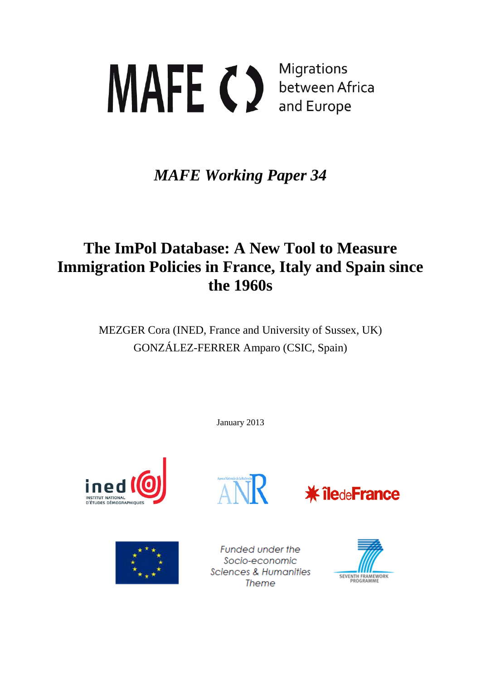# **Migrations** MAFE C between Africa and Europe

# *MAFE Working Paper 34*

# **The ImPol Database: A New Tool to Measure Immigration Policies in France, Italy and Spain since the 1960s**

MEZGER Cora (INED, France and University of Sussex, UK) GONZÁLEZ-FERRER Amparo (CSIC, Spain)

January 2013



<span id="page-0-0"></span>





Funded under the Socio-economic Sciences & Humanities Theme

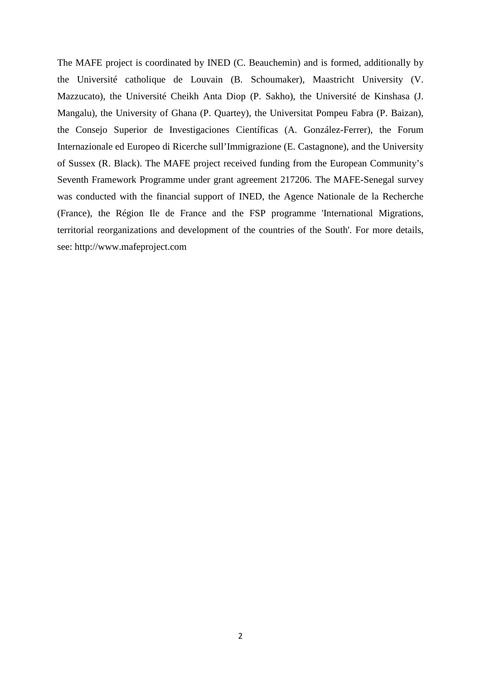The MAFE project is coordinated by INED (C. Beauchemin) and is formed, additionally by the Université catholique de Louvain (B. Schoumaker), Maastricht University (V. Mazzucato), the Université Cheikh Anta Diop (P. Sakho), the Université de Kinshasa (J. Mangalu), the University of Ghana (P. Quartey), the Universitat Pompeu Fabra (P. Baizan), the Consejo Superior de Investigaciones Científicas (A. González-Ferrer), the Forum Internazionale ed Europeo di Ricerche sull'Immigrazione (E. Castagnone), and the University of Sussex (R. Black). The MAFE project received funding from the European Community's Seventh Framework Programme under grant agreement 217206. The MAFE-Senegal survey was conducted with the financial support of INED, the Agence Nationale de la Recherche (France), the Région Ile de France and the FSP programme 'International Migrations, territorial reorganizations and development of the countries of the South'. For more details, see: http://www.mafeproject.com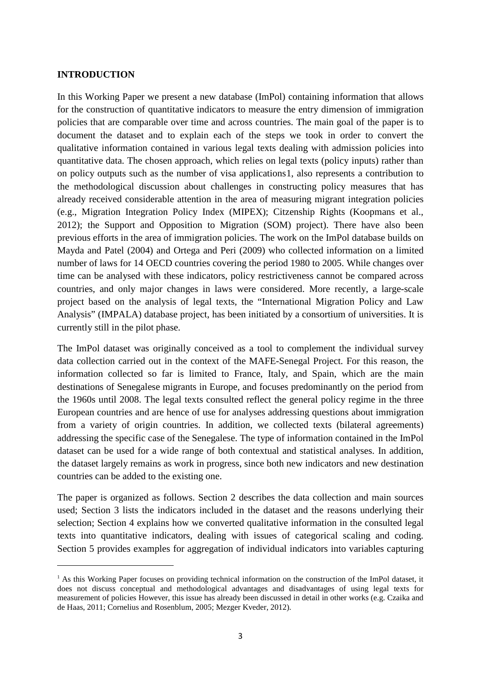#### **INTRODUCTION**

 $\overline{\phantom{a}}$ 

In this Working Paper we present a new database (ImPol) containing information that allows for the construction of quantitative indicators to measure the entry dimension of immigration policies that are comparable over time and across countries. The main goal of the paper is to document the dataset and to explain each of the steps we took in order to convert the qualitative information contained in various legal texts dealing with admission policies into quantitative data. The chosen approach, which relies on legal texts (policy inputs) rather than on policy outputs such as the number of visa applications[1,](#page-0-0) also represents a contribution to the methodological discussion about challenges in constructing policy measures that has already received considerable attention in the area of measuring migrant integration policies (e.g., Migration Integration Policy Index (MIPEX); Citzenship Rights (Koopmans et al., 2012); the Support and Opposition to Migration (SOM) project). There have also been previous efforts in the area of immigration policies. The work on the ImPol database builds on Mayda and Patel (2004) and Ortega and Peri (2009) who collected information on a limited number of laws for 14 OECD countries covering the period 1980 to 2005. While changes over time can be analysed with these indicators, policy restrictiveness cannot be compared across countries, and only major changes in laws were considered. More recently, a large-scale project based on the analysis of legal texts, the "International Migration Policy and Law Analysis" (IMPALA) database project, has been initiated by a consortium of universities. It is currently still in the pilot phase.

The ImPol dataset was originally conceived as a tool to complement the individual survey data collection carried out in the context of the MAFE-Senegal Project. For this reason, the information collected so far is limited to France, Italy, and Spain, which are the main destinations of Senegalese migrants in Europe, and focuses predominantly on the period from the 1960s until 2008. The legal texts consulted reflect the general policy regime in the three European countries and are hence of use for analyses addressing questions about immigration from a variety of origin countries. In addition, we collected texts (bilateral agreements) addressing the specific case of the Senegalese. The type of information contained in the ImPol dataset can be used for a wide range of both contextual and statistical analyses. In addition, the dataset largely remains as work in progress, since both new indicators and new destination countries can be added to the existing one.

The paper is organized as follows. Section 2 describes the data collection and main sources used; Section 3 lists the indicators included in the dataset and the reasons underlying their selection; Section 4 explains how we converted qualitative information in the consulted legal texts into quantitative indicators, dealing with issues of categorical scaling and coding. Section 5 provides examples for aggregation of individual indicators into variables capturing

<span id="page-2-0"></span> $<sup>1</sup>$  As this Working Paper focuses on providing technical information on the construction of the ImPol dataset, it</sup> does not discuss conceptual and methodological advantages and disadvantages of using legal texts for measurement of policies However, this issue has already been discussed in detail in other works (e.g. Czaika and de Haas, 2011; Cornelius and Rosenblum, 2005; Mezger Kveder, 2012).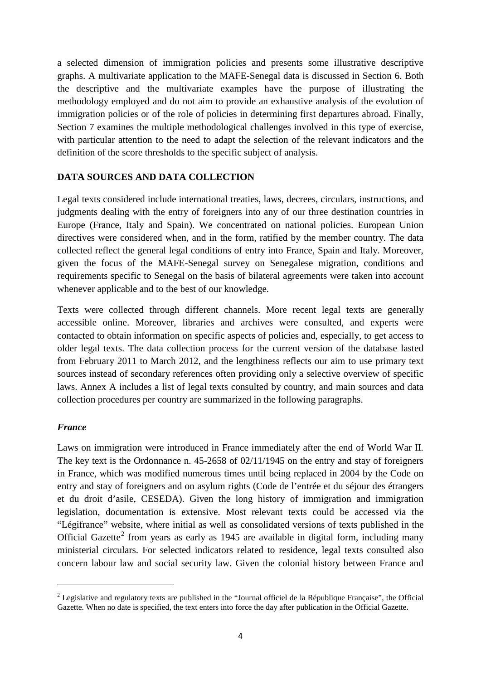a selected dimension of immigration policies and presents some illustrative descriptive graphs. A multivariate application to the MAFE-Senegal data is discussed in Section 6. Both the descriptive and the multivariate examples have the purpose of illustrating the methodology employed and do not aim to provide an exhaustive analysis of the evolution of immigration policies or of the role of policies in determining first departures abroad. Finally, Section 7 examines the multiple methodological challenges involved in this type of exercise, with particular attention to the need to adapt the selection of the relevant indicators and the definition of the score thresholds to the specific subject of analysis.

#### **DATA SOURCES AND DATA COLLECTION**

Legal texts considered include international treaties, laws, decrees, circulars, instructions, and judgments dealing with the entry of foreigners into any of our three destination countries in Europe (France, Italy and Spain). We concentrated on national policies. European Union directives were considered when, and in the form, ratified by the member country. The data collected reflect the general legal conditions of entry into France, Spain and Italy. Moreover, given the focus of the MAFE-Senegal survey on Senegalese migration, conditions and requirements specific to Senegal on the basis of bilateral agreements were taken into account whenever applicable and to the best of our knowledge.

Texts were collected through different channels. More recent legal texts are generally accessible online. Moreover, libraries and archives were consulted, and experts were contacted to obtain information on specific aspects of policies and, especially, to get access to older legal texts. The data collection process for the current version of the database lasted from February 2011 to March 2012, and the lengthiness reflects our aim to use primary text sources instead of secondary references often providing only a selective overview of specific laws. Annex A includes a list of legal texts consulted by country, and main sources and data collection procedures per country are summarized in the following paragraphs.

#### *France*

<span id="page-3-0"></span>**.** 

Laws on immigration were introduced in France immediately after the end of World War II. The key text is the Ordonnance n. 45-2658 of 02/11/1945 on the entry and stay of foreigners in France, which was modified numerous times until being replaced in 2004 by the Code on entry and stay of foreigners and on asylum rights (Code de l'entrée et du séjour des étrangers et du droit d'asile, CESEDA). Given the long history of immigration and immigration legislation, documentation is extensive. Most relevant texts could be accessed via the "Légifrance" website, where initial as well as consolidated versions of texts published in the Official Gazette<sup>[2](#page-2-0)</sup> from years as early as 1945 are available in digital form, including many ministerial circulars. For selected indicators related to residence, legal texts consulted also concern labour law and social security law. Given the colonial history between France and

<sup>&</sup>lt;sup>2</sup> Legislative and regulatory texts are published in the "Journal officiel de la République Française", the Official Gazette. When no date is specified, the text enters into force the day after publication in the Official Gazette.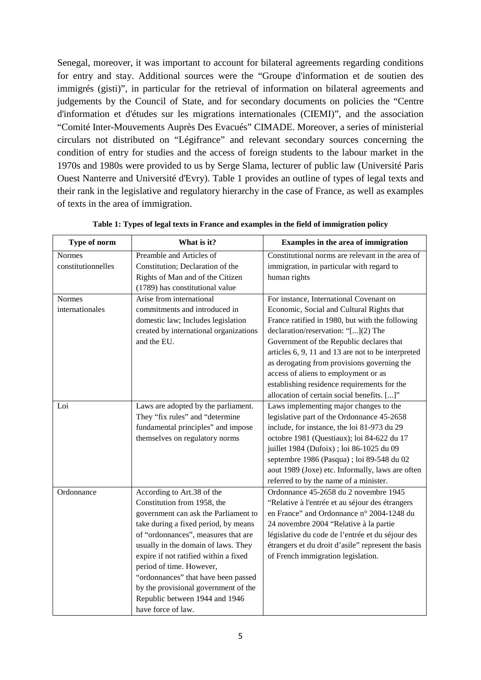Senegal, moreover, it was important to account for bilateral agreements regarding conditions for entry and stay. Additional sources were the "Groupe d'information et de soutien des immigrés (gisti)", in particular for the retrieval of information on bilateral agreements and judgements by the Council of State, and for secondary documents on policies the "Centre d'information et d'études sur les migrations internationales (CIEMI)", and the association "Comité Inter-Mouvements Auprès Des Evacués" CIMADE. Moreover, a series of ministerial circulars not distributed on "Légifrance" and relevant secondary sources concerning the condition of entry for studies and the access of foreign students to the labour market in the 1970s and 1980s were provided to us by Serge Slama, lecturer of public law (Université Paris Ouest Nanterre and Université d'Evry). [Table 1](#page-4-0) provides an outline of types of legal texts and their rank in the legislative and regulatory hierarchy in the case of France, as well as examples of texts in the area of immigration.

<span id="page-4-0"></span>

| Type of norm       | What is it?                            | Examples in the area of immigration                |  |
|--------------------|----------------------------------------|----------------------------------------------------|--|
| <b>Normes</b>      | Preamble and Articles of               | Constitutional norms are relevant in the area of   |  |
| constitutionnelles | Constitution; Declaration of the       | immigration, in particular with regard to          |  |
|                    | Rights of Man and of the Citizen       | human rights                                       |  |
|                    | (1789) has constitutional value        |                                                    |  |
| <b>Normes</b>      | Arise from international               | For instance, International Covenant on            |  |
| internationales    | commitments and introduced in          | Economic, Social and Cultural Rights that          |  |
|                    | domestic law; Includes legislation     | France ratified in 1980, but with the following    |  |
|                    | created by international organizations | declaration/reservation: "[](2) The                |  |
|                    | and the EU.                            | Government of the Republic declares that           |  |
|                    |                                        | articles 6, 9, 11 and 13 are not to be interpreted |  |
|                    |                                        | as derogating from provisions governing the        |  |
|                    |                                        | access of aliens to employment or as               |  |
|                    |                                        | establishing residence requirements for the        |  |
|                    |                                        | allocation of certain social benefits. []"         |  |
| Loi                | Laws are adopted by the parliament.    | Laws implementing major changes to the             |  |
|                    | They "fix rules" and "determine        | legislative part of the Ordonnance 45-2658         |  |
|                    | fundamental principles" and impose     | include, for instance, the loi 81-973 du 29        |  |
|                    | themselves on regulatory norms         | octobre 1981 (Questiaux); loi 84-622 du 17         |  |
|                    |                                        | juillet 1984 (Dufoix); loi 86-1025 du 09           |  |
|                    |                                        | septembre 1986 (Pasqua); loi 89-548 du 02          |  |
|                    |                                        | aout 1989 (Joxe) etc. Informally, laws are often   |  |
|                    |                                        | referred to by the name of a minister.             |  |
| Ordonnance         | According to Art.38 of the             | Ordonnance 45-2658 du 2 novembre 1945              |  |
|                    | Constitution from 1958, the            | "Relative à l'entrée et au séjour des étrangers    |  |
|                    | government can ask the Parliament to   | en France" and Ordonnance n° 2004-1248 du          |  |
|                    | take during a fixed period, by means   | 24 novembre 2004 "Relative à la partie             |  |
|                    | of "ordonnances", measures that are    | législative du code de l'entrée et du séjour des   |  |
|                    | usually in the domain of laws. They    | étrangers et du droit d'asile" represent the basis |  |
|                    | expire if not ratified within a fixed  | of French immigration legislation.                 |  |
|                    | period of time. However,               |                                                    |  |
|                    | "ordonnances" that have been passed    |                                                    |  |
|                    | by the provisional government of the   |                                                    |  |
|                    | Republic between 1944 and 1946         |                                                    |  |
|                    | have force of law.                     |                                                    |  |

**Table 1: Types of legal texts in France and examples in the field of immigration policy**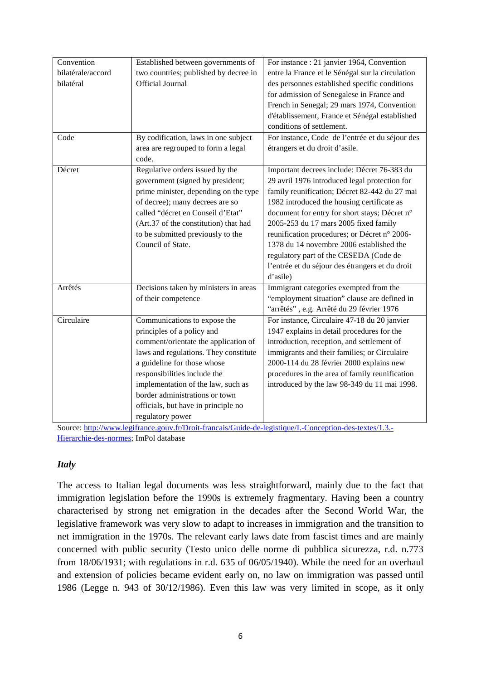| Convention        | Established between governments of    | For instance : 21 janvier 1964, Convention       |
|-------------------|---------------------------------------|--------------------------------------------------|
| bilatérale/accord | two countries; published by decree in | entre la France et le Sénégal sur la circulation |
| bilatéral         | Official Journal                      | des personnes established specific conditions    |
|                   |                                       | for admission of Senegalese in France and        |
|                   |                                       | French in Senegal; 29 mars 1974, Convention      |
|                   |                                       | d'établissement, France et Sénégal established   |
|                   |                                       | conditions of settlement.                        |
| Code              | By codification, laws in one subject  | For instance, Code de l'entrée et du séjour des  |
|                   | area are regrouped to form a legal    | étrangers et du droit d'asile.                   |
|                   | code.                                 |                                                  |
| Décret            | Regulative orders issued by the       | Important decrees include: Décret 76-383 du      |
|                   | government (signed by president;      | 29 avril 1976 introduced legal protection for    |
|                   | prime minister, depending on the type | family reunification; Décret 82-442 du 27 mai    |
|                   | of decree); many decrees are so       | 1982 introduced the housing certificate as       |
|                   | called "décret en Conseil d'Etat"     | document for entry for short stays; Décret n°    |
|                   | (Art.37 of the constitution) that had | 2005-253 du 17 mars 2005 fixed family            |
|                   | to be submitted previously to the     | reunification procedures; or Décret n° 2006-     |
|                   | Council of State.                     | 1378 du 14 novembre 2006 established the         |
|                   |                                       | regulatory part of the CESEDA (Code de           |
|                   |                                       | l'entrée et du séjour des étrangers et du droit  |
|                   |                                       | d'asile)                                         |
| Arrêtés           | Decisions taken by ministers in areas | Immigrant categories exempted from the           |
|                   | of their competence                   | "employment situation" clause are defined in     |
|                   |                                       | "arrêtés", e.g. Arrêté du 29 février 1976        |
| Circulaire        | Communications to expose the          | For instance, Circulaire 47-18 du 20 janvier     |
|                   | principles of a policy and            | 1947 explains in detail procedures for the       |
|                   | comment/orientate the application of  | introduction, reception, and settlement of       |
|                   | laws and regulations. They constitute | immigrants and their families; or Circulaire     |
|                   | a guideline for those whose           | 2000-114 du 28 février 2000 explains new         |
|                   | responsibilities include the          | procedures in the area of family reunification   |
|                   | implementation of the law, such as    | introduced by the law 98-349 du 11 mai 1998.     |
|                   | border administrations or town        |                                                  |
|                   | officials, but have in principle no   |                                                  |
|                   | regulatory power                      |                                                  |

Source: [http://www.legifrance.gouv.fr/Droit-francais/Guide-de-legistique/I.-Conception-des-textes/1.3.-](http://www.legifrance.gouv.fr/Droit-francais/Guide-de-legistique/I.-Conception-des-textes/1.3.-Hierarchie-des-normes) [Hierarchie-des-normes;](http://www.legifrance.gouv.fr/Droit-francais/Guide-de-legistique/I.-Conception-des-textes/1.3.-Hierarchie-des-normes) ImPol database

#### *Italy*

The access to Italian legal documents was less straightforward, mainly due to the fact that immigration legislation before the 1990s is extremely fragmentary. Having been a country characterised by strong net emigration in the decades after the Second World War, the legislative framework was very slow to adapt to increases in immigration and the transition to net immigration in the 1970s. The relevant early laws date from fascist times and are mainly concerned with public security (Testo unico delle norme di pubblica sicurezza, r.d. n.773 from 18/06/1931; with regulations in r.d. 635 of 06/05/1940). While the need for an overhaul and extension of policies became evident early on, no law on immigration was passed until 1986 (Legge n. 943 of 30/12/1986). Even this law was very limited in scope, as it only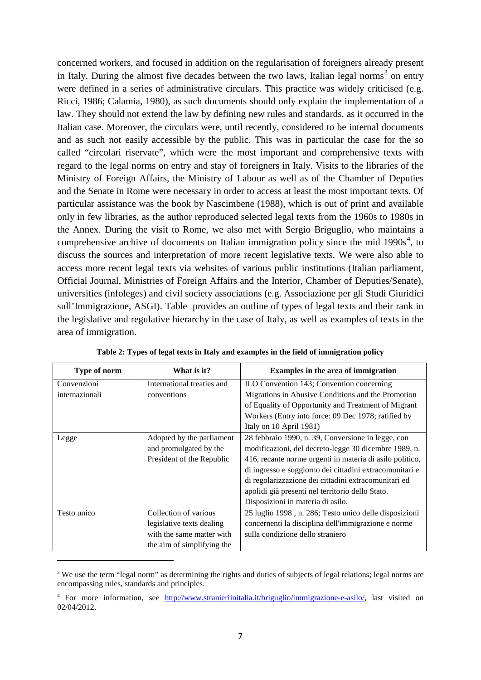concerned workers, and focused in addition on the regularisation of foreigners already present in Italy. During the almost five decades between the two laws, Italian legal norms<sup>[3](#page-3-0)</sup> on entry were defined in a series of administrative circulars. This practice was widely criticised (e.g. Ricci, 1986; Calamia, 1980), as such documents should only explain the implementation of a law. They should not extend the law by defining new rules and standards, as it occurred in the Italian case. Moreover, the circulars were, until recently, considered to be internal documents and as such not easily accessible by the public. This was in particular the case for the so called "circolari riservate", which were the most important and comprehensive texts with regard to the legal norms on entry and stay of foreigners in Italy. Visits to the libraries of the Ministry of Foreign Affairs, the Ministry of Labour as well as of the Chamber of Deputies and the Senate in Rome were necessary in order to access at least the most important texts. Of particular assistance was the book by Nascimbene (1988), which is out of print and available only in few libraries, as the author reproduced selected legal texts from the 1960s to 1980s in the Annex. During the visit to Rome, we also met with Sergio Briguglio, who maintains a comprehensive archive of documents on Italian immigration policy since the mid  $1990s<sup>4</sup>$  $1990s<sup>4</sup>$  $1990s<sup>4</sup>$ , to discuss the sources and interpretation of more recent legislative texts. We were also able to access more recent legal texts via websites of various public institutions (Italian parliament, Official Journal, Ministries of Foreign Affairs and the Interior, Chamber of Deputies/Senate), universities (infoleges) and civil society associations (e.g. Associazione per gli Studi Giuridici sull'Immigrazione, ASGI). [Table](#page-6-0) provides an outline of types of legal texts and their rank in the legislative and regulative hierarchy in the case of Italy, as well as examples of texts in the area of immigration.

<span id="page-6-0"></span>

| Type of norm   | What is it?                | Examples in the area of immigration                      |
|----------------|----------------------------|----------------------------------------------------------|
| Convenzioni    | International treaties and | ILO Convention 143; Convention concerning                |
| internazionali | conventions                | Migrations in Abusive Conditions and the Promotion       |
|                |                            | of Equality of Opportunity and Treatment of Migrant      |
|                |                            | Workers (Entry into force: 09 Dec 1978; ratified by      |
|                |                            | Italy on 10 April 1981)                                  |
| Legge          | Adopted by the parliament  | 28 febbraio 1990, n. 39, Conversione in legge, con       |
|                | and promulgated by the     | modificazioni, del decreto-legge 30 dicembre 1989, n.    |
|                | President of the Republic  | 416, recante norme urgenti in materia di asilo politico, |
|                |                            | di ingresso e soggiorno dei cittadini extracomunitari e  |
|                |                            | di regolarizzazione dei cittadini extracomunitari ed     |
|                |                            | apolidi già presenti nel territorio dello Stato.         |
|                |                            | Disposizioni in materia di asilo.                        |
| Testo unico    | Collection of various      | 25 luglio 1998, n. 286; Testo unico delle disposizioni   |
|                | legislative texts dealing  | concernenti la disciplina dell'immigrazione e norme      |
|                | with the same matter with  | sulla condizione dello straniero                         |
|                | the aim of simplifying the |                                                          |

**Table 2: Types of legal texts in Italy and examples in the field of immigration policy**

 $\overline{\phantom{a}}$ 

<sup>&</sup>lt;sup>3</sup> We use the term "legal norm" as determining the rights and duties of subjects of legal relations; legal norms are encompassing rules, standards and principles.

<span id="page-6-2"></span><span id="page-6-1"></span><sup>4</sup> For more information, see [http://www.stranieriinitalia.it/briguglio/immigrazione-e-asilo/,](http://www.stranieriinitalia.it/briguglio/immigrazione-e-asilo/) last visited on 02/04/2012.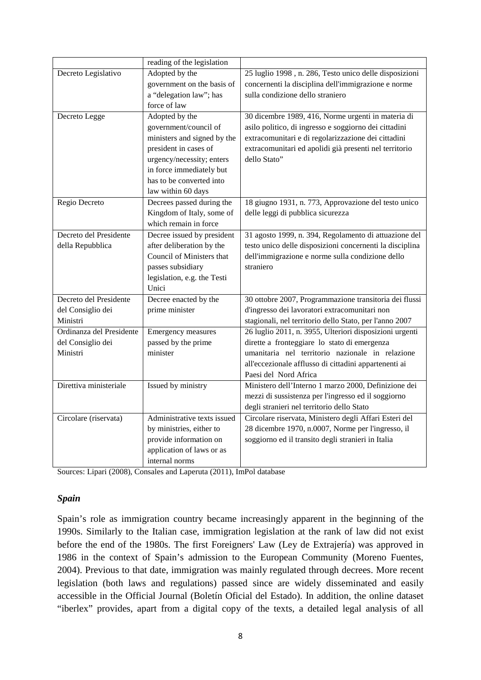|                          | reading of the legislation  |                                                          |
|--------------------------|-----------------------------|----------------------------------------------------------|
| Decreto Legislativo      | Adopted by the              | 25 luglio 1998, n. 286, Testo unico delle disposizioni   |
|                          | government on the basis of  | concernenti la disciplina dell'immigrazione e norme      |
|                          | a "delegation law"; has     | sulla condizione dello straniero                         |
|                          | force of law                |                                                          |
| Decreto Legge            | Adopted by the              | 30 dicembre 1989, 416, Norme urgenti in materia di       |
|                          | government/council of       | asilo politico, di ingresso e soggiorno dei cittadini    |
|                          | ministers and signed by the | extracomunitari e di regolarizzazione dei cittadini      |
|                          | president in cases of       | extracomunitari ed apolidi già presenti nel territorio   |
|                          | urgency/necessity; enters   | dello Stato"                                             |
|                          | in force immediately but    |                                                          |
|                          | has to be converted into    |                                                          |
|                          | law within 60 days          |                                                          |
| Regio Decreto            | Decrees passed during the   | 18 giugno 1931, n. 773, Approvazione del testo unico     |
|                          | Kingdom of Italy, some of   | delle leggi di pubblica sicurezza                        |
|                          | which remain in force       |                                                          |
| Decreto del Presidente   | Decree issued by president  | 31 agosto 1999, n. 394, Regolamento di attuazione del    |
| della Repubblica         | after deliberation by the   | testo unico delle disposizioni concernenti la disciplina |
|                          | Council of Ministers that   | dell'immigrazione e norme sulla condizione dello         |
|                          | passes subsidiary           | straniero                                                |
|                          | legislation, e.g. the Testi |                                                          |
|                          | Unici                       |                                                          |
| Decreto del Presidente   | Decree enacted by the       | 30 ottobre 2007, Programmazione transitoria dei flussi   |
| del Consiglio dei        | prime minister              | d'ingresso dei lavoratori extracomunitari non            |
| Ministri                 |                             | stagionali, nel territorio dello Stato, per l'anno 2007  |
| Ordinanza del Presidente | Emergency measures          | 26 luglio 2011, n. 3955, Ulteriori disposizioni urgenti  |
| del Consiglio dei        | passed by the prime         | dirette a fronteggiare lo stato di emergenza             |
| Ministri                 | minister                    | umanitaria nel territorio nazionale in relazione         |
|                          |                             | all'eccezionale afflusso di cittadini appartenenti ai    |
|                          |                             | Paesi del Nord Africa                                    |
| Direttiva ministeriale   | Issued by ministry          | Ministero dell'Interno 1 marzo 2000, Definizione dei     |
|                          |                             | mezzi di sussistenza per l'ingresso ed il soggiorno      |
|                          |                             | degli stranieri nel territorio dello Stato               |
| Circolare (riservata)    | Administrative texts issued | Circolare riservata, Ministero degli Affari Esteri del   |
|                          | by ministries, either to    | 28 dicembre 1970, n.0007, Norme per l'ingresso, il       |
|                          | provide information on      | soggiorno ed il transito degli stranieri in Italia       |
|                          | application of laws or as   |                                                          |
|                          | internal norms              |                                                          |

Sources: Lipari (2008), Consales and Laperuta (2011), ImPol database

#### *Spain*

Spain's role as immigration country became increasingly apparent in the beginning of the 1990s. Similarly to the Italian case, immigration legislation at the rank of law did not exist before the end of the 1980s. The first Foreigners' Law (Ley de Extrajería) was approved in 1986 in the context of Spain's admission to the European Community (Moreno Fuentes, 2004). Previous to that date, immigration was mainly regulated through decrees. More recent legislation (both laws and regulations) passed since are widely disseminated and easily accessible in the Official Journal (Boletín Oficial del Estado). In addition, the online dataset "iberlex" provides, apart from a digital copy of the texts, a detailed legal analysis of all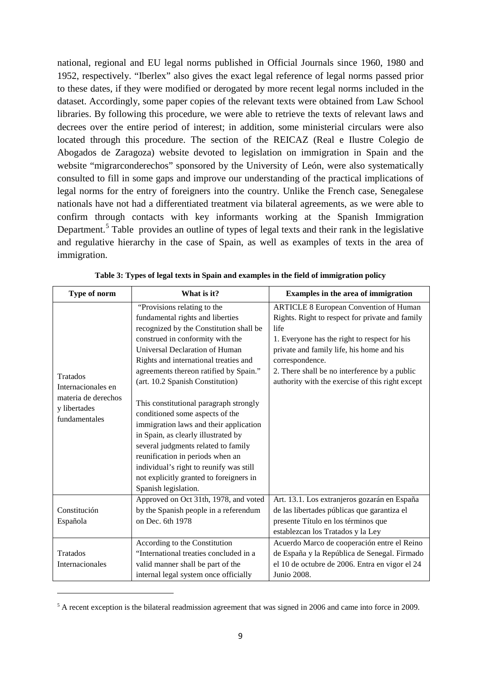national, regional and EU legal norms published in Official Journals since 1960, 1980 and 1952, respectively. "Iberlex" also gives the exact legal reference of legal norms passed prior to these dates, if they were modified or derogated by more recent legal norms included in the dataset. Accordingly, some paper copies of the relevant texts were obtained from Law School libraries. By following this procedure, we were able to retrieve the texts of relevant laws and decrees over the entire period of interest; in addition, some ministerial circulars were also located through this procedure. The section of the REICAZ (Real e Ilustre Colegio de Abogados de Zaragoza) website devoted to legislation on immigration in Spain and the website "migrarconderechos" sponsored by the University of León, were also systematically consulted to fill in some gaps and improve our understanding of the practical implications of legal norms for the entry of foreigners into the country. Unlike the French case, Senegalese nationals have not had a differentiated treatment via bilateral agreements, as we were able to confirm through contacts with key informants working at the Spanish Immigration Department.<sup>[5](#page-6-2)</sup> [Table](#page-8-0) provides an outline of types of legal texts and their rank in the legislative and regulative hierarchy in the case of Spain, as well as examples of texts in the area of immigration.

<span id="page-8-0"></span>

| Type of norm                                                                                  | What is it?                                                                                                                                                                                                                                                                                                                                                                                                                                                                                                                                                                                                                                                    | Examples in the area of immigration                                                                                                                                                                                                                                                                                           |
|-----------------------------------------------------------------------------------------------|----------------------------------------------------------------------------------------------------------------------------------------------------------------------------------------------------------------------------------------------------------------------------------------------------------------------------------------------------------------------------------------------------------------------------------------------------------------------------------------------------------------------------------------------------------------------------------------------------------------------------------------------------------------|-------------------------------------------------------------------------------------------------------------------------------------------------------------------------------------------------------------------------------------------------------------------------------------------------------------------------------|
| <b>Tratados</b><br>Internacionales en<br>materia de derechos<br>y libertades<br>fundamentales | "Provisions relating to the<br>fundamental rights and liberties<br>recognized by the Constitution shall be<br>construed in conformity with the<br>Universal Declaration of Human<br>Rights and international treaties and<br>agreements thereon ratified by Spain."<br>(art. 10.2 Spanish Constitution)<br>This constitutional paragraph strongly<br>conditioned some aspects of the<br>immigration laws and their application<br>in Spain, as clearly illustrated by<br>several judgments related to family<br>reunification in periods when an<br>individual's right to reunify was still<br>not explicitly granted to foreigners in<br>Spanish legislation. | <b>ARTICLE 8 European Convention of Human</b><br>Rights. Right to respect for private and family<br>life<br>1. Everyone has the right to respect for his<br>private and family life, his home and his<br>correspondence.<br>2. There shall be no interference by a public<br>authority with the exercise of this right except |
| Constitución<br>Española                                                                      | Approved on Oct 31th, 1978, and voted<br>by the Spanish people in a referendum<br>on Dec. 6th 1978                                                                                                                                                                                                                                                                                                                                                                                                                                                                                                                                                             | Art. 13.1. Los extranjeros gozarán en España<br>de las libertades públicas que garantiza el<br>presente Título en los términos que<br>establezcan los Tratados y la Ley                                                                                                                                                       |
| Tratados<br>Internacionales                                                                   | According to the Constitution<br>"International treaties concluded in a<br>valid manner shall be part of the<br>internal legal system once officially                                                                                                                                                                                                                                                                                                                                                                                                                                                                                                          | Acuerdo Marco de cooperación entre el Reino<br>de España y la República de Senegal. Firmado<br>el 10 de octubre de 2006. Entra en vigor el 24<br>Junio 2008.                                                                                                                                                                  |

**Table 3: Types of legal texts in Spain and examples in the field of immigration policy**

<span id="page-8-1"></span>1

<sup>&</sup>lt;sup>5</sup> A recent exception is the bilateral readmission agreement that was signed in 2006 and came into force in 2009.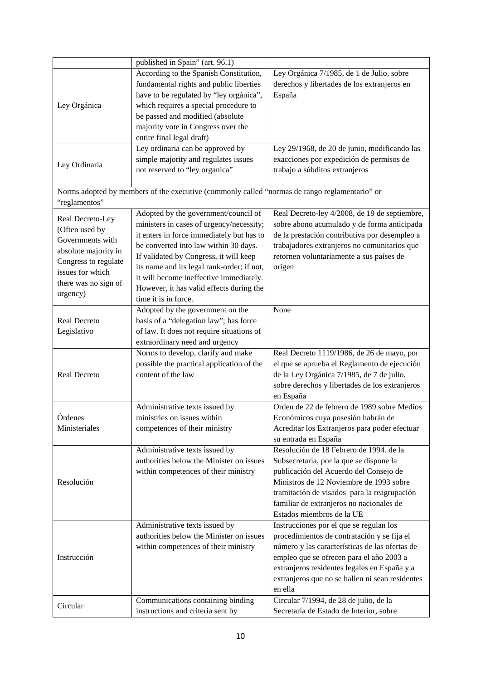|                      | published in Spain" (art. 96.1)                                                               |                                                 |
|----------------------|-----------------------------------------------------------------------------------------------|-------------------------------------------------|
|                      | According to the Spanish Constitution,                                                        | Ley Orgánica 7/1985, de 1 de Julio, sobre       |
|                      | fundamental rights and public liberties                                                       | derechos y libertades de los extranjeros en     |
|                      | have to be regulated by "ley orgánica",                                                       | España                                          |
| Ley Orgánica         | which requires a special procedure to                                                         |                                                 |
|                      | be passed and modified (absolute                                                              |                                                 |
|                      | majority vote in Congress over the                                                            |                                                 |
|                      | entire final legal draft)                                                                     |                                                 |
|                      | Ley ordinaria can be approved by                                                              | Ley 29/1968, de 20 de junio, modificando las    |
|                      | simple majority and regulates issues                                                          | exacciones por expedición de permisos de        |
| Ley Ordinaria        | not reserved to "ley organica"                                                                | trabajo a súbditos extranjeros                  |
|                      |                                                                                               |                                                 |
|                      | Norms adopted by members of the executive (commonly called "normas de rango reglamentario" or |                                                 |
|                      |                                                                                               |                                                 |
| "reglamentos"        |                                                                                               |                                                 |
| Real Decreto-Ley     | Adopted by the government/council of                                                          | Real Decreto-ley 4/2008, de 19 de septiembre,   |
| (Often used by       | ministers in cases of urgency/necessity;                                                      | sobre abono acumulado y de forma anticipada     |
| Governments with     | it enters in force immediately but has to                                                     | de la prestación contributiva por desempleo a   |
| absolute majority in | be converted into law within 30 days.                                                         | trabajadores extranjeros no comunitarios que    |
| Congress to regulate | If validated by Congress, it will keep                                                        | retornen voluntariamente a sus países de        |
| issues for which     | its name and its legal rank-order; if not,                                                    | origen                                          |
| there was no sign of | it will become ineffective immediately.                                                       |                                                 |
| urgency)             | However, it has valid effects during the                                                      |                                                 |
|                      | time it is in force.                                                                          |                                                 |
|                      | Adopted by the government on the                                                              | None                                            |
| Real Decreto         | basis of a "delegation law"; has force                                                        |                                                 |
| Legislativo          | of law. It does not require situations of                                                     |                                                 |
|                      | extraordinary need and urgency                                                                |                                                 |
|                      | Norms to develop, clarify and make                                                            | Real Decreto 1119/1986, de 26 de mayo, por      |
|                      | possible the practical application of the                                                     | el que se aprueba el Reglamento de ejecución    |
| <b>Real Decreto</b>  | content of the law                                                                            | de la Ley Orgánica 7/1985, de 7 de julio,       |
|                      |                                                                                               | sobre derechos y libertades de los extranjeros  |
|                      |                                                                                               | en España                                       |
|                      | Administrative texts issued by                                                                | Orden de 22 de febrero de 1989 sobre Medios     |
| Órdenes              | ministries on issues within                                                                   | Económicos cuya posesión habrán de              |
| Ministeriales        | competences of their ministry                                                                 | Acreditar los Extranjeros para poder efectuar   |
|                      |                                                                                               | su entrada en España                            |
|                      | Administrative texts issued by                                                                | Resolución de 18 Febrero de 1994. de la         |
|                      | authorities below the Minister on issues                                                      | Subsecretaría, por la que se dispone la         |
|                      | within competences of their ministry                                                          | publicación del Acuerdo del Consejo de          |
| Resolución           |                                                                                               | Ministros de 12 Noviembre de 1993 sobre         |
|                      |                                                                                               |                                                 |
|                      |                                                                                               | tramitación de visados para la reagrupación     |
|                      |                                                                                               | familiar de extranjeros no nacionales de        |
|                      |                                                                                               | Estados miembros de la UE                       |
|                      | Administrative texts issued by                                                                | Instrucciones por el que se regulan los         |
|                      | authorities below the Minister on issues                                                      | procedimientos de contratación y se fija el     |
|                      | within competences of their ministry                                                          | número y las características de las ofertas de  |
| Instrucción          |                                                                                               | empleo que se ofrecen para el año 2003 a        |
|                      |                                                                                               | extranjeros residentes legales en España y a    |
|                      |                                                                                               | extranjeros que no se hallen ni sean residentes |
|                      |                                                                                               | en ella                                         |
| Circular             | Communications containing binding                                                             | Circular 7/1994, de 28 de julio, de la          |
|                      | instructions and criteria sent by                                                             | Secretaría de Estado de Interior, sobre         |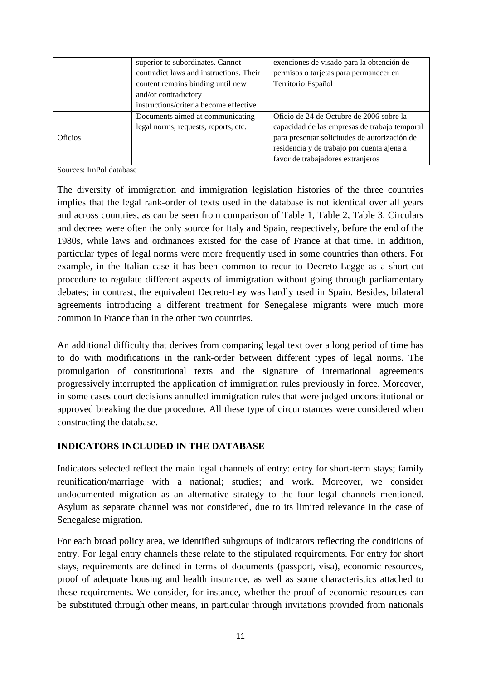|                | superior to subordinates. Cannot        | exenciones de visado para la obtención de     |
|----------------|-----------------------------------------|-----------------------------------------------|
|                | contradict laws and instructions. Their | permisos o tarjetas para permanecer en        |
|                | content remains binding until new       | Territorio Español                            |
|                | and/or contradictory                    |                                               |
|                | instructions/criteria become effective  |                                               |
|                | Documents aimed at communicating        | Oficio de 24 de Octubre de 2006 sobre la      |
|                | legal norms, requests, reports, etc.    | capacidad de las empresas de trabajo temporal |
| <b>Oficios</b> |                                         | para presentar solicitudes de autorización de |
|                |                                         | residencia y de trabajo por cuenta ajena a    |
|                |                                         | favor de trabajadores extranjeros             |

Sources: ImPol database

The diversity of immigration and immigration legislation histories of the three countries implies that the legal rank-order of texts used in the database is not identical over all years and across countries, as can be seen from comparison of [Table 1,](#page-4-0) [Table 2](#page-6-0), [Table](#page-8-0) 3. Circulars and decrees were often the only source for Italy and Spain, respectively, before the end of the 1980s, while laws and ordinances existed for the case of France at that time. In addition, particular types of legal norms were more frequently used in some countries than others. For example, in the Italian case it has been common to recur to Decreto-Legge as a short-cut procedure to regulate different aspects of immigration without going through parliamentary debates; in contrast, the equivalent Decreto-Ley was hardly used in Spain. Besides, bilateral agreements introducing a different treatment for Senegalese migrants were much more common in France than in the other two countries.

An additional difficulty that derives from comparing legal text over a long period of time has to do with modifications in the rank-order between different types of legal norms. The promulgation of constitutional texts and the signature of international agreements progressively interrupted the application of immigration rules previously in force. Moreover, in some cases court decisions annulled immigration rules that were judged unconstitutional or approved breaking the due procedure. All these type of circumstances were considered when constructing the database.

## **INDICATORS INCLUDED IN THE DATABASE**

Indicators selected reflect the main legal channels of entry: entry for short-term stays; family reunification/marriage with a national; studies; and work. Moreover, we consider undocumented migration as an alternative strategy to the four legal channels mentioned. Asylum as separate channel was not considered, due to its limited relevance in the case of Senegalese migration.

For each broad policy area, we identified subgroups of indicators reflecting the conditions of entry. For legal entry channels these relate to the stipulated requirements. For entry for short stays, requirements are defined in terms of documents (passport, visa), economic resources, proof of adequate housing and health insurance, as well as some characteristics attached to these requirements. We consider, for instance, whether the proof of economic resources can be substituted through other means, in particular through invitations provided from nationals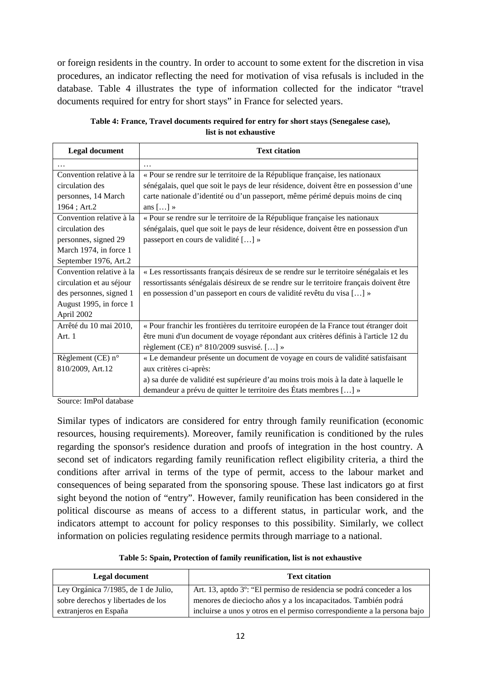or foreign residents in the country. In order to account to some extent for the discretion in visa procedures, an indicator reflecting the need for motivation of visa refusals is included in the database. [Table 4](#page-11-0) illustrates the type of information collected for the indicator "travel documents required for entry for short stays" in France for selected years.

| Table 4: France, Travel documents required for entry for short stays (Senegalese case), |
|-----------------------------------------------------------------------------------------|
| list is not exhaustive                                                                  |

<span id="page-11-0"></span>

| <b>Legal document</b>      | <b>Text citation</b>                                                                    |
|----------------------------|-----------------------------------------------------------------------------------------|
| .                          | $\cdots$                                                                                |
| Convention relative à la   | « Pour se rendre sur le territoire de la République française, les nationaux            |
| circulation des            | sénégalais, quel que soit le pays de leur résidence, doivent être en possession d'une   |
| personnes, 14 March        | carte nationale d'identité ou d'un passeport, même périmé depuis moins de cinq          |
| 1964; Art.2                | ans $[] \times$                                                                         |
| Convention relative à la   | « Pour se rendre sur le territoire de la République française les nationaux             |
| circulation des            | sénégalais, quel que soit le pays de leur résidence, doivent être en possession d'un    |
| personnes, signed 29       | passeport en cours de validité [] »                                                     |
| March 1974, in force 1     |                                                                                         |
| September 1976, Art.2      |                                                                                         |
| Convention relative à la   | « Les ressortissants français désireux de se rendre sur le territoire sénégalais et les |
| circulation et au séjour   | ressortissants sénégalais désireux de se rendre sur le territoire français doivent être |
| des personnes, signed 1    | en possession d'un passeport en cours de validité revêtu du visa [] »                   |
| August 1995, in force 1    |                                                                                         |
| April 2002                 |                                                                                         |
| Arrêté du 10 mai 2010,     | « Pour franchir les frontières du territoire européen de la France tout étranger doit   |
| Art. 1                     | être muni d'un document de voyage répondant aux critères définis à l'article 12 du      |
|                            | règlement (CE) n° 810/2009 susvisé. [] »                                                |
| Règlement (CE) $n^{\circ}$ | « Le demandeur présente un document de voyage en cours de validité satisfaisant         |
| 810/2009, Art.12           | aux critères ci-après:                                                                  |
|                            | a) sa durée de validité est supérieure d'au moins trois mois à la date à laquelle le    |
|                            | demandeur a prévu de quitter le territoire des États membres [] »                       |

Source: ImPol database

Similar types of indicators are considered for entry through family reunification (economic resources, housing requirements). Moreover, family reunification is conditioned by the rules regarding the sponsor's residence duration and proofs of integration in the host country. A second set of indicators regarding family reunification reflect eligibility criteria, a third the conditions after arrival in terms of the type of permit, access to the labour market and consequences of being separated from the sponsoring spouse. These last indicators go at first sight beyond the notion of "entry". However, family reunification has been considered in the political discourse as means of access to a different status, in particular work, and the indicators attempt to account for policy responses to this possibility. Similarly, we collect information on policies regulating residence permits through marriage to a national.

|  |  |  |  | Table 5: Spain, Protection of family reunification, list is not exhaustive |
|--|--|--|--|----------------------------------------------------------------------------|
|--|--|--|--|----------------------------------------------------------------------------|

| Legal document                      | <b>Text citation</b>                                                              |
|-------------------------------------|-----------------------------------------------------------------------------------|
| Ley Orgánica 7/1985, de 1 de Julio, | Art. 13, aptdo 3 <sup>o</sup> : "El permiso de residencia se podrá conceder a los |
| sobre derechos y libertades de los  | menores de dieciocho años y a los incapacitados. También podrá                    |
| extranjeros en España               | incluirse a unos y otros en el permiso correspondiente a la persona bajo          |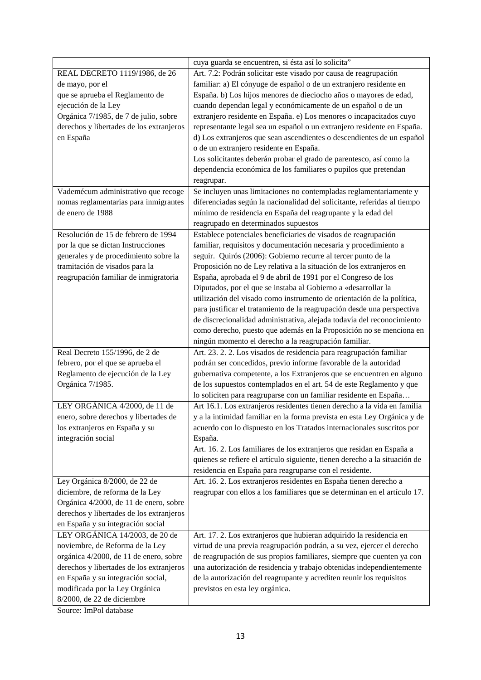|                                          | cuya guarda se encuentren, si ésta así lo solicita"                        |
|------------------------------------------|----------------------------------------------------------------------------|
| REAL DECRETO 1119/1986, de 26            | Art. 7.2: Podrán solicitar este visado por causa de reagrupación           |
| de mayo, por el                          | familiar: a) El cónyuge de español o de un extranjero residente en         |
| que se aprueba el Reglamento de          | España. b) Los hijos menores de dieciocho años o mayores de edad,          |
| ejecución de la Ley                      | cuando dependan legal y económicamente de un español o de un               |
| Orgánica 7/1985, de 7 de julio, sobre    | extranjero residente en España. e) Los menores o incapacitados cuyo        |
| derechos y libertades de los extranjeros | representante legal sea un español o un extranjero residente en España.    |
| en España                                | d) Los extranjeros que sean ascendientes o descendientes de un español     |
|                                          | o de un extranjero residente en España.                                    |
|                                          | Los solicitantes deberán probar el grado de parentesco, así como la        |
|                                          | dependencia económica de los familiares o pupilos que pretendan            |
|                                          | reagrupar.                                                                 |
| Vademécum administrativo que recoge      | Se incluyen unas limitaciones no contempladas reglamentariamente y         |
| nomas reglamentarias para inmigrantes    | diferenciadas según la nacionalidad del solicitante, referidas al tiempo   |
| de enero de 1988                         | mínimo de residencia en España del reagrupante y la edad del               |
|                                          | reagrupado en determinados supuestos                                       |
| Resolución de 15 de febrero de 1994      | Establece potenciales beneficiaries de visados de reagrupación             |
| por la que se dictan Instrucciones       | familiar, requisitos y documentación necesaria y procedimiento a           |
| generales y de procedimiento sobre la    | seguir. Quirós (2006): Gobierno recurre al tercer punto de la              |
| tramitación de visados para la           | Proposición no de Ley relativa a la situación de los extranjeros en        |
| reagrupación familiar de inmigratoria    | España, aprobada el 9 de abril de 1991 por el Congreso de los              |
|                                          | Diputados, por el que se instaba al Gobierno a «desarrollar la             |
|                                          | utilización del visado como instrumento de orientación de la política,     |
|                                          | para justificar el tratamiento de la reagrupación desde una perspectiva    |
|                                          | de discrecionalidad administrativa, alejada todavía del reconocimiento     |
|                                          | como derecho, puesto que además en la Proposición no se menciona en        |
|                                          | ningún momento el derecho a la reagrupación familiar.                      |
| Real Decreto 155/1996, de 2 de           | Art. 23. 2. 2. Los visados de residencia para reagrupación familiar        |
| febrero, por el que se aprueba el        | podrán ser concedidos, previo informe favorable de la autoridad            |
| Reglamento de ejecución de la Ley        | gubernativa competente, a los Extranjeros que se encuentren en alguno      |
| Orgánica 7/1985.                         | de los supuestos contemplados en el art. 54 de este Reglamento y que       |
|                                          | lo soliciten para reagruparse con un familiar residente en España          |
| LEY ORGÁNICA 4/2000, de 11 de            | Art 16.1. Los extranjeros residentes tienen derecho a la vida en familia   |
| enero, sobre derechos y libertades de    | y a la intimidad familiar en la forma prevista en esta Ley Orgánica y de   |
| los extranjeros en España y su           | acuerdo con lo dispuesto en los Tratados internacionales suscritos por     |
| integración social                       | España.                                                                    |
|                                          | Art. 16. 2. Los familiares de los extranjeros que residan en España a      |
|                                          | quienes se refiere el artículo siguiente, tienen derecho a la situación de |
|                                          | residencia en España para reagruparse con el residente.                    |
| Ley Orgánica 8/2000, de 22 de            | Art. 16. 2. Los extranjeros residentes en España tienen derecho a          |
|                                          |                                                                            |
| diciembre, de reforma de la Ley          | reagrupar con ellos a los familiares que se determinan en el artículo 17.  |
| Orgánica 4/2000, de 11 de enero, sobre   |                                                                            |
| derechos y libertades de los extranjeros |                                                                            |
| en España y su integración social        |                                                                            |
| LEY ORGÁNICA 14/2003, de 20 de           | Art. 17. 2. Los extranjeros que hubieran adquirido la residencia en        |
| noviembre, de Reforma de la Ley          | virtud de una previa reagrupación podrán, a su vez, ejercer el derecho     |
| orgánica 4/2000, de 11 de enero, sobre   | de reagrupación de sus propios familiares, siempre que cuenten ya con      |
| derechos y libertades de los extranjeros | una autorización de residencia y trabajo obtenidas independientemente      |
| en España y su integración social,       | de la autorización del reagrupante y acrediten reunir los requisitos       |
| modificada por la Ley Orgánica           | previstos en esta ley orgánica.                                            |
| 8/2000, de 22 de diciembre               |                                                                            |

Source: ImPol database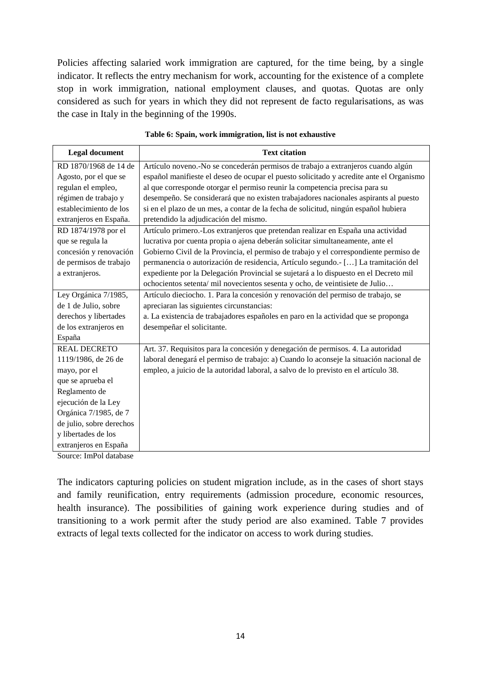Policies affecting salaried work immigration are captured, for the time being, by a single indicator. It reflects the entry mechanism for work, accounting for the existence of a complete stop in work immigration, national employment clauses, and quotas. Quotas are only considered as such for years in which they did not represent de facto regularisations, as was the case in Italy in the beginning of the 1990s.

| <b>Legal document</b>    | <b>Text citation</b>                                                                    |
|--------------------------|-----------------------------------------------------------------------------------------|
| RD 1870/1968 de 14 de    | Artículo noveno.-No se concederán permisos de trabajo a extranjeros cuando algún        |
| Agosto, por el que se    | español manifieste el deseo de ocupar el puesto solicitado y acredite ante el Organismo |
| regulan el empleo,       | al que corresponde otorgar el permiso reunir la competencia precisa para su             |
| régimen de trabajo y     | desempeño. Se considerará que no existen trabajadores nacionales aspirants al puesto    |
| establecimiento de los   | si en el plazo de un mes, a contar de la fecha de solicitud, ningún español hubiera     |
| extranjeros en España.   | pretendido la adjudicación del mismo.                                                   |
| RD 1874/1978 por el      | Artículo primero.-Los extranjeros que pretendan realizar en España una actividad        |
| que se regula la         | lucrativa por cuenta propia o ajena deberán solicitar simultaneamente, ante el          |
| concesión y renovación   | Gobierno Civil de la Provincia, el permiso de trabajo y el correspondiente permiso de   |
| de permisos de trabajo   | permanencia o autorización de residencia, Artículo segundo.- [] La tramitación del      |
| a extranjeros.           | expediente por la Delegación Provincial se sujetará a lo dispuesto en el Decreto mil    |
|                          | ochocientos setenta/ mil novecientos sesenta y ocho, de veintisiete de Julio            |
| Ley Orgánica 7/1985,     | Artículo dieciocho. 1. Para la concesión y renovación del permiso de trabajo, se        |
| de 1 de Julio, sobre     | apreciaran las siguientes circunstancias:                                               |
| derechos y libertades    | a. La existencia de trabajadores españoles en paro en la actividad que se proponga      |
| de los extranjeros en    | desempeñar el solicitante.                                                              |
| España                   |                                                                                         |
| <b>REAL DECRETO</b>      | Art. 37. Requisitos para la concesión y denegación de permisos. 4. La autoridad         |
| 1119/1986, de 26 de      | laboral denegará el permiso de trabajo: a) Cuando lo aconseje la situación nacional de  |
| mayo, por el             | empleo, a juicio de la autoridad laboral, a salvo de lo previsto en el artículo 38.     |
| que se aprueba el        |                                                                                         |
| Reglamento de            |                                                                                         |
| ejecución de la Ley      |                                                                                         |
| Orgánica 7/1985, de 7    |                                                                                         |
| de julio, sobre derechos |                                                                                         |
| y libertades de los      |                                                                                         |
| extranjeros en España    |                                                                                         |
| Source: ImPol database   |                                                                                         |

#### **Table 6: Spain, work immigration, list is not exhaustive**

The indicators capturing policies on student migration include, as in the cases of short stays and family reunification, entry requirements (admission procedure, economic resources, health insurance). The possibilities of gaining work experience during studies and of transitioning to a work permit after the study period are also examined. Table 7 provides extracts of legal texts collected for the indicator on access to work during studies.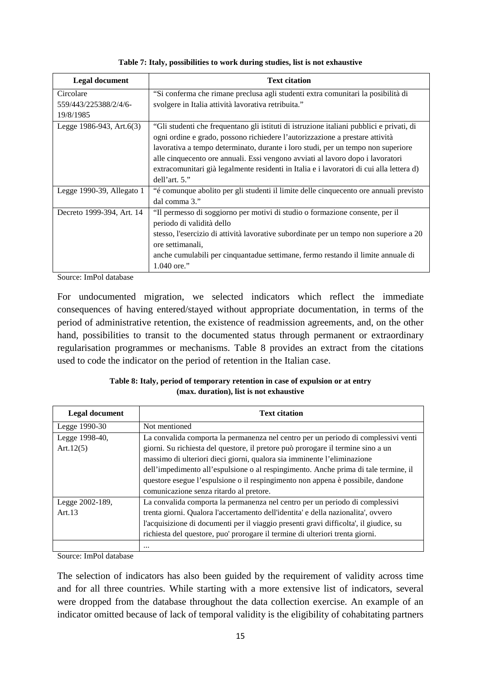| <b>Legal document</b>          | <b>Text citation</b>                                                                     |
|--------------------------------|------------------------------------------------------------------------------------------|
| Circolare                      | "Si conferma che rimane preclusa agli studenti extra comunitari la posibilità di         |
| 559/443/225388/2/4/6-          | svolgere in Italia attività lavorativa retribuita."                                      |
| 19/8/1985                      |                                                                                          |
| Legge $1986-943$ , Art. $6(3)$ | "Gli studenti che frequentano gli istituti di istruzione italiani pubblici e privati, di |
|                                | ogni ordine e grado, possono richiedere l'autorizzazione a prestare attività             |
|                                | lavorativa a tempo determinato, durante i loro studi, per un tempo non superiore         |
|                                | alle cinquecento ore annuali. Essi vengono avviati al lavoro dopo i lavoratori           |
|                                | extracomunitari già legalmente residenti in Italia e i lavoratori di cui alla lettera d) |
|                                | dell'art. 5."                                                                            |
| Legge 1990-39, Allegato 1      | "é comunque abolito per gli studenti il limite delle cinquecento ore annuali previsto    |
|                                | dal comma 3."                                                                            |
| Decreto 1999-394, Art. 14      | "Il permesso di soggiorno per motivi di studio o formazione consente, per il             |
|                                | periodo di validità dello                                                                |
|                                | stesso, l'esercizio di attività lavorative subordinate per un tempo non superiore a 20   |
|                                | ore settimanali,                                                                         |
|                                | anche cumulabili per cinquantadue settimane, fermo restando il limite annuale di         |
|                                | 1.040 ore."                                                                              |

**Table 7: Italy, possibilities to work during studies, list is not exhaustive**

Source: ImPol database

For undocumented migration, we selected indicators which reflect the immediate consequences of having entered/stayed without appropriate documentation, in terms of the period of administrative retention, the existence of readmission agreements, and, on the other hand, possibilities to transit to the documented status through permanent or extraordinary regularisation programmes or mechanisms. [Table 8](#page-14-0) provides an extract from the citations used to code the indicator on the period of retention in the Italian case.

| Table 8: Italy, period of temporary retention in case of expulsion or at entry |
|--------------------------------------------------------------------------------|
| (max. duration), list is not exhaustive                                        |

<span id="page-14-0"></span>

| <b>Legal document</b> | <b>Text citation</b>                                                                                                                                           |  |  |  |
|-----------------------|----------------------------------------------------------------------------------------------------------------------------------------------------------------|--|--|--|
| Legge 1990-30         | Not mentioned                                                                                                                                                  |  |  |  |
| Legge 1998-40,        | La convalida comporta la permanenza nel centro per un periodo di complessivi venti                                                                             |  |  |  |
| Art.12 $(5)$          | giorni. Su richiesta del questore, il pretore può prorogare il termine sino a un                                                                               |  |  |  |
|                       | massimo di ulteriori dieci giorni, qualora sia imminente l'eliminazione<br>dell'impedimento all'espulsione o al respingimento. Anche prima di tale termine, il |  |  |  |
|                       | questore esegue l'espulsione o il respingimento non appena è possibile, dandone                                                                                |  |  |  |
|                       | comunicazione senza ritardo al pretore.                                                                                                                        |  |  |  |
| Legge 2002-189,       | La convalida comporta la permanenza nel centro per un periodo di complessivi                                                                                   |  |  |  |
| Art.13                | trenta giorni. Qualora l'accertamento dell'identita' e della nazionalita', ovvero                                                                              |  |  |  |
|                       | l'acquisizione di documenti per il viaggio presenti gravi difficolta', il giudice, su                                                                          |  |  |  |
|                       | richiesta del questore, puo' prorogare il termine di ulteriori trenta giorni.                                                                                  |  |  |  |
|                       | $\cdots$                                                                                                                                                       |  |  |  |

Source: ImPol database

The selection of indicators has also been guided by the requirement of validity across time and for all three countries. While starting with a more extensive list of indicators, several were dropped from the database throughout the data collection exercise. An example of an indicator omitted because of lack of temporal validity is the eligibility of cohabitating partners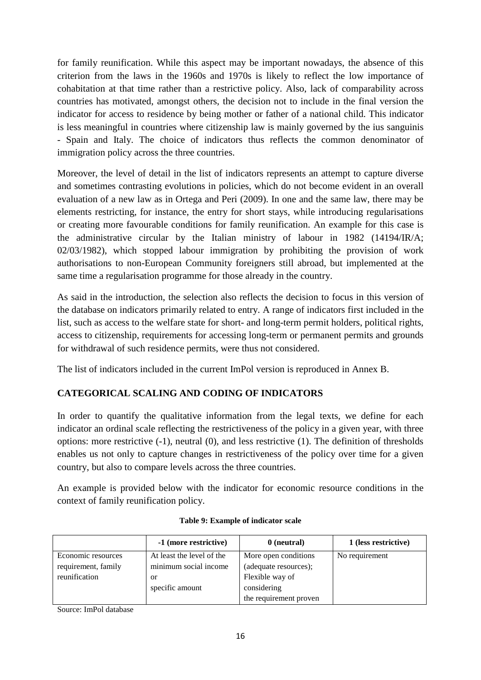for family reunification. While this aspect may be important nowadays, the absence of this criterion from the laws in the 1960s and 1970s is likely to reflect the low importance of cohabitation at that time rather than a restrictive policy. Also, lack of comparability across countries has motivated, amongst others, the decision not to include in the final version the indicator for access to residence by being mother or father of a national child. This indicator is less meaningful in countries where citizenship law is mainly governed by the ius sanguinis - Spain and Italy. The choice of indicators thus reflects the common denominator of immigration policy across the three countries.

Moreover, the level of detail in the list of indicators represents an attempt to capture diverse and sometimes contrasting evolutions in policies, which do not become evident in an overall evaluation of a new law as in Ortega and Peri (2009). In one and the same law, there may be elements restricting, for instance, the entry for short stays, while introducing regularisations or creating more favourable conditions for family reunification. An example for this case is the administrative circular by the Italian ministry of labour in 1982 (14194/IR/A; 02/03/1982), which stopped labour immigration by prohibiting the provision of work authorisations to non-European Community foreigners still abroad, but implemented at the same time a regularisation programme for those already in the country.

As said in the introduction, the selection also reflects the decision to focus in this version of the database on indicators primarily related to entry. A range of indicators first included in the list, such as access to the welfare state for short- and long-term permit holders, political rights, access to citizenship, requirements for accessing long-term or permanent permits and grounds for withdrawal of such residence permits, were thus not considered.

The list of indicators included in the current ImPol version is reproduced in Annex B.

## **CATEGORICAL SCALING AND CODING OF INDICATORS**

In order to quantify the qualitative information from the legal texts, we define for each indicator an ordinal scale reflecting the restrictiveness of the policy in a given year, with three options: more restrictive (-1), neutral (0), and less restrictive (1). The definition of thresholds enables us not only to capture changes in restrictiveness of the policy over time for a given country, but also to compare levels across the three countries.

An example is provided below with the indicator for economic resource conditions in the context of family reunification policy.

|                     | -1 (more restrictive)     | 0 (neutral)            | 1 (less restrictive) |
|---------------------|---------------------------|------------------------|----------------------|
| Economic resources  | At least the level of the | More open conditions   | No requirement       |
| requirement, family | minimum social income     | (adequate resources);  |                      |
| reunification       | or                        | Flexible way of        |                      |
|                     | specific amount           | considering            |                      |
|                     |                           | the requirement proven |                      |

#### **Table 9: Example of indicator scale**

Source: ImPol database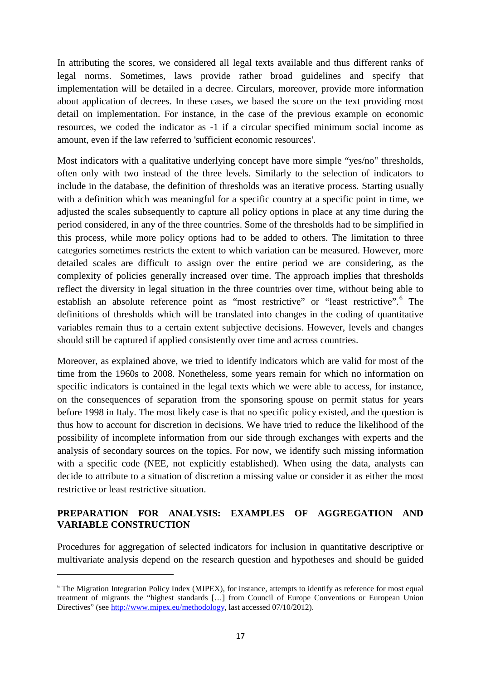In attributing the scores, we considered all legal texts available and thus different ranks of legal norms. Sometimes, laws provide rather broad guidelines and specify that implementation will be detailed in a decree. Circulars, moreover, provide more information about application of decrees. In these cases, we based the score on the text providing most detail on implementation. For instance, in the case of the previous example on economic resources, we coded the indicator as -1 if a circular specified minimum social income as amount, even if the law referred to 'sufficient economic resources'.

Most indicators with a qualitative underlying concept have more simple "yes/no" thresholds, often only with two instead of the three levels. Similarly to the selection of indicators to include in the database, the definition of thresholds was an iterative process. Starting usually with a definition which was meaningful for a specific country at a specific point in time, we adjusted the scales subsequently to capture all policy options in place at any time during the period considered, in any of the three countries. Some of the thresholds had to be simplified in this process, while more policy options had to be added to others. The limitation to three categories sometimes restricts the extent to which variation can be measured. However, more detailed scales are difficult to assign over the entire period we are considering, as the complexity of policies generally increased over time. The approach implies that thresholds reflect the diversity in legal situation in the three countries over time, without being able to establish an absolute reference point as "most restrictive" or "least restrictive". The definitions of thresholds which will be translated into changes in the coding of quantitative variables remain thus to a certain extent subjective decisions. However, levels and changes should still be captured if applied consistently over time and across countries.

Moreover, as explained above, we tried to identify indicators which are valid for most of the time from the 1960s to 2008. Nonetheless, some years remain for which no information on specific indicators is contained in the legal texts which we were able to access, for instance, on the consequences of separation from the sponsoring spouse on permit status for years before 1998 in Italy. The most likely case is that no specific policy existed, and the question is thus how to account for discretion in decisions. We have tried to reduce the likelihood of the possibility of incomplete information from our side through exchanges with experts and the analysis of secondary sources on the topics. For now, we identify such missing information with a specific code (NEE, not explicitly established). When using the data, analysts can decide to attribute to a situation of discretion a missing value or consider it as either the most restrictive or least restrictive situation.

### **PREPARATION FOR ANALYSIS: EXAMPLES OF AGGREGATION AND VARIABLE CONSTRUCTION**

Procedures for aggregation of selected indicators for inclusion in quantitative descriptive or multivariate analysis depend on the research question and hypotheses and should be guided

**.** 

<span id="page-16-0"></span><sup>&</sup>lt;sup>6</sup> The Migration Integration Policy Index (MIPEX), for instance, attempts to identify as reference for most equal treatment of migrants the "highest standards […] from Council of Europe Conventions or European Union Directives" (see [http://www.mipex.eu/methodology,](http://www.mipex.eu/methodology) last accessed 07/10/2012).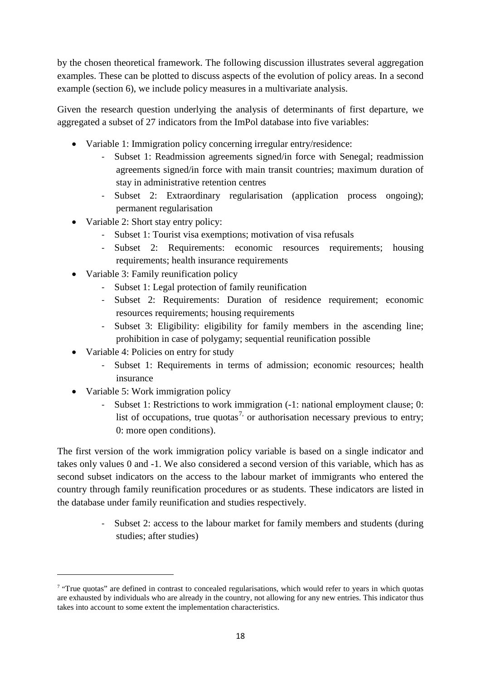by the chosen theoretical framework. The following discussion illustrates several aggregation examples. These can be plotted to discuss aspects of the evolution of policy areas. In a second example (section 6), we include policy measures in a multivariate analysis.

Given the research question underlying the analysis of determinants of first departure, we aggregated a subset of 27 indicators from the ImPol database into five variables:

- Variable 1: Immigration policy concerning irregular entry/residence:
	- Subset 1: Readmission agreements signed/in force with Senegal; readmission agreements signed/in force with main transit countries; maximum duration of stay in administrative retention centres
	- Subset 2: Extraordinary regularisation (application process ongoing); permanent regularisation
- Variable 2: Short stay entry policy:
	- Subset 1: Tourist visa exemptions; motivation of visa refusals
	- Subset 2: Requirements: economic resources requirements; housing requirements; health insurance requirements
- Variable 3: Family reunification policy
	- Subset 1: Legal protection of family reunification
	- Subset 2: Requirements: Duration of residence requirement; economic resources requirements; housing requirements
	- Subset 3: Eligibility: eligibility for family members in the ascending line; prohibition in case of polygamy; sequential reunification possible
- Variable 4: Policies on entry for study
	- Subset 1: Requirements in terms of admission; economic resources; health insurance
- Variable 5: Work immigration policy

**.** 

Subset 1: Restrictions to work immigration  $(-1)$ : national employment clause; 0: list of occupations, true quotas<sup>[7,](#page-16-0)</sup> or authorisation necessary previous to entry; 0: more open conditions).

The first version of the work immigration policy variable is based on a single indicator and takes only values 0 and -1. We also considered a second version of this variable, which has as second subset indicators on the access to the labour market of immigrants who entered the country through family reunification procedures or as students. These indicators are listed in the database under family reunification and studies respectively.

> Subset 2: access to the labour market for family members and students (during studies; after studies)

<span id="page-17-0"></span><sup>&</sup>lt;sup>7</sup> "True quotas" are defined in contrast to concealed regularisations, which would refer to years in which quotas are exhausted by individuals who are already in the country, not allowing for any new entries. This indicator thus takes into account to some extent the implementation characteristics.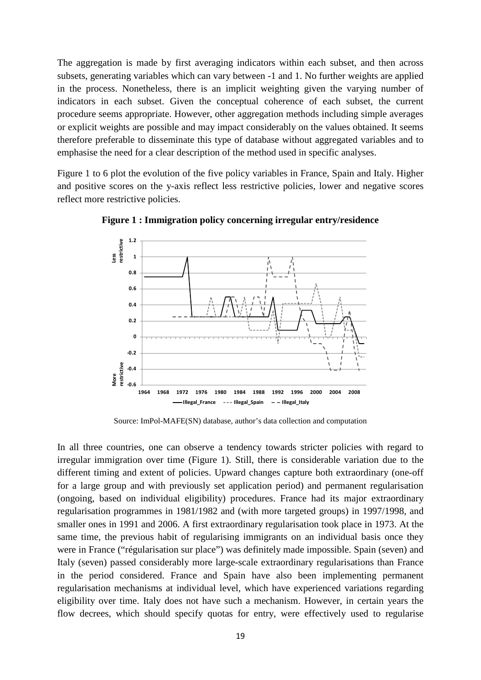The aggregation is made by first averaging indicators within each subset, and then across subsets, generating variables which can vary between -1 and 1. No further weights are applied in the process. Nonetheless, there is an implicit weighting given the varying number of indicators in each subset. Given the conceptual coherence of each subset, the current procedure seems appropriate. However, other aggregation methods including simple averages or explicit weights are possible and may impact considerably on the values obtained. It seems therefore preferable to disseminate this type of database without aggregated variables and to emphasise the need for a clear description of the method used in specific analyses.

<span id="page-18-0"></span>[Figure 1](#page-18-0) to 6 plot the evolution of the five policy variables in France, Spain and Italy. Higher and positive scores on the y-axis reflect less restrictive policies, lower and negative scores reflect more restrictive policies.



**Figure 1 : Immigration policy concerning irregular entry/residence**

Source: ImPol-MAFE(SN) database, author's data collection and computation

In all three countries, one can observe a tendency towards stricter policies with regard to irregular immigration over time (Figure 1). Still, there is considerable variation due to the different timing and extent of policies. Upward changes capture both extraordinary (one-off for a large group and with previously set application period) and permanent regularisation (ongoing, based on individual eligibility) procedures. France had its major extraordinary regularisation programmes in 1981/1982 and (with more targeted groups) in 1997/1998, and smaller ones in 1991 and 2006. A first extraordinary regularisation took place in 1973. At the same time, the previous habit of regularising immigrants on an individual basis once they were in France ("régularisation sur place") was definitely made impossible. Spain (seven) and Italy (seven) passed considerably more large-scale extraordinary regularisations than France in the period considered. France and Spain have also been implementing permanent regularisation mechanisms at individual level, which have experienced variations regarding eligibility over time. Italy does not have such a mechanism. However, in certain years the flow decrees, which should specify quotas for entry, were effectively used to regularise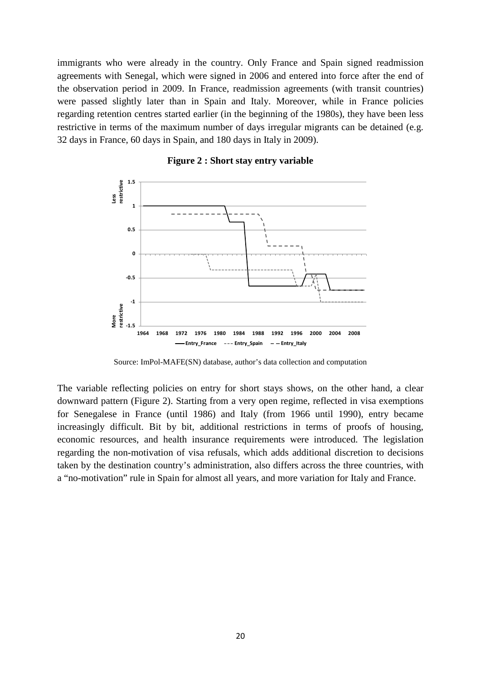immigrants who were already in the country. Only France and Spain signed readmission agreements with Senegal, which were signed in 2006 and entered into force after the end of the observation period in 2009. In France, readmission agreements (with transit countries) were passed slightly later than in Spain and Italy. Moreover, while in France policies regarding retention centres started earlier (in the beginning of the 1980s), they have been less restrictive in terms of the maximum number of days irregular migrants can be detained (e.g. 32 days in France, 60 days in Spain, and 180 days in Italy in 2009).



**Figure 2 : Short stay entry variable**

Source: ImPol-MAFE(SN) database, author's data collection and computation

The variable reflecting policies on entry for short stays shows, on the other hand, a clear downward pattern (Figure 2). Starting from a very open regime, reflected in visa exemptions for Senegalese in France (until 1986) and Italy (from 1966 until 1990), entry became increasingly difficult. Bit by bit, additional restrictions in terms of proofs of housing, economic resources, and health insurance requirements were introduced. The legislation regarding the non-motivation of visa refusals, which adds additional discretion to decisions taken by the destination country's administration, also differs across the three countries, with a "no-motivation" rule in Spain for almost all years, and more variation for Italy and France.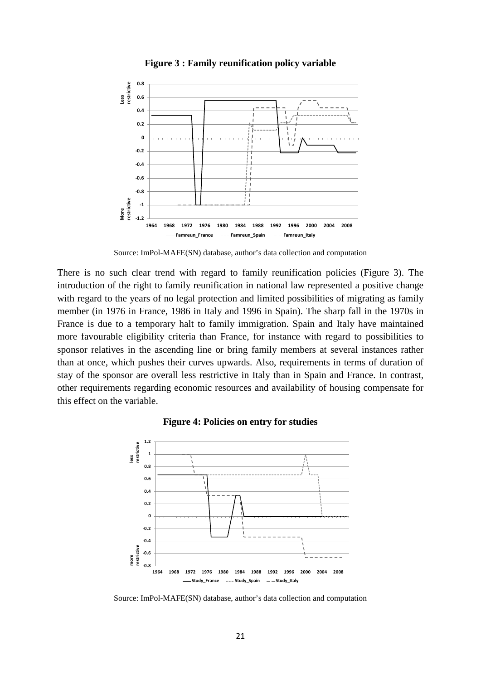

**Figure 3 : Family reunification policy variable**

Source: ImPol-MAFE(SN) database, author's data collection and computation

There is no such clear trend with regard to family reunification policies (Figure 3). The introduction of the right to family reunification in national law represented a positive change with regard to the years of no legal protection and limited possibilities of migrating as family member (in 1976 in France, 1986 in Italy and 1996 in Spain). The sharp fall in the 1970s in France is due to a temporary halt to family immigration. Spain and Italy have maintained more favourable eligibility criteria than France, for instance with regard to possibilities to sponsor relatives in the ascending line or bring family members at several instances rather than at once, which pushes their curves upwards. Also, requirements in terms of duration of stay of the sponsor are overall less restrictive in Italy than in Spain and France. In contrast, other requirements regarding economic resources and availability of housing compensate for this effect on the variable.

<span id="page-20-0"></span>

#### **Figure 4: Policies on entry for studies**

Source: ImPol-MAFE(SN) database, author's data collection and computation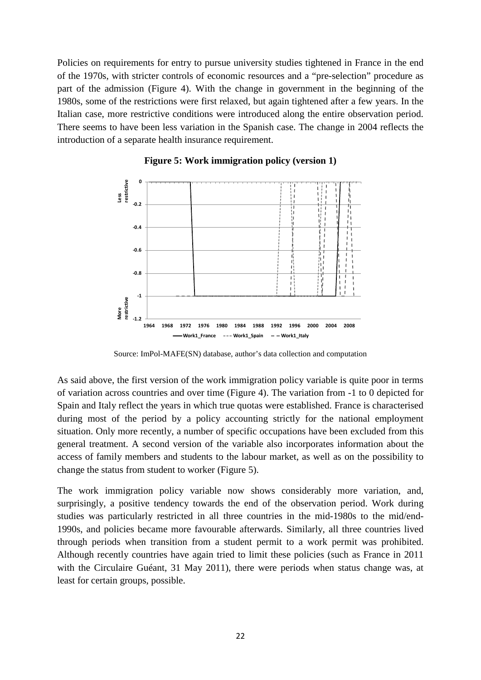Policies on requirements for entry to pursue university studies tightened in France in the end of the 1970s, with stricter controls of economic resources and a "pre-selection" procedure as part of the admission [\(Figure 4\)](#page-20-0). With the change in government in the beginning of the 1980s, some of the restrictions were first relaxed, but again tightened after a few years. In the Italian case, more restrictive conditions were introduced along the entire observation period. There seems to have been less variation in the Spanish case. The change in 2004 reflects the introduction of a separate health insurance requirement.



#### **Figure 5: Work immigration policy (version 1)**

Source: ImPol-MAFE(SN) database, author's data collection and computation

As said above, the first version of the work immigration policy variable is quite poor in terms of variation across countries and over time (Figure 4). The variation from -1 to 0 depicted for Spain and Italy reflect the years in which true quotas were established. France is characterised during most of the period by a policy accounting strictly for the national employment situation. Only more recently, a number of specific occupations have been excluded from this general treatment. A second version of the variable also incorporates information about the access of family members and students to the labour market, as well as on the possibility to change the status from student to worker (Figure 5).

The work immigration policy variable now shows considerably more variation, and, surprisingly, a positive tendency towards the end of the observation period. Work during studies was particularly restricted in all three countries in the mid-1980s to the mid/end-1990s, and policies became more favourable afterwards. Similarly, all three countries lived through periods when transition from a student permit to a work permit was prohibited. Although recently countries have again tried to limit these policies (such as France in 2011 with the Circulaire Guéant, 31 May 2011), there were periods when status change was, at least for certain groups, possible.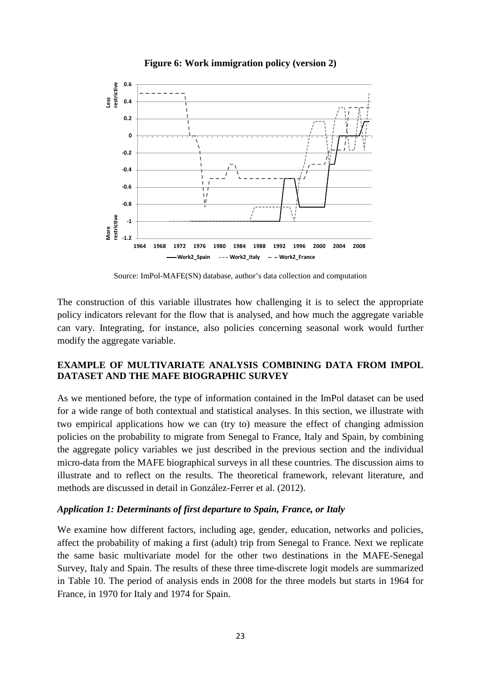

#### **Figure 6: Work immigration policy (version 2)**

Source: ImPol-MAFE(SN) database, author's data collection and computation

The construction of this variable illustrates how challenging it is to select the appropriate policy indicators relevant for the flow that is analysed, and how much the aggregate variable can vary. Integrating, for instance, also policies concerning seasonal work would further modify the aggregate variable.

#### **EXAMPLE OF MULTIVARIATE ANALYSIS COMBINING DATA FROM IMPOL DATASET AND THE MAFE BIOGRAPHIC SURVEY**

As we mentioned before, the type of information contained in the ImPol dataset can be used for a wide range of both contextual and statistical analyses. In this section, we illustrate with two empirical applications how we can (try to) measure the effect of changing admission policies on the probability to migrate from Senegal to France, Italy and Spain, by combining the aggregate policy variables we just described in the previous section and the individual micro-data from the MAFE biographical surveys in all these countries. The discussion aims to illustrate and to reflect on the results. The theoretical framework, relevant literature, and methods are discussed in detail in González-Ferrer et al. (2012).

#### *Application 1: Determinants of first departure to Spain, France, or Italy*

We examine how different factors, including age, gender, education, networks and policies, affect the probability of making a first (adult) trip from Senegal to France. Next we replicate the same basic multivariate model for the other two destinations in the MAFE-Senegal Survey, Italy and Spain. The results of these three time-discrete logit models are summarized in Table 10. The period of analysis ends in 2008 for the three models but starts in 1964 for France, in 1970 for Italy and 1974 for Spain.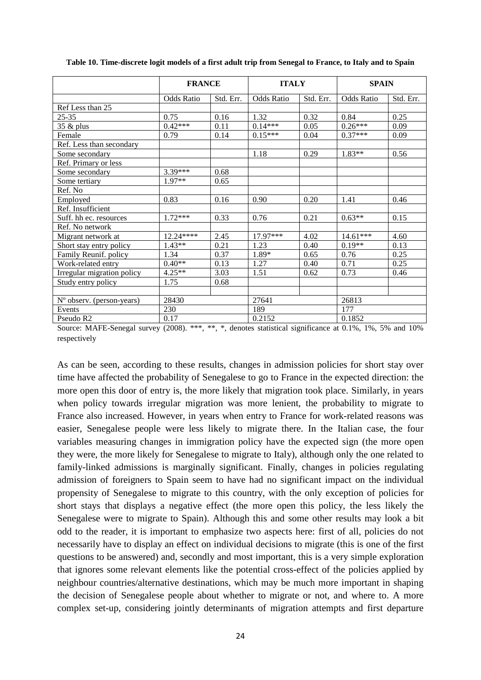|                            | <b>FRANCE</b>     |           | <b>ITALY</b>      |           | <b>SPAIN</b>      |           |
|----------------------------|-------------------|-----------|-------------------|-----------|-------------------|-----------|
|                            | <b>Odds Ratio</b> | Std. Err. | <b>Odds Ratio</b> | Std. Err. | <b>Odds Ratio</b> | Std. Err. |
| Ref Less than 25           |                   |           |                   |           |                   |           |
| $25 - 35$                  | 0.75              | 0.16      | 1.32              | 0.32      | 0.84              | 0.25      |
| $35 \& \text{plus}$        | $0.42***$         | 0.11      | $0.14***$         | 0.05      | $0.26***$         | 0.09      |
| Female                     | 0.79              | 0.14      | $0.15***$         | 0.04      | $0.37***$         | 0.09      |
| Ref. Less than secondary   |                   |           |                   |           |                   |           |
| Some secondary             |                   |           | 1.18              | 0.29      | $1.83**$          | 0.56      |
| Ref. Primary or less       |                   |           |                   |           |                   |           |
| Some secondary             | 3.39***           | 0.68      |                   |           |                   |           |
| Some tertiary              | 1.97**            | 0.65      |                   |           |                   |           |
| Ref. No                    |                   |           |                   |           |                   |           |
| Employed                   | 0.83              | 0.16      | 0.90              | 0.20      | 1.41              | 0.46      |
| Ref. Insufficient          |                   |           |                   |           |                   |           |
| Suff. hh ec. resources     | $1.72***$         | 0.33      | 0.76              | 0.21      | $0.63**$          | 0.15      |
| Ref. No network            |                   |           |                   |           |                   |           |
| Migrant network at         | 12.24****         | 2.45      | $17.97***$        | 4.02      | $14.61***$        | 4.60      |
| Short stay entry policy    | $1.43**$          | 0.21      | 1.23              | 0.40      | $0.19**$          | 0.13      |
| Family Reunif. policy      | 1.34              | 0.37      | 1.89*             | 0.65      | 0.76              | 0.25      |
| Work-related entry         | $0.40**$          | 0.13      | 1.27              | 0.40      | 0.71              | 0.25      |
| Irregular migration policy | $4.25**$          | 3.03      | 1.51              | 0.62      | 0.73              | 0.46      |
| Study entry policy         | 1.75              | 0.68      |                   |           |                   |           |
|                            |                   |           |                   |           |                   |           |
| N° observ. (person-years)  | 28430             |           | 27641             |           | 26813             |           |
| Events                     | 230               |           | 189               |           | 177               |           |
| Pseudo R2                  | 0.17              |           | 0.2152            |           | 0.1852            |           |

**Table 10. Time-discrete logit models of a first adult trip from Senegal to France, to Italy and to Spain**

Source: MAFE-Senegal survey (2008). \*\*\*, \*\*, \*, denotes statistical significance at 0.1%, 1%, 5% and 10% respectively

As can be seen, according to these results, changes in admission policies for short stay over time have affected the probability of Senegalese to go to France in the expected direction: the more open this door of entry is, the more likely that migration took place. Similarly, in years when policy towards irregular migration was more lenient, the probability to migrate to France also increased. However, in years when entry to France for work-related reasons was easier, Senegalese people were less likely to migrate there. In the Italian case, the four variables measuring changes in immigration policy have the expected sign (the more open they were, the more likely for Senegalese to migrate to Italy), although only the one related to family-linked admissions is marginally significant. Finally, changes in policies regulating admission of foreigners to Spain seem to have had no significant impact on the individual propensity of Senegalese to migrate to this country, with the only exception of policies for short stays that displays a negative effect (the more open this policy, the less likely the Senegalese were to migrate to Spain). Although this and some other results may look a bit odd to the reader, it is important to emphasize two aspects here: first of all, policies do not necessarily have to display an effect on individual decisions to migrate (this is one of the first questions to be answered) and, secondly and most important, this is a very simple exploration that ignores some relevant elements like the potential cross-effect of the policies applied by neighbour countries/alternative destinations, which may be much more important in shaping the decision of Senegalese people about whether to migrate or not, and where to. A more complex set-up, considering jointly determinants of migration attempts and first departure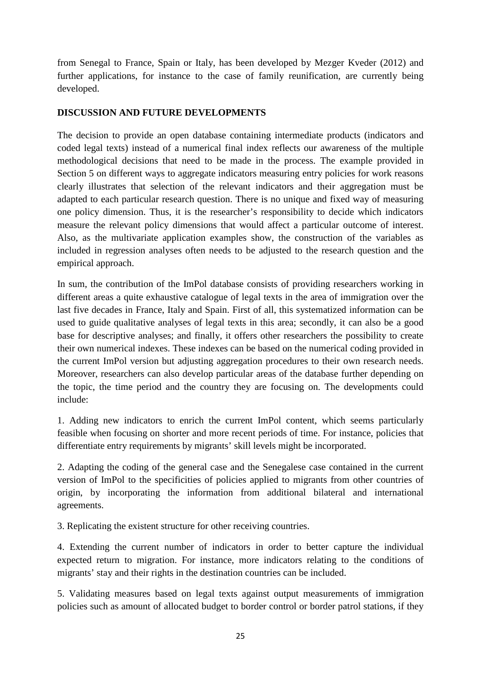from Senegal to France, Spain or Italy, has been developed by Mezger Kveder (2012) and further applications, for instance to the case of family reunification, are currently being developed.

#### **DISCUSSION AND FUTURE DEVELOPMENTS**

The decision to provide an open database containing intermediate products (indicators and coded legal texts) instead of a numerical final index reflects our awareness of the multiple methodological decisions that need to be made in the process. The example provided in Section 5 on different ways to aggregate indicators measuring entry policies for work reasons clearly illustrates that selection of the relevant indicators and their aggregation must be adapted to each particular research question. There is no unique and fixed way of measuring one policy dimension. Thus, it is the researcher's responsibility to decide which indicators measure the relevant policy dimensions that would affect a particular outcome of interest. Also, as the multivariate application examples show, the construction of the variables as included in regression analyses often needs to be adjusted to the research question and the empirical approach.

In sum, the contribution of the ImPol database consists of providing researchers working in different areas a quite exhaustive catalogue of legal texts in the area of immigration over the last five decades in France, Italy and Spain. First of all, this systematized information can be used to guide qualitative analyses of legal texts in this area; secondly, it can also be a good base for descriptive analyses; and finally, it offers other researchers the possibility to create their own numerical indexes. These indexes can be based on the numerical coding provided in the current ImPol version but adjusting aggregation procedures to their own research needs. Moreover, researchers can also develop particular areas of the database further depending on the topic, the time period and the country they are focusing on. The developments could include:

1. Adding new indicators to enrich the current ImPol content, which seems particularly feasible when focusing on shorter and more recent periods of time. For instance, policies that differentiate entry requirements by migrants' skill levels might be incorporated.

2. Adapting the coding of the general case and the Senegalese case contained in the current version of ImPol to the specificities of policies applied to migrants from other countries of origin, by incorporating the information from additional bilateral and international agreements.

3. Replicating the existent structure for other receiving countries.

4. Extending the current number of indicators in order to better capture the individual expected return to migration. For instance, more indicators relating to the conditions of migrants' stay and their rights in the destination countries can be included.

5. Validating measures based on legal texts against output measurements of immigration policies such as amount of allocated budget to border control or border patrol stations, if they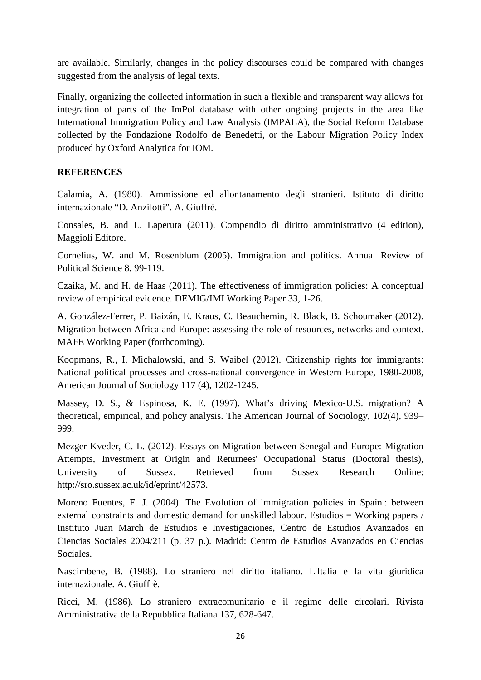are available. Similarly, changes in the policy discourses could be compared with changes suggested from the analysis of legal texts.

Finally, organizing the collected information in such a flexible and transparent way allows for integration of parts of the ImPol database with other ongoing projects in the area like International Immigration Policy and Law Analysis (IMPALA), the Social Reform Database collected by the Fondazione Rodolfo de Benedetti, or the Labour Migration Policy Index produced by Oxford Analytica for IOM.

#### **REFERENCES**

Calamia, A. (1980). Ammissione ed allontanamento degli stranieri. Istituto di diritto internazionale "D. Anzilotti". A. Giuffrè.

Consales, B. and L. Laperuta (2011). Compendio di diritto amministrativo (4 edition), Maggioli Editore.

Cornelius, W. and M. Rosenblum (2005). Immigration and politics. Annual Review of Political Science 8, 99-119.

Czaika, M. and H. de Haas (2011). The effectiveness of immigration policies: A conceptual review of empirical evidence. DEMIG/IMI Working Paper 33, 1-26.

A. González-Ferrer, P. Baizán, E. Kraus, C. Beauchemin, R. Black, B. Schoumaker (2012). Migration between Africa and Europe: assessing the role of resources, networks and context. MAFE Working Paper (forthcoming).

Koopmans, R., I. Michalowski, and S. Waibel (2012). Citizenship rights for immigrants: National political processes and cross-national convergence in Western Europe, 1980-2008, American Journal of Sociology 117 (4), 1202-1245.

Massey, D. S., & Espinosa, K. E. (1997). What's driving Mexico-U.S. migration? A theoretical, empirical, and policy analysis. The American Journal of Sociology, 102(4), 939– 999.

Mezger Kveder, C. L. (2012). Essays on Migration between Senegal and Europe: Migration Attempts, Investment at Origin and Returnees' Occupational Status (Doctoral thesis), University of Sussex. Retrieved from Sussex Research Online: http://sro.sussex.ac.uk/id/eprint/42573.

Moreno Fuentes, F. J. (2004). The Evolution of immigration policies in Spain : between external constraints and domestic demand for unskilled labour. Estudios = Working papers / Instituto Juan March de Estudios e Investigaciones, Centro de Estudios Avanzados en Ciencias Sociales 2004/211 (p. 37 p.). Madrid: Centro de Estudios Avanzados en Ciencias Sociales.

Nascimbene, B. (1988). Lo straniero nel diritto italiano. L'Italia e la vita giuridica internazionale. A. Giuffrè.

Ricci, M. (1986). Lo straniero extracomunitario e il regime delle circolari. Rivista Amministrativa della Repubblica Italiana 137, 628-647.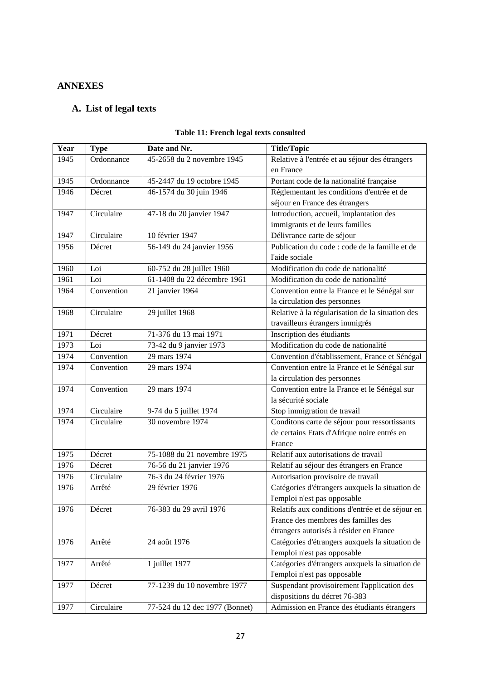# **ANNEXES**

## **A. List of legal texts**

| Year | <b>Type</b> | Date and Nr.                   | <b>Title/Topic</b>                               |  |
|------|-------------|--------------------------------|--------------------------------------------------|--|
| 1945 | Ordonnance  | 45-2658 du 2 novembre 1945     | Relative à l'entrée et au séjour des étrangers   |  |
|      |             |                                | en France                                        |  |
| 1945 | Ordonnance  | 45-2447 du 19 octobre 1945     | Portant code de la nationalité française         |  |
| 1946 | Décret      | 46-1574 du 30 juin 1946        | Réglementant les conditions d'entrée et de       |  |
|      |             |                                | séjour en France des étrangers                   |  |
| 1947 | Circulaire  | 47-18 du 20 janvier 1947       | Introduction, accueil, implantation des          |  |
|      |             |                                | immigrants et de leurs familles                  |  |
| 1947 | Circulaire  | 10 février 1947                | Délivrance carte de séjour                       |  |
| 1956 | Décret      | 56-149 du 24 janvier 1956      | Publication du code : code de la famille et de   |  |
|      |             |                                | l'aide sociale                                   |  |
| 1960 | Loi         | 60-752 du 28 juillet 1960      | Modification du code de nationalité              |  |
| 1961 | Loi         | 61-1408 du 22 décembre 1961    | Modification du code de nationalité              |  |
| 1964 | Convention  | 21 janvier 1964                | Convention entre la France et le Sénégal sur     |  |
|      |             |                                | la circulation des personnes                     |  |
| 1968 | Circulaire  | 29 juillet 1968                | Relative à la régularisation de la situation des |  |
|      |             |                                | travailleurs étrangers immigrés                  |  |
| 1971 | Décret      | 71-376 du 13 mai 1971          | Inscription des étudiants                        |  |
| 1973 | Loi         | 73-42 du 9 janvier 1973        | Modification du code de nationalité              |  |
| 1974 | Convention  | 29 mars 1974                   | Convention d'établissement, France et Sénégal    |  |
| 1974 | Convention  | 29 mars 1974                   | Convention entre la France et le Sénégal sur     |  |
|      |             |                                | la circulation des personnes                     |  |
| 1974 | Convention  | 29 mars 1974                   | Convention entre la France et le Sénégal sur     |  |
|      |             |                                | la sécurité sociale                              |  |
| 1974 | Circulaire  | 9-74 du 5 juillet 1974         | Stop immigration de travail                      |  |
| 1974 | Circulaire  | 30 novembre 1974               | Conditons carte de séjour pour ressortissants    |  |
|      |             |                                | de certains Etats d'Afrique noire entrés en      |  |
|      |             |                                | France                                           |  |
| 1975 | Décret      | 75-1088 du 21 novembre 1975    | Relatif aux autorisations de travail             |  |
| 1976 | Décret      | 76-56 du 21 janvier 1976       | Relatif au séjour des étrangers en France        |  |
| 1976 | Circulaire  | 76-3 du 24 février 1976        | Autorisation provisoire de travail               |  |
| 1976 | Arrêté      | 29 février 1976                | Catégories d'étrangers auxquels la situation de  |  |
|      |             |                                | l'emploi n'est pas opposable                     |  |
| 1976 | Décret      | 76-383 du 29 avril 1976        | Relatifs aux conditions d'entrée et de séjour en |  |
|      |             |                                | France des membres des familles des              |  |
|      |             |                                | étrangers autorisés à résider en France          |  |
| 1976 | Arrêté      | 24 août 1976                   | Catégories d'étrangers auxquels la situation de  |  |
|      |             |                                | l'emploi n'est pas opposable                     |  |
| 1977 | Arrêté      | 1 juillet 1977                 | Catégories d'étrangers auxquels la situation de  |  |
|      |             |                                | l'emploi n'est pas opposable                     |  |
| 1977 | Décret      | 77-1239 du 10 novembre 1977    | Suspendant provisoirement l'application des      |  |
|      |             |                                | dispositions du décret 76-383                    |  |
| 1977 | Circulaire  | 77-524 du 12 dec 1977 (Bonnet) | Admission en France des étudiants étrangers      |  |

#### **Table 11: French legal texts consulted**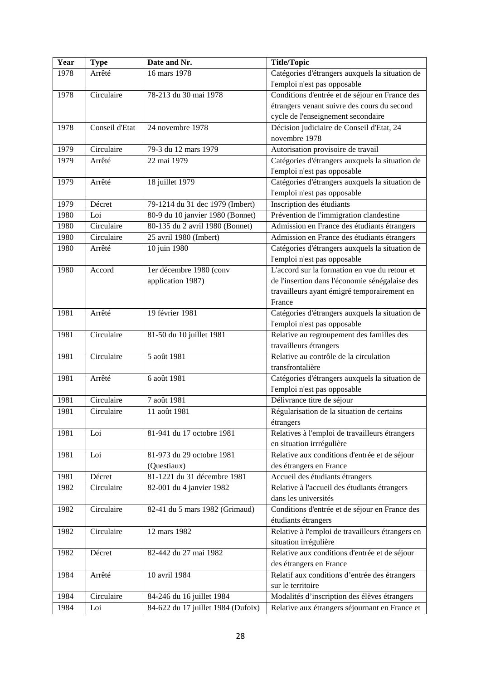| Year | <b>Type</b>    | Date and Nr.                       | <b>Title/Topic</b>                               |  |
|------|----------------|------------------------------------|--------------------------------------------------|--|
| 1978 | Arrêté         | 16 mars 1978                       | Catégories d'étrangers auxquels la situation de  |  |
|      |                |                                    | l'emploi n'est pas opposable                     |  |
| 1978 | Circulaire     | 78-213 du 30 mai 1978              | Conditions d'entrée et de séjour en France des   |  |
|      |                |                                    | étrangers venant suivre des cours du second      |  |
|      |                |                                    | cycle de l'enseignement secondaire               |  |
| 1978 | Conseil d'Etat | 24 novembre 1978                   | Décision judiciaire de Conseil d'Etat, 24        |  |
|      |                |                                    | novembre 1978                                    |  |
| 1979 | Circulaire     | 79-3 du 12 mars 1979               | Autorisation provisoire de travail               |  |
| 1979 | Arrêté         | 22 mai 1979                        | Catégories d'étrangers auxquels la situation de  |  |
|      |                |                                    | l'emploi n'est pas opposable                     |  |
| 1979 | Arrêté         | 18 juillet 1979                    | Catégories d'étrangers auxquels la situation de  |  |
|      |                |                                    | l'emploi n'est pas opposable                     |  |
| 1979 | Décret         | 79-1214 du 31 dec 1979 (Imbert)    | Inscription des étudiants                        |  |
| 1980 | Loi            | 80-9 du 10 janvier 1980 (Bonnet)   | Prévention de l'immigration clandestine          |  |
| 1980 | Circulaire     | 80-135 du 2 avril 1980 (Bonnet)    | Admission en France des étudiants étrangers      |  |
| 1980 | Circulaire     | 25 avril 1980 (Imbert)             | Admission en France des étudiants étrangers      |  |
| 1980 | Arrêté         | 10 juin 1980                       | Catégories d'étrangers auxquels la situation de  |  |
|      |                |                                    | l'emploi n'est pas opposable                     |  |
| 1980 | Accord         | ler décembre 1980 (conv            | L'accord sur la formation en vue du retour et    |  |
|      |                | application 1987)                  | de l'insertion dans l'économie sénégalaise des   |  |
|      |                |                                    | travailleurs ayant émigré temporairement en      |  |
|      |                |                                    | France                                           |  |
| 1981 | Arrêté         | 19 février 1981                    | Catégories d'étrangers auxquels la situation de  |  |
|      |                |                                    | l'emploi n'est pas opposable                     |  |
| 1981 | Circulaire     | 81-50 du 10 juillet 1981           | Relative au regroupement des familles des        |  |
|      |                |                                    | travailleurs étrangers                           |  |
| 1981 | Circulaire     | 5 août 1981                        | Relative au contrôle de la circulation           |  |
|      |                |                                    | transfrontalière                                 |  |
| 1981 | Arrêté         | 6 août 1981                        | Catégories d'étrangers auxquels la situation de  |  |
|      |                |                                    | l'emploi n'est pas opposable                     |  |
| 1981 | Circulaire     | 7 août 1981                        | Délivrance titre de séjour                       |  |
| 1981 | Circulaire     | 11 août 1981                       | Régularisation de la situation de certains       |  |
|      |                |                                    | étrangers                                        |  |
| 1981 | Loi            | 81-941 du 17 octobre 1981          | Relatives à l'emploi de travailleurs étrangers   |  |
|      |                |                                    | en situation irrrégulière                        |  |
| 1981 | Loi            | 81-973 du 29 octobre 1981          | Relative aux conditions d'entrée et de séjour    |  |
|      |                | (Questiaux)                        | des étrangers en France                          |  |
| 1981 | Décret         | 81-1221 du 31 décembre 1981        | Accueil des étudiants étrangers                  |  |
| 1982 | Circulaire     | 82-001 du 4 janvier 1982           | Relative à l'accueil des étudiants étrangers     |  |
|      |                |                                    | dans les universités                             |  |
| 1982 | Circulaire     | 82-41 du 5 mars 1982 (Grimaud)     | Conditions d'entrée et de séjour en France des   |  |
|      |                |                                    | étudiants étrangers                              |  |
| 1982 | Circulaire     | 12 mars 1982                       | Relative à l'emploi de travailleurs étrangers en |  |
|      |                |                                    | situation irrégulière                            |  |
| 1982 | Décret         | 82-442 du 27 mai 1982              | Relative aux conditions d'entrée et de séjour    |  |
|      |                |                                    | des étrangers en France                          |  |
| 1984 | Arrêté         | 10 avril 1984                      | Relatif aux conditions d'entrée des étrangers    |  |
|      |                |                                    | sur le territoire                                |  |
| 1984 | Circulaire     | 84-246 du 16 juillet 1984          | Modalités d'inscription des élèves étrangers     |  |
| 1984 | Loi            | 84-622 du 17 juillet 1984 (Dufoix) | Relative aux étrangers séjournant en France et   |  |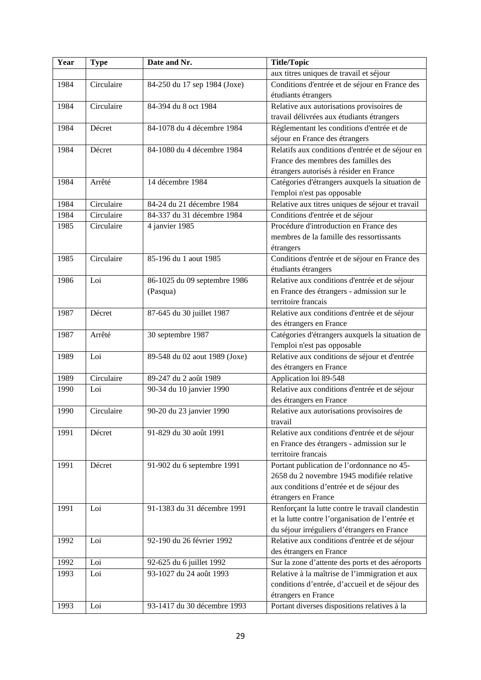| Year | <b>Type</b> | Date and Nr.                  | <b>Title/Topic</b>                                                            |
|------|-------------|-------------------------------|-------------------------------------------------------------------------------|
|      |             |                               | aux titres uniques de travail et séjour                                       |
| 1984 | Circulaire  | 84-250 du 17 sep 1984 (Joxe)  | Conditions d'entrée et de séjour en France des                                |
|      |             |                               | étudiants étrangers                                                           |
| 1984 | Circulaire  | 84-394 du 8 oct 1984          | Relative aux autorisations provisoires de                                     |
|      |             |                               | travail délivrées aux étudiants étrangers                                     |
| 1984 | Décret      | 84-1078 du 4 décembre 1984    | Réglementant les conditions d'entrée et de                                    |
|      |             |                               | séjour en France des étrangers                                                |
| 1984 | Décret      | 84-1080 du 4 décembre 1984    | Relatifs aux conditions d'entrée et de séjour en                              |
|      |             |                               | France des membres des familles des                                           |
|      |             |                               | étrangers autorisés à résider en France                                       |
| 1984 | Arrêté      | 14 décembre 1984              | Catégories d'étrangers auxquels la situation de                               |
|      |             |                               | l'emploi n'est pas opposable                                                  |
| 1984 | Circulaire  | 84-24 du 21 décembre 1984     | Relative aux titres uniques de séjour et travail                              |
| 1984 | Circulaire  | 84-337 du 31 décembre 1984    | Conditions d'entrée et de séjour                                              |
| 1985 | Circulaire  | 4 janvier 1985                | Procédure d'introduction en France des                                        |
|      |             |                               | membres de la famille des ressortissants                                      |
|      |             |                               | étrangers                                                                     |
| 1985 | Circulaire  | 85-196 du 1 aout 1985         | Conditions d'entrée et de séjour en France des                                |
|      |             |                               | étudiants étrangers                                                           |
| 1986 | Loi         | 86-1025 du 09 septembre 1986  | Relative aux conditions d'entrée et de séjour                                 |
|      |             | (Pasqua)                      | en France des étrangers - admission sur le                                    |
|      |             |                               | territoire francais                                                           |
| 1987 | Décret      | 87-645 du 30 juillet 1987     | Relative aux conditions d'entrée et de séjour                                 |
|      |             |                               | des étrangers en France                                                       |
| 1987 | Arrêté      | 30 septembre 1987             | Catégories d'étrangers auxquels la situation de                               |
| 1989 | Loi         | 89-548 du 02 aout 1989 (Joxe) | l'emploi n'est pas opposable<br>Relative aux conditions de séjour et d'entrée |
|      |             |                               | des étrangers en France                                                       |
| 1989 | Circulaire  | 89-247 du 2 août 1989         | Application loi 89-548                                                        |
| 1990 | Loi         | 90-34 du 10 janvier 1990      | Relative aux conditions d'entrée et de séjour                                 |
|      |             |                               | des étrangers en France                                                       |
| 1990 | Circulaire  | 90-20 du 23 janvier 1990      | Relative aux autorisations provisoires de                                     |
|      |             |                               | travail                                                                       |
| 1991 | Décret      | 91-829 du 30 août 1991        | Relative aux conditions d'entrée et de séjour                                 |
|      |             |                               | en France des étrangers - admission sur le                                    |
|      |             |                               | territoire francais                                                           |
| 1991 | Décret      | 91-902 du 6 septembre 1991    | Portant publication de l'ordonnance no 45-                                    |
|      |             |                               | 2658 du 2 novembre 1945 modifiée relative                                     |
|      |             |                               | aux conditions d'entrée et de séjour des                                      |
|      |             |                               | étrangers en France                                                           |
| 1991 | Loi         | 91-1383 du 31 décembre 1991   | Renforçant la lutte contre le travail clandestin                              |
|      |             |                               | et la lutte contre l'organisation de l'entrée et                              |
|      |             |                               | du séjour irréguliers d'étrangers en France                                   |
| 1992 | Loi         | 92-190 du 26 février 1992     | Relative aux conditions d'entrée et de séjour                                 |
|      |             |                               | des étrangers en France                                                       |
| 1992 | Loi         | 92-625 du 6 juillet 1992      | Sur la zone d'attente des ports et des aéroports                              |
| 1993 | Loi         | 93-1027 du 24 août 1993       | Relative à la maîtrise de l'immigration et aux                                |
|      |             |                               | conditions d'entrée, d'accueil et de séjour des                               |
|      |             |                               | étrangers en France                                                           |
| 1993 | Loi         | 93-1417 du 30 décembre 1993   | Portant diverses dispositions relatives à la                                  |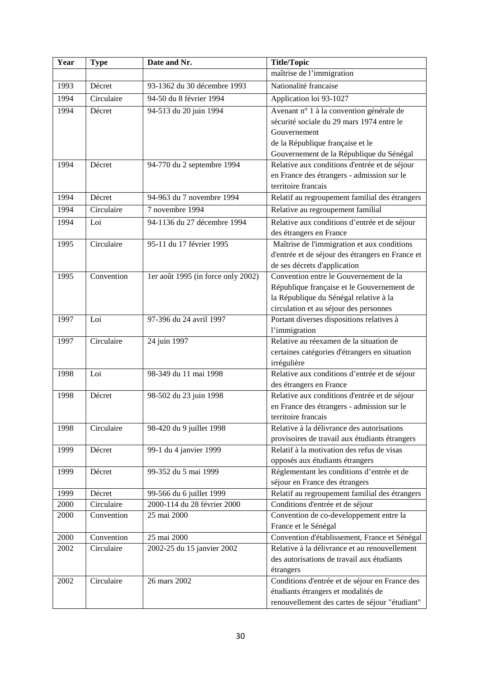| Year | <b>Type</b> | Date and Nr.                       | <b>Title/Topic</b>                               |
|------|-------------|------------------------------------|--------------------------------------------------|
|      |             |                                    | maîtrise de l'immigration                        |
| 1993 | Décret      | 93-1362 du 30 décembre 1993        | Nationalité francaise                            |
| 1994 | Circulaire  | 94-50 du 8 février 1994            | Application loi 93-1027                          |
| 1994 | Décret      | 94-513 du 20 juin 1994             | Avenant n° 1 à la convention générale de         |
|      |             |                                    | sécurité sociale du 29 mars 1974 entre le        |
|      |             |                                    | Gouvernement                                     |
|      |             |                                    | de la République française et le                 |
|      |             |                                    | Gouvernement de la République du Sénégal         |
| 1994 | Décret      | 94-770 du 2 septembre 1994         | Relative aux conditions d'entrée et de séjour    |
|      |             |                                    | en France des étrangers - admission sur le       |
|      |             |                                    | territoire francais                              |
| 1994 | Décret      | 94-963 du 7 novembre 1994          | Relatif au regroupement familial des étrangers   |
| 1994 | Circulaire  | 7 novembre 1994                    | Relative au regroupement familial                |
| 1994 | Loi         | 94-1136 du 27 décembre 1994        | Relative aux conditions d'entrée et de séjour    |
|      |             |                                    | des étrangers en France                          |
| 1995 | Circulaire  | 95-11 du 17 février 1995           | Maîtrise de l'immigration et aux conditions      |
|      |             |                                    | d'entrée et de séjour des étrangers en France et |
|      |             |                                    | de ses décrets d'application                     |
| 1995 | Convention  | 1er août 1995 (in force only 2002) | Convention entre le Gouvernement de la           |
|      |             |                                    | République française et le Gouvernement de       |
|      |             |                                    | la République du Sénégal relative à la           |
|      |             |                                    | circulation et au séjour des personnes           |
| 1997 | Loi         | 97-396 du 24 avril 1997            | Portant diverses dispositions relatives à        |
|      |             |                                    | l'immigration                                    |
| 1997 | Circulaire  | 24 juin 1997                       | Relative au réexamen de la situation de          |
|      |             |                                    | certaines catégories d'étrangers en situation    |
|      |             |                                    | irrégulière                                      |
| 1998 | Loi         | 98-349 du 11 mai 1998              | Relative aux conditions d'entrée et de séjour    |
|      |             |                                    | des étrangers en France                          |
| 1998 | Décret      | 98-502 du 23 juin 1998             | Relative aux conditions d'entrée et de séjour    |
|      |             |                                    | en France des étrangers - admission sur le       |
|      |             |                                    | territoire francais                              |
| 1998 | Circulaire  | 98-420 du 9 juillet 1998           | Relative à la délivrance des autorisations       |
|      |             |                                    | provisoires de travail aux étudiants étrangers   |
| 1999 | Décret      | 99-1 du 4 janvier 1999             | Relatif à la motivation des refus de visas       |
|      |             |                                    | opposés aux étudiants étrangers                  |
| 1999 | Décret      | 99-352 du 5 mai 1999               | Réglementant les conditions d'entrée et de       |
|      |             |                                    | séjour en France des étrangers                   |
| 1999 | Décret      | 99-566 du 6 juillet 1999           | Relatif au regroupement familial des étrangers   |
| 2000 | Circulaire  | 2000-114 du 28 février 2000        | Conditions d'entrée et de séjour                 |
| 2000 | Convention  | 25 mai 2000                        | Convention de co-developpement entre la          |
|      |             |                                    | France et le Sénégal                             |
| 2000 | Convention  | 25 mai 2000                        | Convention d'établissement, France et Sénégal    |
| 2002 | Circulaire  | 2002-25 du 15 janvier 2002         | Relative à la délivrance et au renouvellement    |
|      |             |                                    | des autorisations de travail aux étudiants       |
|      |             |                                    | étrangers                                        |
| 2002 | Circulaire  | 26 mars 2002                       | Conditions d'entrée et de séjour en France des   |
|      |             |                                    | étudiants étrangers et modalités de              |
|      |             |                                    | renouvellement des cartes de séjour "étudiant"   |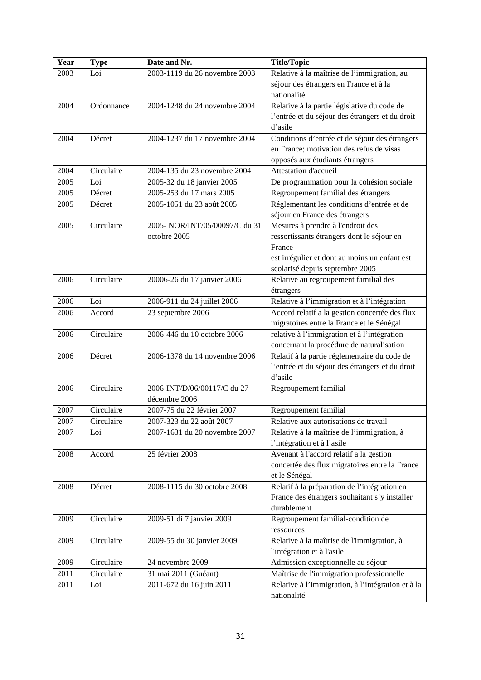| Year | <b>Type</b> | Date and Nr.                   | <b>Title/Topic</b>                                |
|------|-------------|--------------------------------|---------------------------------------------------|
| 2003 | Loi         | 2003-1119 du 26 novembre 2003  | Relative à la maîtrise de l'immigration, au       |
|      |             |                                | séjour des étrangers en France et à la            |
|      |             |                                | nationalité                                       |
| 2004 | Ordonnance  | 2004-1248 du 24 novembre 2004  | Relative à la partie législative du code de       |
|      |             |                                | l'entrée et du séjour des étrangers et du droit   |
|      |             |                                | d'asile                                           |
| 2004 | Décret      | 2004-1237 du 17 novembre 2004  | Conditions d'entrée et de séjour des étrangers    |
|      |             |                                | en France; motivation des refus de visas          |
|      |             |                                | opposés aux étudiants étrangers                   |
| 2004 | Circulaire  | 2004-135 du 23 novembre 2004   | Attestation d'accueil                             |
| 2005 | Loi         | 2005-32 du 18 janvier 2005     | De programmation pour la cohésion sociale         |
| 2005 | Décret      | 2005-253 du 17 mars 2005       | Regroupement familial des étrangers               |
| 2005 | Décret      | 2005-1051 du 23 août 2005      | Réglementant les conditions d'entrée et de        |
|      |             |                                | séjour en France des étrangers                    |
| 2005 | Circulaire  | 2005- NOR/INT/05/00097/C du 31 | Mesures à prendre à l'endroit des                 |
|      |             | octobre 2005                   | ressortissants étrangers dont le séjour en        |
|      |             |                                | France                                            |
|      |             |                                | est irrégulier et dont au moins un enfant est     |
|      |             |                                | scolarisé depuis septembre 2005                   |
| 2006 | Circulaire  | 20006-26 du 17 janvier 2006    | Relative au regroupement familial des             |
|      |             |                                | étrangers                                         |
| 2006 | Loi         | 2006-911 du 24 juillet 2006    | Relative à l'immigration et à l'intégration       |
| 2006 | Accord      | 23 septembre 2006              | Accord relatif a la gestion concertée des flux    |
|      |             |                                | migratoires entre la France et le Sénégal         |
| 2006 | Circulaire  | 2006-446 du 10 octobre 2006    | relative à l'immigration et à l'intégration       |
|      |             |                                | concernant la procédure de naturalisation         |
| 2006 | Décret      | 2006-1378 du 14 novembre 2006  | Relatif à la partie réglementaire du code de      |
|      |             |                                | l'entrée et du séjour des étrangers et du droit   |
|      |             |                                | d'asile                                           |
| 2006 | Circulaire  | 2006-INT/D/06/00117/C du 27    | Regroupement familial                             |
|      |             | décembre 2006                  |                                                   |
| 2007 | Circulaire  | 2007-75 du 22 février 2007     | Regroupement familial                             |
| 2007 | Circulaire  | 2007-323 du 22 août 2007       | Relative aux autorisations de travail             |
| 2007 | Loi         | 2007-1631 du 20 novembre 2007  | Relative à la maîtrise de l'immigration, à        |
|      |             |                                | l'intégration et à l'asile                        |
| 2008 | Accord      | 25 février 2008                | Avenant à l'accord relatif a la gestion           |
|      |             |                                | concertée des flux migratoires entre la France    |
|      |             |                                | et le Sénégal                                     |
| 2008 | Décret      | 2008-1115 du 30 octobre 2008   | Relatif à la préparation de l'intégration en      |
|      |             |                                | France des étrangers souhaitant s'y installer     |
|      |             |                                | durablement                                       |
| 2009 | Circulaire  | 2009-51 di 7 janvier 2009      | Regroupement familial-condition de                |
|      |             |                                | ressources                                        |
| 2009 | Circulaire  | 2009-55 du 30 janvier 2009     | Relative à la maîtrise de l'immigration, à        |
|      |             |                                | l'intégration et à l'asile                        |
| 2009 | Circulaire  | 24 novembre 2009               | Admission exceptionnelle au séjour                |
| 2011 | Circulaire  | 31 mai 2011 (Guéant)           | Maîtrise de l'immigration professionnelle         |
| 2011 | Loi         | 2011-672 du 16 juin 2011       | Relative à l'immigration, à l'intégration et à la |
|      |             |                                | nationalité                                       |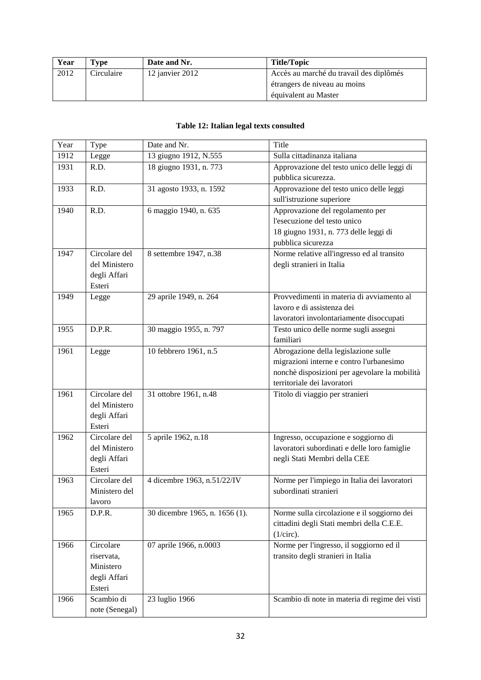| Year | Type       | Date and Nr.    | Title/Topic                             |
|------|------------|-----------------|-----------------------------------------|
| 2012 | Circulaire | 12 janvier 2012 | Accès au marché du travail des diplômés |
|      |            |                 | étrangers de niveau au moins            |
|      |            |                 | équivalent au Master                    |

#### **Table 12: Italian legal texts consulted**

| Year | Type                    | Date and Nr.                   | Title                                          |
|------|-------------------------|--------------------------------|------------------------------------------------|
| 1912 | Legge                   | 13 giugno 1912, N.555          | Sulla cittadinanza italiana                    |
| 1931 | R.D.                    | 18 giugno 1931, n. 773         | Approvazione del testo unico delle leggi di    |
|      |                         |                                | pubblica sicurezza.                            |
| 1933 | R.D.                    | 31 agosto 1933, n. 1592        | Approvazione del testo unico delle leggi       |
|      |                         |                                | sull'istruzione superiore                      |
| 1940 | R.D.                    | 6 maggio 1940, n. 635          | Approvazione del regolamento per               |
|      |                         |                                | l'esecuzione del testo unico                   |
|      |                         |                                | 18 giugno 1931, n. 773 delle leggi di          |
|      |                         |                                | pubblica sicurezza                             |
| 1947 | Circolare del           | 8 settembre 1947, n.38         | Norme relative all'ingresso ed al transito     |
|      | del Ministero           |                                | degli stranieri in Italia                      |
|      | degli Affari            |                                |                                                |
|      | Esteri                  |                                |                                                |
| 1949 | Legge                   | 29 aprile 1949, n. 264         | Provvedimenti in materia di avviamento al      |
|      |                         |                                | lavoro e di assistenza dei                     |
|      |                         |                                | lavoratori involontariamente disoccupati       |
| 1955 | D.P.R.                  | 30 maggio 1955, n. 797         | Testo unico delle norme sugli assegni          |
|      |                         |                                | familiari                                      |
| 1961 | Legge                   | 10 febbrero 1961, n.5          | Abrogazione della legislazione sulle           |
|      |                         |                                | migrazioni interne e contro l'urbanesimo       |
|      |                         |                                | nonchè disposizioni per agevolare la mobilità  |
|      |                         |                                | territoriale dei lavoratori                    |
| 1961 | Circolare del           | 31 ottobre 1961, n.48          | Titolo di viaggio per stranieri                |
|      | del Ministero           |                                |                                                |
|      | degli Affari            |                                |                                                |
|      | Esteri                  |                                |                                                |
| 1962 | Circolare del           | 5 aprile 1962, n.18            | Ingresso, occupazione e soggiorno di           |
|      | del Ministero           |                                | lavoratori subordinati e delle loro famiglie   |
|      | degli Affari            |                                | negli Stati Membri della CEE                   |
|      | Esteri                  |                                |                                                |
| 1963 | Circolare del           | 4 dicembre 1963, n.51/22/IV    | Norme per l'impiego in Italia dei lavoratori   |
|      | Ministero del           |                                | subordinati stranieri                          |
|      | lavoro                  |                                |                                                |
| 1965 | D.P.R.                  | 30 dicembre 1965, n. 1656 (1). | Norme sulla circolazione e il soggiorno dei    |
|      |                         |                                | cittadini degli Stati membri della C.E.E.      |
| 1966 | Circolare               |                                | (1/circ).                                      |
|      |                         | 07 aprile 1966, n.0003         | Norme per l'ingresso, il soggiorno ed il       |
|      | riservata,<br>Ministero |                                | transito degli stranieri in Italia             |
|      | degli Affari            |                                |                                                |
|      | Esteri                  |                                |                                                |
| 1966 | Scambio di              | 23 luglio 1966                 | Scambio di note in materia di regime dei visti |
|      | note (Senegal)          |                                |                                                |
|      |                         |                                |                                                |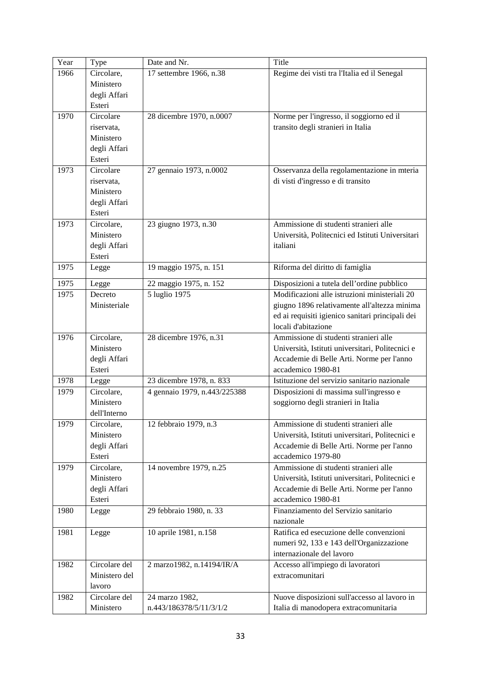| Year | Type          | Date and Nr.                 | Title                                            |
|------|---------------|------------------------------|--------------------------------------------------|
| 1966 | Circolare,    | 17 settembre 1966, n.38      | Regime dei visti tra l'Italia ed il Senegal      |
|      | Ministero     |                              |                                                  |
|      | degli Affari  |                              |                                                  |
|      | Esteri        |                              |                                                  |
| 1970 | Circolare     | 28 dicembre 1970, n.0007     | Norme per l'ingresso, il soggiorno ed il         |
|      | riservata,    |                              | transito degli stranieri in Italia               |
|      | Ministero     |                              |                                                  |
|      | degli Affari  |                              |                                                  |
|      | Esteri        |                              |                                                  |
| 1973 | Circolare     | 27 gennaio 1973, n.0002      | Osservanza della regolamentazione in mteria      |
|      | riservata,    |                              | di visti d'ingresso e di transito                |
|      | Ministero     |                              |                                                  |
|      | degli Affari  |                              |                                                  |
|      | Esteri        |                              |                                                  |
| 1973 | Circolare,    | 23 giugno 1973, n.30         | Ammissione di studenti stranieri alle            |
|      | Ministero     |                              | Università, Politecnici ed Istituti Universitari |
|      | degli Affari  |                              | italiani                                         |
|      | Esteri        |                              |                                                  |
| 1975 | Legge         | 19 maggio 1975, n. 151       | Riforma del diritto di famiglia                  |
| 1975 | Legge         | 22 maggio 1975, n. 152       | Disposizioni a tutela dell'ordine pubblico       |
| 1975 | Decreto       | 5 luglio 1975                | Modificazioni alle istruzioni ministeriali 20    |
|      | Ministeriale  |                              | giugno 1896 relativamente all'altezza minima     |
|      |               |                              | ed ai requisiti igienico sanitari principali dei |
|      |               |                              | locali d'abitazione                              |
| 1976 | Circolare,    | 28 dicembre 1976, n.31       | Ammissione di studenti stranieri alle            |
|      | Ministero     |                              | Università, Istituti universitari, Politecnici e |
|      | degli Affari  |                              | Accademie di Belle Arti. Norme per l'anno        |
|      | Esteri        |                              | accademico 1980-81                               |
| 1978 | Legge         | 23 dicembre 1978, n. 833     | Istituzione del servizio sanitario nazionale     |
| 1979 | Circolare,    | 4 gennaio 1979, n.443/225388 | Disposizioni di massima sull'ingresso e          |
|      | Ministero     |                              | soggiorno degli stranieri in Italia              |
|      | dell'Interno  |                              |                                                  |
| 1979 | Circolare,    | 12 febbraio 1979, n.3        | Ammissione di studenti stranieri alle            |
|      | Ministero     |                              | Università, Istituti universitari, Politecnici e |
|      | degli Affari  |                              | Accademie di Belle Arti. Norme per l'anno        |
|      | Esteri        |                              | accademico 1979-80                               |
| 1979 | Circolare,    | 14 novembre 1979, n.25       | Ammissione di studenti stranieri alle            |
|      | Ministero     |                              | Università, Istituti universitari, Politecnici e |
|      | degli Affari  |                              | Accademie di Belle Arti. Norme per l'anno        |
|      | Esteri        |                              | accademico 1980-81                               |
| 1980 | Legge         | 29 febbraio 1980, n. 33      | Finanziamento del Servizio sanitario             |
|      |               |                              | nazionale                                        |
| 1981 | Legge         | 10 aprile 1981, n.158        | Ratifica ed esecuzione delle convenzioni         |
|      |               |                              | numeri 92, 133 e 143 dell'Organizzazione         |
|      |               |                              | internazionale del lavoro                        |
| 1982 | Circolare del | 2 marzo1982, n.14194/IR/A    | Accesso all'impiego di lavoratori                |
|      | Ministero del |                              | extracomunitari                                  |
|      | lavoro        |                              |                                                  |
| 1982 | Circolare del | 24 marzo 1982,               | Nuove disposizioni sull'accesso al lavoro in     |
|      | Ministero     | n.443/186378/5/11/3/1/2      | Italia di manodopera extracomunitaria            |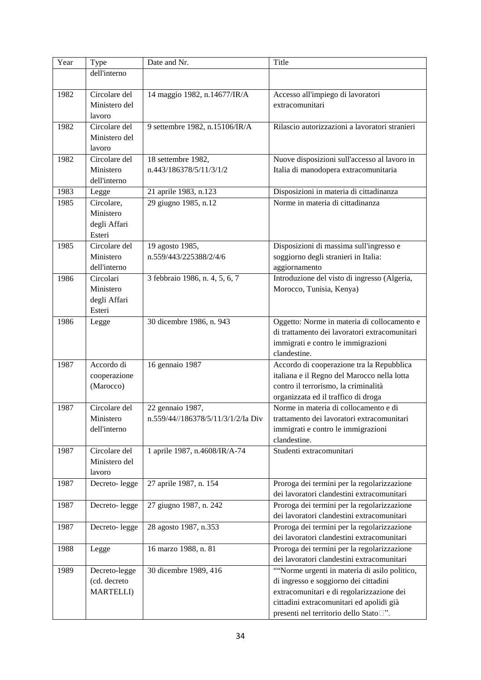| Year | Type              | Date and Nr.                       | Title                                          |
|------|-------------------|------------------------------------|------------------------------------------------|
|      | dell'interno      |                                    |                                                |
|      |                   |                                    |                                                |
| 1982 | Circolare del     | 14 maggio 1982, n.14677/IR/A       | Accesso all'impiego di lavoratori              |
|      | Ministero del     |                                    | extracomunitari                                |
|      | lavoro            |                                    |                                                |
| 1982 | Circolare del     | 9 settembre 1982, n.15106/IR/A     | Rilascio autorizzazioni a lavoratori stranieri |
|      | Ministero del     |                                    |                                                |
|      | lavoro            |                                    |                                                |
| 1982 | Circolare del     | 18 settembre 1982,                 | Nuove disposizioni sull'accesso al lavoro in   |
|      | Ministero         | n.443/186378/5/11/3/1/2            | Italia di manodopera extracomunitaria          |
|      | dell'interno      |                                    |                                                |
| 1983 | Legge             | 21 aprile 1983, n.123              | Disposizioni in materia di cittadinanza        |
| 1985 | Circolare,        | 29 giugno 1985, n.12               | Norme in materia di cittadinanza               |
|      | Ministero         |                                    |                                                |
|      | degli Affari      |                                    |                                                |
|      | Esteri            |                                    |                                                |
| 1985 | Circolare del     | 19 agosto 1985,                    | Disposizioni di massima sull'ingresso e        |
|      | Ministero         | n.559/443/225388/2/4/6             | soggiorno degli stranieri in Italia:           |
|      | dell'interno      |                                    | aggiornamento                                  |
| 1986 | Circolari         | 3 febbraio 1986, n. 4, 5, 6, 7     | Introduzione del visto di ingresso (Algeria,   |
|      | Ministero         |                                    | Morocco, Tunisia, Kenya)                       |
|      | degli Affari      |                                    |                                                |
|      | Esteri            |                                    |                                                |
| 1986 | Legge             | 30 dicembre 1986, n. 943           | Oggetto: Norme in materia di collocamento e    |
|      |                   |                                    | di trattamento dei lavoratori extracomunitari  |
|      |                   |                                    | immigrati e contro le immigrazioni             |
|      |                   |                                    | clandestine.                                   |
| 1987 | Accordo di        | 16 gennaio 1987                    | Accordo di cooperazione tra la Repubblica      |
|      | cooperazione      |                                    | italiana e il Regno del Marocco nella lotta    |
|      | (Marocco)         |                                    | contro il terrorismo, la criminalità           |
|      |                   |                                    | organizzata ed il traffico di droga            |
| 1987 | Circolare del     | 22 gennaio 1987,                   | Norme in materia di collocamento e di          |
|      | Ministero         | n.559/44//186378/5/11/3/1/2/Ia Div | trattamento dei lavoratori extracomunitari     |
|      | dell'interno      |                                    | immigrati e contro le immigrazioni             |
|      |                   |                                    | clandestine.                                   |
| 1987 | Circolare del     | 1 aprile 1987, n.4608/IR/A-74      | Studenti extracomunitari                       |
|      | Ministero del     |                                    |                                                |
|      | lavoro            |                                    |                                                |
| 1987 | Decreto-legge     | 27 aprile 1987, n. 154             | Proroga dei termini per la regolarizzazione    |
|      |                   |                                    | dei lavoratori clandestini extracomunitari     |
| 1987 | Decreto-legge     | 27 giugno 1987, n. 242             | Proroga dei termini per la regolarizzazione    |
|      |                   |                                    | dei lavoratori clandestini extracomunitari     |
| 1987 | Decreto-legge     | 28 agosto 1987, n.353              | Proroga dei termini per la regolarizzazione    |
|      |                   |                                    | dei lavoratori clandestini extracomunitari     |
| 1988 | Legge             | 16 marzo 1988, n. 81               | Proroga dei termini per la regolarizzazione    |
|      |                   |                                    | dei lavoratori clandestini extracomunitari     |
| 1989 | Decreto-legge     | 30 dicembre 1989, 416              | "Norme urgenti in materia di asilo politico,   |
|      | (cd. decreto      |                                    | di ingresso e soggiorno dei cittadini          |
|      | <b>MARTELLI</b> ) |                                    | extracomunitari e di regolarizzazione dei      |
|      |                   |                                    | cittadini extracomunitari ed apolidi già       |
|      |                   |                                    | presenti nel territorio dello Stato□".         |
|      |                   |                                    |                                                |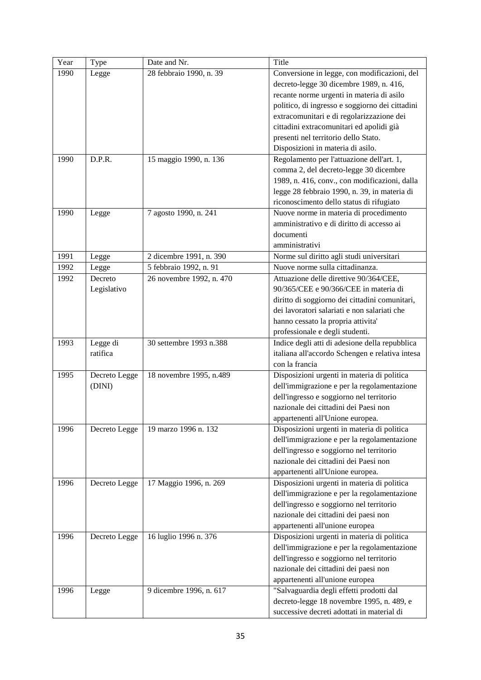| Year | Type          | Date and Nr.             | Title                                                                       |
|------|---------------|--------------------------|-----------------------------------------------------------------------------|
| 1990 | Legge         | 28 febbraio 1990, n. 39  | Conversione in legge, con modificazioni, del                                |
|      |               |                          | decreto-legge 30 dicembre 1989, n. 416,                                     |
|      |               |                          | recante norme urgenti in materia di asilo                                   |
|      |               |                          | politico, di ingresso e soggiorno dei cittadini                             |
|      |               |                          | extracomunitari e di regolarizzazione dei                                   |
|      |               |                          | cittadini extracomunitari ed apolidi già                                    |
|      |               |                          | presenti nel territorio dello Stato.                                        |
|      |               |                          | Disposizioni in materia di asilo.                                           |
| 1990 | D.P.R.        | 15 maggio 1990, n. 136   | Regolamento per l'attuazione dell'art. 1,                                   |
|      |               |                          | comma 2, del decreto-legge 30 dicembre                                      |
|      |               |                          | 1989, n. 416, conv., con modificazioni, dalla                               |
|      |               |                          | legge 28 febbraio 1990, n. 39, in materia di                                |
|      |               |                          | riconoscimento dello status di rifugiato                                    |
| 1990 | Legge         | 7 agosto 1990, n. 241    | Nuove norme in materia di procedimento                                      |
|      |               |                          | amministrativo e di diritto di accesso ai                                   |
|      |               |                          | documenti                                                                   |
|      |               |                          | amministrativi                                                              |
| 1991 | Legge         | 2 dicembre 1991, n. 390  | Norme sul diritto agli studi universitari                                   |
| 1992 | Legge         | 5 febbraio 1992, n. 91   | Nuove norme sulla cittadinanza.                                             |
| 1992 | Decreto       | 26 novembre 1992, n. 470 | Attuazione delle direttive 90/364/CEE,                                      |
|      | Legislativo   |                          | 90/365/CEE e 90/366/CEE in materia di                                       |
|      |               |                          | diritto di soggiorno dei cittadini comunitari,                              |
|      |               |                          | dei lavoratori salariati e non salariati che                                |
|      |               |                          | hanno cessato la propria attivita'                                          |
|      |               |                          | professionale e degli studenti.                                             |
| 1993 | Legge di      | 30 settembre 1993 n.388  | Indice degli atti di adesione della repubblica                              |
|      | ratifica      |                          | italiana all'accordo Schengen e relativa intesa                             |
|      |               |                          | con la francia                                                              |
| 1995 | Decreto Legge | 18 novembre 1995, n.489  | Disposizioni urgenti in materia di politica                                 |
|      | (DINI)        |                          | dell'immigrazione e per la regolamentazione                                 |
|      |               |                          | dell'ingresso e soggiorno nel territorio                                    |
|      |               |                          | nazionale dei cittadini dei Paesi non                                       |
|      |               |                          | appartenenti all'Unione europea.                                            |
| 1996 | Decreto Legge | 19 marzo 1996 n. 132     | Disposizioni urgenti in materia di politica                                 |
|      |               |                          | dell'immigrazione e per la regolamentazione                                 |
|      |               |                          | dell'ingresso e soggiorno nel territorio                                    |
|      |               |                          | nazionale dei cittadini dei Paesi non                                       |
|      |               |                          | appartenenti all'Unione europea.                                            |
| 1996 |               | 17 Maggio 1996, n. 269   | Disposizioni urgenti in materia di politica                                 |
|      | Decreto Legge |                          | dell'immigrazione e per la regolamentazione                                 |
|      |               |                          | dell'ingresso e soggiorno nel territorio                                    |
|      |               |                          | nazionale dei cittadini dei paesi non                                       |
|      |               |                          | appartenenti all'unione europea                                             |
| 1996 |               | 16 luglio 1996 n. 376    | Disposizioni urgenti in materia di politica                                 |
|      | Decreto Legge |                          | dell'immigrazione e per la regolamentazione                                 |
|      |               |                          | dell'ingresso e soggiorno nel territorio                                    |
|      |               |                          | nazionale dei cittadini dei paesi non                                       |
|      |               |                          |                                                                             |
| 1996 |               | 9 dicembre 1996, n. 617  | appartenenti all'unione europea<br>"Salvaguardia degli effetti prodotti dal |
|      | Legge         |                          |                                                                             |
|      |               |                          | decreto-legge 18 novembre 1995, n. 489, e                                   |
|      |               |                          | successive decreti adottati in material di                                  |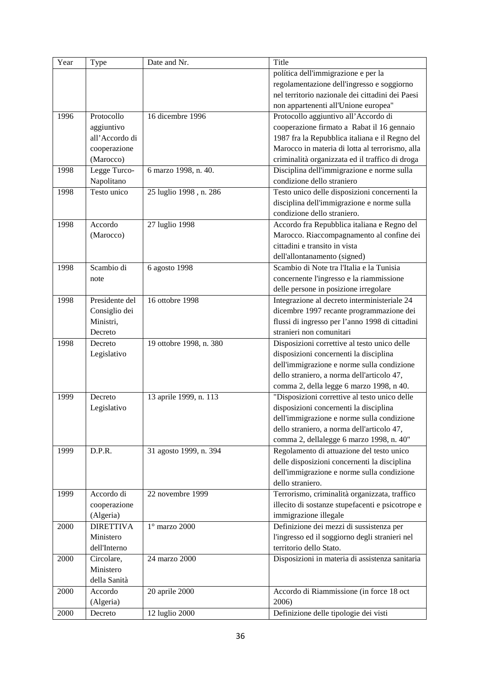| Year | Type             | Date and Nr.            | Title                                            |
|------|------------------|-------------------------|--------------------------------------------------|
|      |                  |                         | política dell'immigrazione e per la              |
|      |                  |                         | regolamentazione dell'ingresso e soggiorno       |
|      |                  |                         | nel territorio nazionale dei cittadini dei Paesi |
|      |                  |                         | non appartenenti all'Unione europea"             |
| 1996 | Protocollo       | 16 dicembre 1996        | Protocollo aggiuntivo all'Accordo di             |
|      | aggiuntivo       |                         | cooperazione firmato a Rabat il 16 gennaio       |
|      | all'Accordo di   |                         | 1987 fra la Repubblica italiana e il Regno del   |
|      | cooperazione     |                         | Marocco in materia di lotta al terrorismo, alla  |
|      | (Marocco)        |                         | criminalità organizzata ed il traffico di droga  |
| 1998 | Legge Turco-     | 6 marzo 1998, n. 40.    | Disciplina dell'immigrazione e norme sulla       |
|      | Napolitano       |                         | condizione dello straniero                       |
| 1998 | Testo unico      | 25 luglio 1998, n. 286  | Testo unico delle disposizioni concernenti la    |
|      |                  |                         | disciplina dell'immigrazione e norme sulla       |
|      |                  |                         | condizione dello straniero.                      |
| 1998 | Accordo          | 27 luglio 1998          | Accordo fra Repubblica italiana e Regno del      |
|      | (Marocco)        |                         | Marocco. Riaccompagnamento al confine dei        |
|      |                  |                         | cittadini e transito in vista                    |
|      |                  |                         | dell'allontanamento (signed)                     |
| 1998 | Scambio di       | 6 agosto 1998           | Scambio di Note tra l'Italia e la Tunisia        |
|      | note             |                         | concernente l'ingresso e la riammissione         |
|      |                  |                         | delle persone in posizione irregolare            |
| 1998 | Presidente del   | 16 ottobre 1998         | Integrazione al decreto interministeriale 24     |
|      | Consiglio dei    |                         | dicembre 1997 recante programmazione dei         |
|      | Ministri,        |                         | flussi di ingresso per l'anno 1998 di cittadini  |
|      | Decreto          |                         | stranieri non comunitari                         |
| 1998 | Decreto          | 19 ottobre 1998, n. 380 | Disposizioni correttive al testo unico delle     |
|      | Legislativo      |                         | disposizioni concernenti la disciplina           |
|      |                  |                         | dell'immigrazione e norme sulla condizione       |
|      |                  |                         | dello straniero, a norma dell'articolo 47,       |
|      |                  |                         | comma 2, della legge 6 marzo 1998, n 40.         |
| 1999 | Decreto          | 13 aprile 1999, n. 113  | "Disposizioni correttive al testo unico delle    |
|      | Legislativo      |                         | disposizioni concernenti la disciplina           |
|      |                  |                         | dell'immigrazione e norme sulla condizione       |
|      |                  |                         | dello straniero, a norma dell'articolo 47,       |
|      |                  |                         | comma 2, dellalegge 6 marzo 1998, n. 40"         |
| 1999 | D.P.R.           | 31 agosto 1999, n. 394  | Regolamento di attuazione del testo unico        |
|      |                  |                         | delle disposizioni concernenti la disciplina     |
|      |                  |                         | dell'immigrazione e norme sulla condizione       |
|      |                  |                         | dello straniero.                                 |
| 1999 | Accordo di       | 22 novembre 1999        | Terrorismo, criminalità organizzata, traffico    |
|      | cooperazione     |                         | illecito di sostanze stupefacenti e psicotrope e |
|      | (Algeria)        |                         | immigrazione illegale                            |
| 2000 | <b>DIRETTIVA</b> | $1^\circ$ marzo 2000    | Definizione dei mezzi di sussistenza per         |
|      | Ministero        |                         | l'ingresso ed il soggiorno degli stranieri nel   |
|      | dell'Interno     |                         | territorio dello Stato.                          |
| 2000 | Circolare,       | 24 marzo 2000           | Disposizioni in materia di assistenza sanitaria  |
|      | Ministero        |                         |                                                  |
|      | della Sanità     |                         |                                                  |
| 2000 | Accordo          | 20 aprile 2000          | Accordo di Riammissione (in force 18 oct         |
|      | (Algeria)        |                         | 2006)                                            |
|      |                  |                         |                                                  |
| 2000 | Decreto          | 12 luglio 2000          | Definizione delle tipologie dei visti            |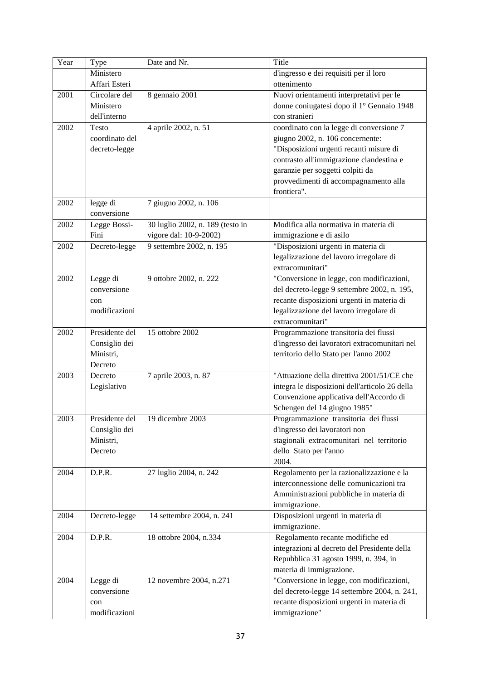| Year | Type           | Date and Nr.                     | Title                                          |
|------|----------------|----------------------------------|------------------------------------------------|
|      | Ministero      |                                  | d'ingresso e dei requisiti per il loro         |
|      | Affari Esteri  |                                  | ottenimento                                    |
| 2001 | Circolare del  | 8 gennaio 2001                   | Nuovi orientamenti interpretativi per le       |
|      | Ministero      |                                  | donne coniugatesi dopo il 1º Gennaio 1948      |
|      | dell'interno   |                                  | con stranieri                                  |
| 2002 | Testo          | 4 aprile 2002, n. 51             | coordinato con la legge di conversione 7       |
|      | coordinato del |                                  | giugno 2002, n. 106 concernente:               |
|      | decreto-legge  |                                  | "Disposizioni urgenti recanti misure di        |
|      |                |                                  | contrasto all'immigrazione clandestina e       |
|      |                |                                  | garanzie per soggetti colpiti da               |
|      |                |                                  | provvedimenti di accompagnamento alla          |
|      |                |                                  | frontiera".                                    |
|      |                |                                  |                                                |
| 2002 | legge di       | 7 giugno 2002, n. 106            |                                                |
|      | conversione    |                                  |                                                |
| 2002 | Legge Bossi-   | 30 luglio 2002, n. 189 (testo in | Modifica alla normativa in materia di          |
|      | Fini           | vigore dal: 10-9-2002)           | immigrazione e di asilo                        |
| 2002 | Decreto-legge  | 9 settembre 2002, n. 195         | "Disposizioni urgenti in materia di            |
|      |                |                                  | legalizzazione del lavoro irregolare di        |
|      |                |                                  | extracomunitari"                               |
| 2002 | Legge di       | 9 ottobre 2002, n. 222           | "Conversione in legge, con modificazioni,      |
|      | conversione    |                                  | del decreto-legge 9 settembre 2002, n. 195,    |
|      | con            |                                  | recante disposizioni urgenti in materia di     |
|      | modificazioni  |                                  | legalizzazione del lavoro irregolare di        |
|      |                |                                  | extracomunitari"                               |
| 2002 | Presidente del | 15 ottobre 2002                  | Programmazione transitoria dei flussi          |
|      | Consiglio dei  |                                  | d'ingresso dei lavoratori extracomunitari nel  |
|      | Ministri,      |                                  | territorio dello Stato per l'anno 2002         |
|      | Decreto        |                                  |                                                |
| 2003 | Decreto        | 7 aprile 2003, n. 87             | "Attuazione della direttiva 2001/51/CE che     |
|      | Legislativo    |                                  | integra le disposizioni dell'articolo 26 della |
|      |                |                                  | Convenzione applicativa dell'Accordo di        |
|      |                |                                  | Schengen del 14 giugno 1985"                   |
| 2003 | Presidente del | 19 dicembre 2003                 | Programmazione transitoria dei flussi          |
|      | Consiglio dei  |                                  | d'ingresso dei lavoratori non                  |
|      | Ministri,      |                                  | stagionali extracomunitari nel territorio      |
|      | Decreto        |                                  | dello Stato per l'anno                         |
|      |                |                                  | 2004.                                          |
| 2004 | D.P.R.         | 27 luglio 2004, n. 242           | Regolamento per la razionalizzazione e la      |
|      |                |                                  | interconnessione delle comunicazioni tra       |
|      |                |                                  | Amministrazioni pubbliche in materia di        |
|      |                |                                  | immigrazione.                                  |
| 2004 | Decreto-legge  | 14 settembre 2004, n. 241        | Disposizioni urgenti in materia di             |
|      |                |                                  | immigrazione.                                  |
| 2004 | D.P.R.         | 18 ottobre 2004, n.334           | Regolamento recante modifiche ed               |
|      |                |                                  | integrazioni al decreto del Presidente della   |
|      |                |                                  | Repubblica 31 agosto 1999, n. 394, in          |
|      |                |                                  | materia di immigrazione.                       |
| 2004 | Legge di       | 12 novembre 2004, n.271          | "Conversione in legge, con modificazioni,      |
|      | conversione    |                                  | del decreto-legge 14 settembre 2004, n. 241,   |
|      | con            |                                  | recante disposizioni urgenti in materia di     |
|      | modificazioni  |                                  |                                                |
|      |                |                                  | immigrazione"                                  |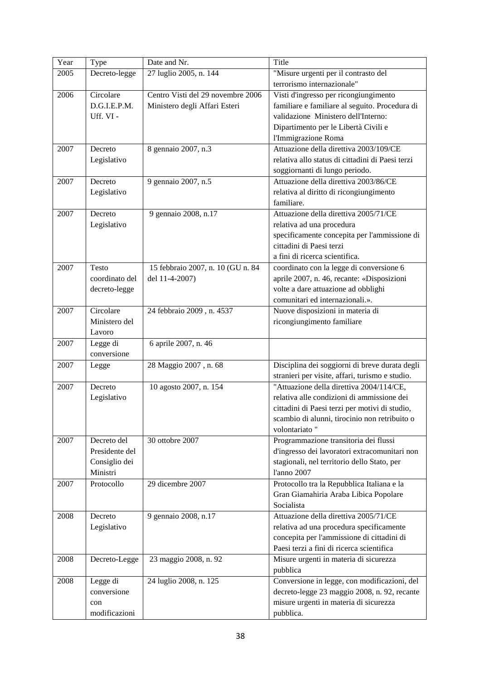| Year | Type                    | Date and Nr.                      | Title                                            |
|------|-------------------------|-----------------------------------|--------------------------------------------------|
| 2005 | Decreto-legge           | 27 luglio 2005, n. 144            | "Misure urgenti per il contrasto del             |
|      |                         |                                   | terrorismo internazionale"                       |
| 2006 | Circolare               | Centro Visti del 29 novembre 2006 | Visti d'ingresso per ricongiungimento            |
|      | D.G.I.E.P.M.            | Ministero degli Affari Esteri     | familiare e familiare al seguito. Procedura di   |
|      | Uff. VI -               |                                   | validazione Ministero dell'Interno:              |
|      |                         |                                   | Dipartimento per le Libertà Civili e             |
|      |                         |                                   | l'Immigrazione Roma                              |
| 2007 | Decreto                 | 8 gennaio 2007, n.3               | Attuazione della direttiva 2003/109/CE           |
|      | Legislativo             |                                   | relativa allo status di cittadini di Paesi terzi |
|      |                         |                                   | soggiornanti di lungo periodo.                   |
| 2007 | Decreto                 | 9 gennaio 2007, n.5               | Attuazione della direttiva 2003/86/CE            |
|      | Legislativo             |                                   | relativa al diritto di ricongiungimento          |
|      |                         |                                   | familiare.                                       |
| 2007 | Decreto                 | 9 gennaio 2008, n.17              | Attuazione della direttiva 2005/71/CE            |
|      | Legislativo             |                                   | relativa ad una procedura                        |
|      |                         |                                   | specificamente concepita per l'ammissione di     |
|      |                         |                                   | cittadini di Paesi terzi                         |
|      |                         |                                   | a fini di ricerca scientifica.                   |
| 2007 | Testo                   | 15 febbraio 2007, n. 10 (GU n. 84 | coordinato con la legge di conversione 6         |
|      | coordinato del          | del 11-4-2007)                    | aprile 2007, n. 46, recante: «Disposizioni       |
|      | decreto-legge           |                                   | volte a dare attuazione ad obblighi              |
|      |                         |                                   | comunitari ed internazionali.».                  |
| 2007 | Circolare               | 24 febbraio 2009, n. 4537         | Nuove disposizioni in materia di                 |
|      | Ministero del           |                                   | ricongiungimento familiare                       |
|      | Lavoro                  |                                   |                                                  |
| 2007 |                         |                                   |                                                  |
|      | Legge di<br>conversione | 6 aprile 2007, n. 46              |                                                  |
| 2007 |                         | 28 Maggio 2007, n. 68             | Disciplina dei soggiorni di breve durata degli   |
|      | Legge                   |                                   | stranieri per visite, affari, turismo e studio.  |
|      |                         |                                   | "Attuazione della direttiva 2004/114/CE,         |
| 2007 | Decreto                 | 10 agosto 2007, n. 154            | relativa alle condizioni di ammissione dei       |
|      | Legislativo             |                                   |                                                  |
|      |                         |                                   | cittadini di Paesi terzi per motivi di studio,   |
|      |                         |                                   | scambio di alunni, tirocinio non retribuito o    |
|      |                         |                                   | volontariato "                                   |
| 2007 | Decreto del             | 30 ottobre 2007                   | Programmazione transitoria dei flussi            |
|      | Presidente del          |                                   | d'ingresso dei lavoratori extracomunitari non    |
|      | Consiglio dei           |                                   | stagionali, nel territorio dello Stato, per      |
|      | Ministri                |                                   | l'anno 2007                                      |
| 2007 | Protocollo              | 29 dicembre 2007                  | Protocollo tra la Repubblica Italiana e la       |
|      |                         |                                   | Gran Giamahiria Araba Libica Popolare            |
|      |                         |                                   | Socialista                                       |
| 2008 | Decreto                 | 9 gennaio 2008, n.17              | Attuazione della direttiva 2005/71/CE            |
|      | Legislativo             |                                   | relativa ad una procedura specificamente         |
|      |                         |                                   | concepita per l'ammissione di cittadini di       |
|      |                         |                                   | Paesi terzi a fini di ricerca scientifica        |
| 2008 | Decreto-Legge           | 23 maggio 2008, n. 92             | Misure urgenti in materia di sicurezza           |
|      |                         |                                   | pubblica                                         |
| 2008 | Legge di                | 24 luglio 2008, n. 125            | Conversione in legge, con modificazioni, del     |
|      | conversione             |                                   | decreto-legge 23 maggio 2008, n. 92, recante     |
|      | con                     |                                   | misure urgenti in materia di sicurezza           |
|      | modificazioni           |                                   | pubblica.                                        |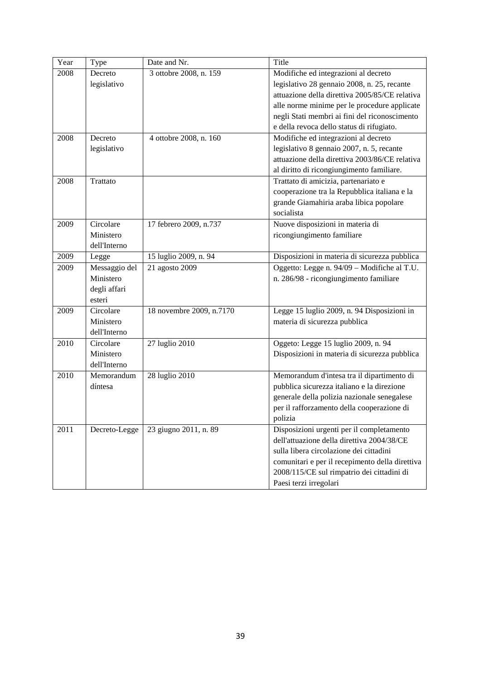| Year | <b>Type</b>   | Date and Nr.             | Title                                           |
|------|---------------|--------------------------|-------------------------------------------------|
| 2008 | Decreto       | 3 ottobre 2008, n. 159   | Modifiche ed integrazioni al decreto            |
|      | legislativo   |                          | legislativo 28 gennaio 2008, n. 25, recante     |
|      |               |                          | attuazione della direttiva 2005/85/CE relativa  |
|      |               |                          | alle norme minime per le procedure applicate    |
|      |               |                          | negli Stati membri ai fini del riconoscimento   |
|      |               |                          | e della revoca dello status di rifugiato.       |
| 2008 | Decreto       | 4 ottobre 2008, n. 160   | Modifiche ed integrazioni al decreto            |
|      | legislativo   |                          | legislativo 8 gennaio 2007, n. 5, recante       |
|      |               |                          | attuazione della direttiva 2003/86/CE relativa  |
|      |               |                          | al diritto di ricongiungimento familiare.       |
| 2008 | Trattato      |                          | Trattato di amicizia, partenariato e            |
|      |               |                          | cooperazione tra la Repubblica italiana e la    |
|      |               |                          | grande Giamahiria araba libica popolare         |
|      |               |                          | socialista                                      |
| 2009 | Circolare     | 17 febrero 2009, n.737   | Nuove disposizioni in materia di                |
|      | Ministero     |                          | ricongiungimento familiare                      |
|      | dell'Interno  |                          |                                                 |
| 2009 | Legge         | 15 luglio 2009, n. 94    | Disposizioni in materia di sicurezza pubblica   |
| 2009 | Messaggio del | 21 agosto 2009           | Oggetto: Legge n. 94/09 - Modifiche al T.U.     |
|      | Ministero     |                          | n. 286/98 - ricongiungimento familiare          |
|      | degli affari  |                          |                                                 |
|      | esteri        |                          |                                                 |
| 2009 | Circolare     | 18 novembre 2009, n.7170 | Legge 15 luglio 2009, n. 94 Disposizioni in     |
|      | Ministero     |                          | materia di sicurezza pubblica                   |
|      | dell'Interno  |                          |                                                 |
| 2010 | Circolare     | 27 luglio 2010           | Oggeto: Legge 15 luglio 2009, n. 94             |
|      | Ministero     |                          | Disposizioni in materia di sicurezza pubblica   |
|      | dell'Interno  |                          |                                                 |
| 2010 | Memorandum    | 28 luglio 2010           | Memorandum d'intesa tra il dipartimento di      |
|      | díntesa       |                          | pubblica sicurezza italiano e la direzione      |
|      |               |                          | generale della polizia nazionale senegalese     |
|      |               |                          | per il rafforzamento della cooperazione di      |
|      |               |                          | polizia                                         |
| 2011 | Decreto-Legge | 23 giugno 2011, n. 89    | Disposizioni urgenti per il completamento       |
|      |               |                          | dell'attuazione della direttiva 2004/38/CE      |
|      |               |                          | sulla libera circolazione dei cittadini         |
|      |               |                          | comunitari e per il recepimento della direttiva |
|      |               |                          | 2008/115/CE sul rimpatrio dei cittadini di      |
|      |               |                          | Paesi terzi irregolari                          |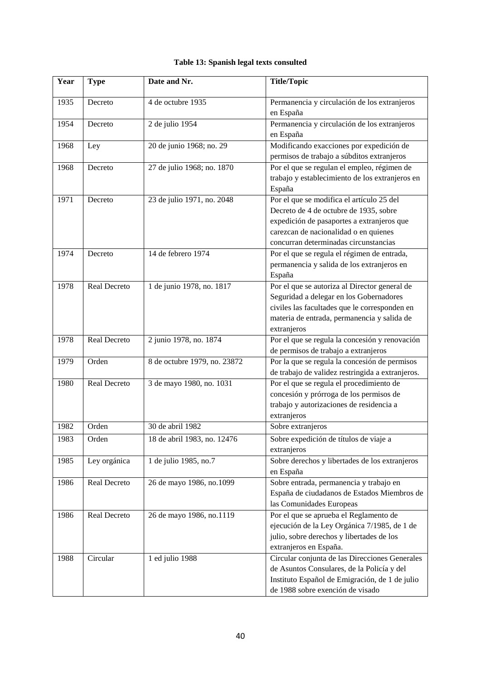|  |  |  |  | Table 13: Spanish legal texts consulted |
|--|--|--|--|-----------------------------------------|
|--|--|--|--|-----------------------------------------|

| Year | <b>Type</b>  | Date and Nr.                 | <b>Title/Topic</b>                                                                                                                                                                                                  |  |
|------|--------------|------------------------------|---------------------------------------------------------------------------------------------------------------------------------------------------------------------------------------------------------------------|--|
| 1935 | Decreto      | 4 de octubre 1935            | Permanencia y circulación de los extranjeros<br>en España                                                                                                                                                           |  |
| 1954 | Decreto      | 2 de julio 1954              | Permanencia y circulación de los extranjeros<br>en España                                                                                                                                                           |  |
| 1968 | Ley          | 20 de junio 1968; no. 29     | Modificando exacciones por expedición de<br>permisos de trabajo a súbditos extranjeros                                                                                                                              |  |
| 1968 | Decreto      | 27 de julio 1968; no. 1870   | Por el que se regulan el empleo, régimen de<br>trabajo y establecimiento de los extranjeros en<br>España                                                                                                            |  |
| 1971 | Decreto      | 23 de julio 1971, no. 2048   | Por el que se modifica el artículo 25 del<br>Decreto de 4 de octubre de 1935, sobre<br>expedición de pasaportes a extranjeros que<br>carezcan de nacionalidad o en quienes<br>concurran determinadas circunstancias |  |
| 1974 | Decreto      | 14 de febrero 1974           | Por el que se regula el régimen de entrada,<br>permanencia y salida de los extranjeros en<br>España                                                                                                                 |  |
| 1978 | Real Decreto | 1 de junio 1978, no. 1817    | Por el que se autoriza al Director general de<br>Seguridad a delegar en los Gobernadores<br>civiles las facultades que le corresponden en<br>materia de entrada, permanencia y salida de<br>extranjeros             |  |
| 1978 | Real Decreto | 2 junio 1978, no. 1874       | Por el que se regula la concesión y renovación<br>de permisos de trabajo a extranjeros                                                                                                                              |  |
| 1979 | Orden        | 8 de octubre 1979, no. 23872 | Por la que se regula la concesión de permisos<br>de trabajo de validez restringida a extranjeros.                                                                                                                   |  |
| 1980 | Real Decreto | 3 de mayo 1980, no. 1031     | Por el que se regula el procedimiento de<br>concesión y prórroga de los permisos de<br>trabajo y autorizaciones de residencia a<br>extranjeros                                                                      |  |
| 1982 | Orden        | 30 de abril 1982             | Sobre extranjeros                                                                                                                                                                                                   |  |
| 1983 | Orden        | 18 de abril 1983, no. 12476  | Sobre expedición de títulos de viaje a<br>extranjeros                                                                                                                                                               |  |
| 1985 | Ley orgánica | 1 de julio 1985, no.7        | Sobre derechos y libertades de los extranjeros<br>en España                                                                                                                                                         |  |
| 1986 | Real Decreto | 26 de mayo 1986, no.1099     | Sobre entrada, permanencia y trabajo en<br>España de ciudadanos de Estados Miembros de<br>las Comunidades Europeas                                                                                                  |  |
| 1986 | Real Decreto | 26 de mayo 1986, no.1119     | Por el que se aprueba el Reglamento de<br>ejecución de la Ley Orgánica 7/1985, de 1 de<br>julio, sobre derechos y libertades de los<br>extranjeros en España.                                                       |  |
| 1988 | Circular     | 1 ed julio 1988              | Circular conjunta de las Direcciones Generales<br>de Asuntos Consulares, de la Policía y del<br>Instituto Español de Emigración, de 1 de julio<br>de 1988 sobre exención de visado                                  |  |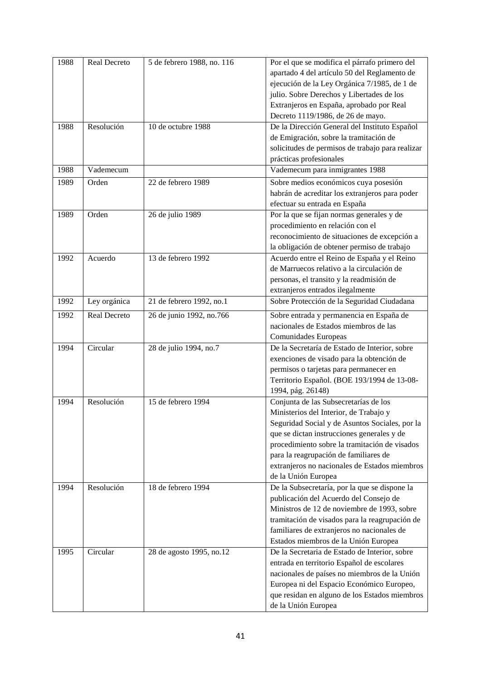| 1988 | Real Decreto | 5 de febrero 1988, no. 116 | Por el que se modifica el párrafo primero del<br>apartado 4 del artículo 50 del Reglamento de<br>ejecución de la Ley Orgánica 7/1985, de 1 de<br>julio. Sobre Derechos y Libertades de los<br>Extranjeros en España, aprobado por Real<br>Decreto 1119/1986, de 26 de mayo.                                                                       |
|------|--------------|----------------------------|---------------------------------------------------------------------------------------------------------------------------------------------------------------------------------------------------------------------------------------------------------------------------------------------------------------------------------------------------|
| 1988 | Resolución   | 10 de octubre 1988         | De la Dirección General del Instituto Español<br>de Emigración, sobre la tramitación de<br>solicitudes de permisos de trabajo para realizar<br>prácticas profesionales                                                                                                                                                                            |
| 1988 | Vademecum    |                            | Vademecum para inmigrantes 1988                                                                                                                                                                                                                                                                                                                   |
| 1989 | Orden        | 22 de febrero 1989         | Sobre medios económicos cuya posesión<br>habrán de acreditar los extranjeros para poder<br>efectuar su entrada en España                                                                                                                                                                                                                          |
| 1989 | Orden        | 26 de julio 1989           | Por la que se fijan normas generales y de<br>procedimiento en relación con el<br>reconocimiento de situaciones de excepción a<br>la obligación de obtener permiso de trabajo                                                                                                                                                                      |
| 1992 | Acuerdo      | 13 de febrero 1992         | Acuerdo entre el Reino de España y el Reino<br>de Marruecos relativo a la circulación de<br>personas, el transito y la readmisión de<br>extranjeros entrados ilegalmente                                                                                                                                                                          |
| 1992 | Ley orgánica | 21 de febrero 1992, no.1   | Sobre Protección de la Seguridad Ciudadana                                                                                                                                                                                                                                                                                                        |
| 1992 | Real Decreto | 26 de junio 1992, no.766   | Sobre entrada y permanencia en España de<br>nacionales de Estados miembros de las<br>Comunidades Europeas                                                                                                                                                                                                                                         |
| 1994 | Circular     | 28 de julio 1994, no.7     | De la Secretaría de Estado de Interior, sobre<br>exenciones de visado para la obtención de<br>permisos o tarjetas para permanecer en<br>Territorio Español. (BOE 193/1994 de 13-08-<br>1994, pág. 26148)                                                                                                                                          |
| 1994 | Resolución   | 15 de febrero 1994         | Conjunta de las Subsecretarías de los<br>Ministerios del Interior, de Trabajo y<br>Seguridad Social y de Asuntos Sociales, por la<br>que se dictan instrucciones generales y de<br>procedimiento sobre la tramitación de visados<br>para la reagrupación de familiares de<br>extranjeros no nacionales de Estados miembros<br>de la Unión Europea |
| 1994 | Resolución   | 18 de febrero 1994         | De la Subsecretaría, por la que se dispone la<br>publicación del Acuerdo del Consejo de<br>Ministros de 12 de noviembre de 1993, sobre<br>tramitación de visados para la reagrupación de<br>familiares de extranjeros no nacionales de<br>Estados miembros de la Unión Europea                                                                    |
| 1995 | Circular     | 28 de agosto 1995, no.12   | De la Secretaria de Estado de Interior, sobre<br>entrada en territorio Español de escolares<br>nacionales de países no miembros de la Unión<br>Europea ni del Espacio Económico Europeo,<br>que residan en alguno de los Estados miembros<br>de la Unión Europea                                                                                  |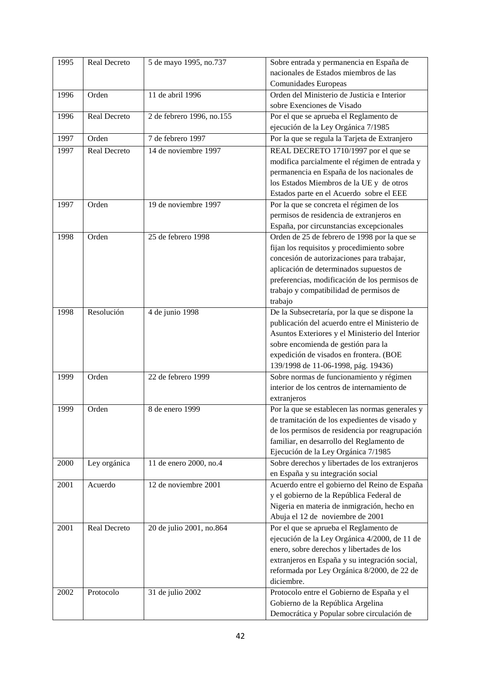| 1995 | Real Decreto | 5 de mayo 1995, no.737    | Sobre entrada y permanencia en España de        |
|------|--------------|---------------------------|-------------------------------------------------|
|      |              |                           | nacionales de Estados miembros de las           |
|      |              |                           | Comunidades Europeas                            |
| 1996 | Orden        | 11 de abril 1996          | Orden del Ministerio de Justicia e Interior     |
|      |              |                           | sobre Exenciones de Visado                      |
| 1996 | Real Decreto | 2 de febrero 1996, no.155 | Por el que se aprueba el Reglamento de          |
|      |              |                           | ejecución de la Ley Orgánica 7/1985             |
| 1997 | Orden        | 7 de febrero 1997         | Por la que se regula la Tarjeta de Extranjero   |
| 1997 | Real Decreto | 14 de noviembre 1997      | REAL DECRETO 1710/1997 por el que se            |
|      |              |                           | modifica parcialmente el régimen de entrada y   |
|      |              |                           | permanencia en España de los nacionales de      |
|      |              |                           | los Estados Miembros de la UE y de otros        |
|      |              |                           | Estados parte en el Acuerdo sobre el EEE        |
| 1997 | Orden        | 19 de noviembre 1997      | Por la que se concreta el régimen de los        |
|      |              |                           | permisos de residencia de extranjeros en        |
|      |              |                           | España, por circunstancias excepcionales        |
| 1998 | Orden        | 25 de febrero 1998        |                                                 |
|      |              |                           | Orden de 25 de febrero de 1998 por la que se    |
|      |              |                           | fijan los requisitos y procedimiento sobre      |
|      |              |                           | concesión de autorizaciones para trabajar,      |
|      |              |                           | aplicación de determinados supuestos de         |
|      |              |                           | preferencias, modificación de los permisos de   |
|      |              |                           | trabajo y compatibilidad de permisos de         |
|      |              |                           | trabajo                                         |
| 1998 | Resolución   | 4 de junio 1998           | De la Subsecretaría, por la que se dispone la   |
|      |              |                           | publicación del acuerdo entre el Ministerio de  |
|      |              |                           | Asuntos Exteriores y el Ministerio del Interior |
|      |              |                           | sobre encomienda de gestión para la             |
|      |              |                           | expedición de visados en frontera. (BOE         |
|      |              |                           | 139/1998 de 11-06-1998, pág. 19436)             |
| 1999 | Orden        | 22 de febrero 1999        | Sobre normas de funcionamiento y régimen        |
|      |              |                           | interior de los centros de internamiento de     |
|      |              |                           | extranjeros                                     |
| 1999 | Orden        | 8 de enero 1999           | Por la que se establecen las normas generales y |
|      |              |                           | de tramitación de los expedientes de visado y   |
|      |              |                           | de los permisos de residencia por reagrupación  |
|      |              |                           | familiar, en desarrollo del Reglamento de       |
|      |              |                           | Ejecución de la Ley Orgánica 7/1985             |
| 2000 | Ley orgánica | 11 de enero 2000, no.4    | Sobre derechos y libertades de los extranjeros  |
|      |              |                           | en España y su integración social               |
| 2001 | Acuerdo      | 12 de noviembre 2001      | Acuerdo entre el gobierno del Reino de España   |
|      |              |                           | y el gobierno de la República Federal de        |
|      |              |                           | Nigeria en materia de inmigración, hecho en     |
|      |              |                           | Abuja el 12 de noviembre de 2001                |
| 2001 | Real Decreto | 20 de julio 2001, no.864  | Por el que se aprueba el Reglamento de          |
|      |              |                           | ejecución de la Ley Orgánica 4/2000, de 11 de   |
|      |              |                           | enero, sobre derechos y libertades de los       |
|      |              |                           | extranjeros en España y su integración social,  |
|      |              |                           | reformada por Ley Orgánica 8/2000, de 22 de     |
|      |              |                           | diciembre.                                      |
| 2002 | Protocolo    | 31 de julio 2002          | Protocolo entre el Gobierno de España y el      |
|      |              |                           | Gobierno de la República Argelina               |
|      |              |                           | Democrática y Popular sobre circulación de      |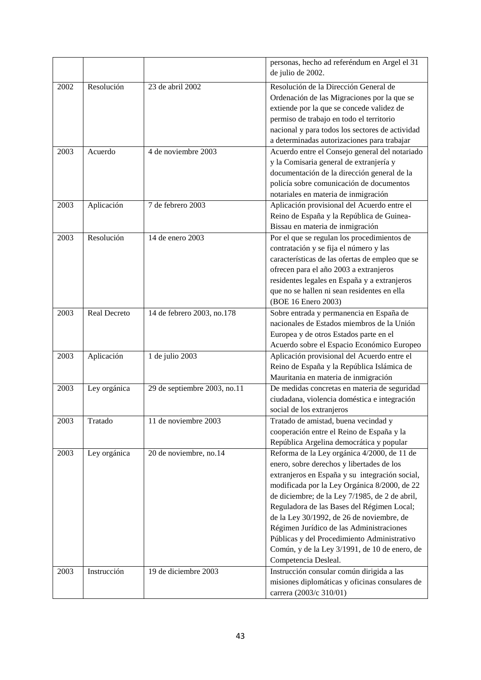|      |              |                              | personas, hecho ad referéndum en Argel el 31<br>de julio de 2002. |
|------|--------------|------------------------------|-------------------------------------------------------------------|
| 2002 | Resolución   | 23 de abril 2002             | Resolución de la Dirección General de                             |
|      |              |                              | Ordenación de las Migraciones por la que se                       |
|      |              |                              | extiende por la que se concede validez de                         |
|      |              |                              | permiso de trabajo en todo el territorio                          |
|      |              |                              | nacional y para todos los sectores de actividad                   |
|      |              |                              | a determinadas autorizaciones para trabajar                       |
| 2003 | Acuerdo      | 4 de noviembre 2003          | Acuerdo entre el Consejo general del notariado                    |
|      |              |                              | y la Comisaria general de extranjería y                           |
|      |              |                              | documentación de la dirección general de la                       |
|      |              |                              | policía sobre comunicación de documentos                          |
|      |              |                              | notariales en materia de inmigración                              |
| 2003 | Aplicación   | 7 de febrero 2003            | Aplicación provisional del Acuerdo entre el                       |
|      |              |                              | Reino de España y la República de Guinea-                         |
|      |              |                              | Bissau en materia de inmigración                                  |
| 2003 | Resolución   | 14 de enero 2003             | Por el que se regulan los procedimientos de                       |
|      |              |                              |                                                                   |
|      |              |                              | contratación y se fija el número y las                            |
|      |              |                              | características de las ofertas de empleo que se                   |
|      |              |                              | ofrecen para el año 2003 a extranjeros                            |
|      |              |                              | residentes legales en España y a extranjeros                      |
|      |              |                              | que no se hallen ni sean residentes en ella                       |
|      |              |                              | (BOE 16 Enero 2003)                                               |
| 2003 | Real Decreto | 14 de febrero 2003, no.178   | Sobre entrada y permanencia en España de                          |
|      |              |                              | nacionales de Estados miembros de la Unión                        |
|      |              |                              | Europea y de otros Estados parte en el                            |
|      |              |                              | Acuerdo sobre el Espacio Económico Europeo                        |
| 2003 | Aplicación   | 1 de julio 2003              | Aplicación provisional del Acuerdo entre el                       |
|      |              |                              | Reino de España y la República Islámica de                        |
|      |              |                              | Mauritania en materia de inmigración                              |
| 2003 | Ley orgánica | 29 de septiembre 2003, no.11 | De medidas concretas en materia de seguridad                      |
|      |              |                              | ciudadana, violencia doméstica e integración                      |
|      |              |                              | social de los extranjeros                                         |
| 2003 | Tratado      | 11 de noviembre 2003         | Tratado de amistad, buena vecindad y                              |
|      |              |                              | cooperación entre el Reino de España y la                         |
|      |              |                              | República Argelina democrática y popular                          |
| 2003 | Ley orgánica | 20 de noviembre, no.14       | Reforma de la Ley orgánica 4/2000, de 11 de                       |
|      |              |                              | enero, sobre derechos y libertades de los                         |
|      |              |                              | extranjeros en España y su integración social,                    |
|      |              |                              | modificada por la Ley Orgánica 8/2000, de 22                      |
|      |              |                              | de diciembre; de la Ley 7/1985, de 2 de abril,                    |
|      |              |                              | Reguladora de las Bases del Régimen Local;                        |
|      |              |                              | de la Ley 30/1992, de 26 de noviembre, de                         |
|      |              |                              | Régimen Jurídico de las Administraciones                          |
|      |              |                              | Públicas y del Procedimiento Administrativo                       |
|      |              |                              | Común, y de la Ley 3/1991, de 10 de enero, de                     |
|      |              |                              | Competencia Desleal.                                              |
| 2003 | Instrucción  | 19 de diciembre 2003         | Instrucción consular común dirigida a las                         |
|      |              |                              | misiones diplomáticas y oficinas consulares de                    |
|      |              |                              | carrera (2003/c 310/01)                                           |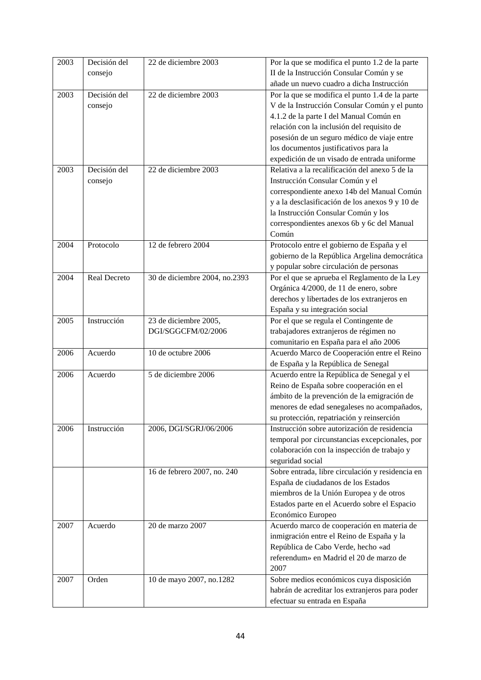| 2003 | Decisión del | 22 de diciembre 2003          | Por la que se modifica el punto 1.2 de la parte  |
|------|--------------|-------------------------------|--------------------------------------------------|
|      | consejo      |                               | II de la Instrucción Consular Común y se         |
|      |              |                               | añade un nuevo cuadro a dicha Instrucción        |
| 2003 | Decisión del | 22 de diciembre 2003          | Por la que se modifica el punto 1.4 de la parte  |
|      | consejo      |                               | V de la Instrucción Consular Común y el punto    |
|      |              |                               | 4.1.2 de la parte I del Manual Común en          |
|      |              |                               | relación con la inclusión del requisito de       |
|      |              |                               | posesión de un seguro médico de viaje entre      |
|      |              |                               | los documentos justificativos para la            |
|      |              |                               | expedición de un visado de entrada uniforme      |
| 2003 | Decisión del | 22 de diciembre 2003          | Relativa a la recalificación del anexo 5 de la   |
|      | consejo      |                               | Instrucción Consular Común y el                  |
|      |              |                               | correspondiente anexo 14b del Manual Común       |
|      |              |                               | y a la desclasificación de los anexos 9 y 10 de  |
|      |              |                               | la Instrucción Consular Común y los              |
|      |              |                               | correspondientes anexos 6b y 6c del Manual       |
|      |              |                               | Común                                            |
| 2004 | Protocolo    | 12 de febrero 2004            | Protocolo entre el gobierno de España y el       |
|      |              |                               | gobierno de la República Argelina democrática    |
|      |              |                               | y popular sobre circulación de personas          |
| 2004 | Real Decreto | 30 de diciembre 2004, no.2393 | Por el que se aprueba el Reglamento de la Ley    |
|      |              |                               | Orgánica 4/2000, de 11 de enero, sobre           |
|      |              |                               | derechos y libertades de los extranjeros en      |
|      |              |                               | España y su integración social                   |
| 2005 | Instrucción  | 23 de diciembre 2005,         | Por el que se regula el Contingente de           |
|      |              | DGI/SGGCFM/02/2006            | trabajadores extranjeros de régimen no           |
|      |              |                               | comunitario en España para el año 2006           |
| 2006 | Acuerdo      | 10 de octubre 2006            | Acuerdo Marco de Cooperación entre el Reino      |
|      |              |                               | de España y la República de Senegal              |
| 2006 | Acuerdo      | 5 de diciembre 2006           | Acuerdo entre la República de Senegal y el       |
|      |              |                               | Reino de España sobre cooperación en el          |
|      |              |                               | ámbito de la prevención de la emigración de      |
|      |              |                               | menores de edad senegaleses no acompañados,      |
|      |              |                               | su protección, repatriación y reinserción        |
| 2006 | Instrucción  | 2006, DGI/SGRJ/06/2006        | Instrucción sobre autorización de residencia     |
|      |              |                               | temporal por circunstancias excepcionales, por   |
|      |              |                               | colaboración con la inspección de trabajo y      |
|      |              |                               | seguridad social                                 |
|      |              | 16 de febrero 2007, no. 240   | Sobre entrada, libre circulación y residencia en |
|      |              |                               | España de ciudadanos de los Estados              |
|      |              |                               | miembros de la Unión Europea y de otros          |
|      |              |                               | Estados parte en el Acuerdo sobre el Espacio     |
|      |              |                               | Económico Europeo                                |
| 2007 | Acuerdo      | 20 de marzo 2007              | Acuerdo marco de cooperación en materia de       |
|      |              |                               | inmigración entre el Reino de España y la        |
|      |              |                               | República de Cabo Verde, hecho «ad               |
|      |              |                               | referendum» en Madrid el 20 de marzo de          |
|      |              |                               | 2007                                             |
| 2007 | Orden        | 10 de mayo 2007, no.1282      | Sobre medios económicos cuya disposición         |
|      |              |                               | habrán de acreditar los extranjeros para poder   |
|      |              |                               | efectuar su entrada en España                    |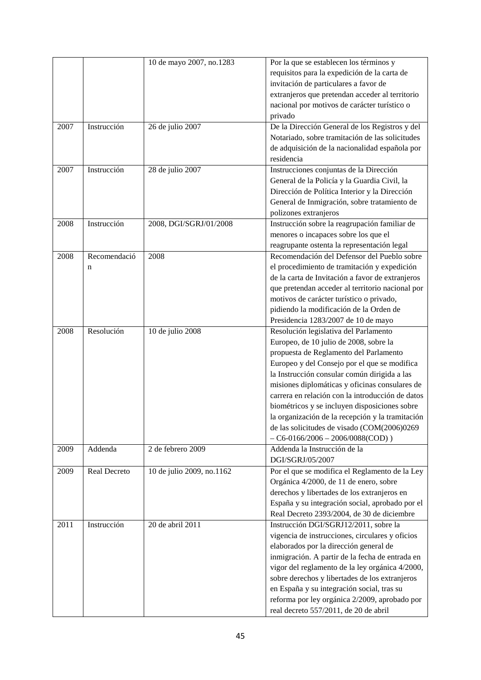|      |              | 10 de mayo 2007, no.1283  | Por la que se establecen los términos y<br>requisitos para la expedición de la carta de |
|------|--------------|---------------------------|-----------------------------------------------------------------------------------------|
|      |              |                           | invitación de particulares a favor de                                                   |
|      |              |                           | extranjeros que pretendan acceder al territorio                                         |
|      |              |                           | nacional por motivos de carácter turístico o                                            |
|      |              |                           | privado                                                                                 |
| 2007 | Instrucción  | 26 de julio 2007          | De la Dirección General de los Registros y del                                          |
|      |              |                           | Notariado, sobre tramitación de las solicitudes                                         |
|      |              |                           | de adquisición de la nacionalidad española por                                          |
|      |              |                           | residencia                                                                              |
| 2007 | Instrucción  | 28 de julio 2007          | Instrucciones conjuntas de la Dirección                                                 |
|      |              |                           | General de la Policía y la Guardia Civil, la                                            |
|      |              |                           | Dirección de Política Interior y la Dirección                                           |
|      |              |                           | General de Inmigración, sobre tratamiento de                                            |
|      |              |                           | polizones extranjeros                                                                   |
| 2008 | Instrucción  | 2008, DGI/SGRJ/01/2008    | Instrucción sobre la reagrupación familiar de                                           |
|      |              |                           | menores o incapaces sobre los que el                                                    |
|      |              |                           | reagrupante ostenta la representación legal                                             |
| 2008 | Recomendació | 2008                      | Recomendación del Defensor del Pueblo sobre                                             |
|      | n            |                           | el procedimiento de tramitación y expedición                                            |
|      |              |                           | de la carta de Invitación a favor de extranjeros                                        |
|      |              |                           | que pretendan acceder al territorio nacional por                                        |
|      |              |                           | motivos de carácter turístico o privado,                                                |
|      |              |                           | pidiendo la modificación de la Orden de                                                 |
|      |              |                           | Presidencia 1283/2007 de 10 de mayo                                                     |
| 2008 | Resolución   | 10 de julio 2008          | Resolución legislativa del Parlamento                                                   |
|      |              |                           | Europeo, de 10 julio de 2008, sobre la                                                  |
|      |              |                           | propuesta de Reglamento del Parlamento                                                  |
|      |              |                           | Europeo y del Consejo por el que se modifica                                            |
|      |              |                           | la Instrucción consular común dirigida a las                                            |
|      |              |                           | misiones diplomáticas y oficinas consulares de                                          |
|      |              |                           | carrera en relación con la introducción de datos                                        |
|      |              |                           | biométricos y se incluyen disposiciones sobre                                           |
|      |              |                           | la organización de la recepción y la tramitación                                        |
|      |              |                           | de las solicitudes de visado (COM(2006)0269                                             |
|      |              |                           | $-$ C6-0166/2006 $-$ 2006/0088(COD))                                                    |
| 2009 | Addenda      | 2 de febrero 2009         | Addenda la Instrucción de la                                                            |
|      |              |                           | DGI/SGRJ/05/2007                                                                        |
| 2009 | Real Decreto | 10 de julio 2009, no.1162 | Por el que se modifica el Reglamento de la Ley                                          |
|      |              |                           | Orgánica 4/2000, de 11 de enero, sobre                                                  |
|      |              |                           | derechos y libertades de los extranjeros en                                             |
|      |              |                           | España y su integración social, aprobado por el                                         |
|      |              |                           | Real Decreto 2393/2004, de 30 de diciembre                                              |
| 2011 | Instrucción  | 20 de abril 2011          | Instrucción DGI/SGRJ12/2011, sobre la                                                   |
|      |              |                           | vigencia de instrucciones, circulares y oficios                                         |
|      |              |                           | elaborados por la dirección general de                                                  |
|      |              |                           | inmigración. A partir de la fecha de entrada en                                         |
|      |              |                           | vigor del reglamento de la ley orgánica 4/2000,                                         |
|      |              |                           | sobre derechos y libertades de los extranjeros                                          |
|      |              |                           | en España y su integración social, tras su                                              |
|      |              |                           | reforma por ley orgánica 2/2009, aprobado por                                           |
|      |              |                           | real decreto 557/2011, de 20 de abril                                                   |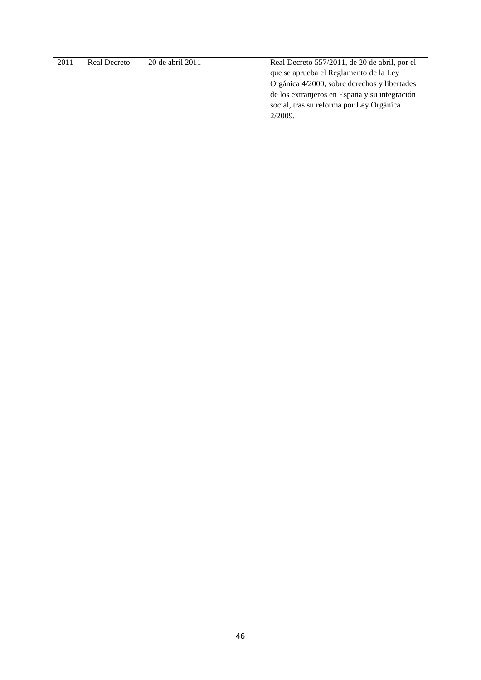| 2011 | <b>Real Decreto</b> | 20 de abril 2011 | Real Decreto 557/2011, de 20 de abril, por el |
|------|---------------------|------------------|-----------------------------------------------|
|      |                     |                  | que se aprueba el Reglamento de la Ley        |
|      |                     |                  | Orgánica 4/2000, sobre derechos y libertades  |
|      |                     |                  | de los extranjeros en España y su integración |
|      |                     |                  | social, tras su reforma por Ley Orgánica      |
|      |                     |                  | 2/2009.                                       |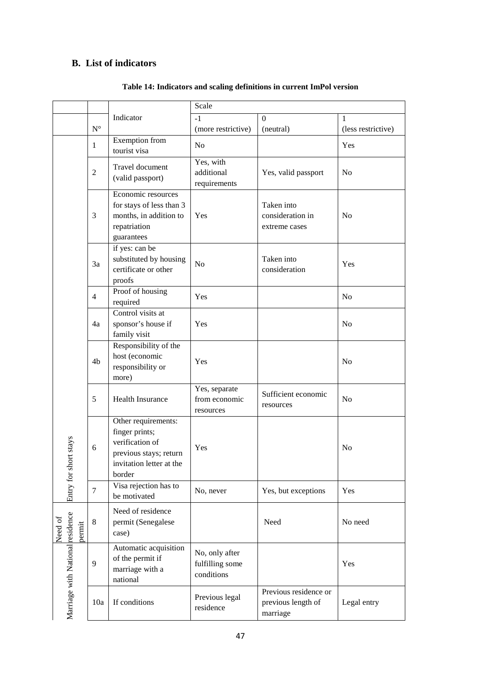# **B. List of indicators**

|                                  |                |                                                                                                                          | Scale                                           |                                                         |                    |
|----------------------------------|----------------|--------------------------------------------------------------------------------------------------------------------------|-------------------------------------------------|---------------------------------------------------------|--------------------|
|                                  |                | Indicator                                                                                                                | $-1$                                            | $\Omega$                                                | 1                  |
|                                  | $N^{\circ}$    |                                                                                                                          | (more restrictive)                              | (neutral)                                               | (less restrictive) |
|                                  | 1              | Exemption from<br>tourist visa                                                                                           | N <sub>o</sub>                                  |                                                         | Yes                |
|                                  | $\overline{c}$ | Travel document<br>(valid passport)                                                                                      | Yes, with<br>additional<br>requirements         | Yes, valid passport                                     | N <sub>0</sub>     |
|                                  | 3              | Economic resources<br>for stays of less than 3<br>months, in addition to<br>repatriation<br>guarantees                   | Yes                                             | Taken into<br>consideration in<br>extreme cases         | No                 |
|                                  | 3a             | if yes: can be<br>substituted by housing<br>certificate or other<br>proofs                                               | No                                              | Taken into<br>consideration                             | Yes                |
|                                  | $\overline{4}$ | Proof of housing<br>required                                                                                             | Yes                                             |                                                         | N <sub>o</sub>     |
|                                  | 4a             | Control visits at<br>sponsor's house if<br>family visit                                                                  | Yes                                             |                                                         | N <sub>o</sub>     |
|                                  | 4b             | Responsibility of the<br>host (economic<br>responsibility or<br>more)                                                    | Yes                                             |                                                         | N <sub>0</sub>     |
|                                  | 5              | Health Insurance                                                                                                         | Yes, separate<br>from economic<br>resources     | Sufficient economic<br>resources                        | N <sub>o</sub>     |
| ort stays                        | 6              | Other requirements:<br>finger prints;<br>verification of<br>previous stays; return<br>invitation letter at the<br>border | Yes                                             |                                                         | N <sub>o</sub>     |
| Entry for sh                     | 7              | Visa rejection has to<br>be motivated                                                                                    | No, never                                       | Yes, but exceptions                                     | Yes                |
| Need of<br>permit                | 8              | Need of residence<br>permit (Senegalese<br>case)                                                                         |                                                 | Need                                                    | No need            |
| Marriage with National residence | 9              | Automatic acquisition<br>of the permit if<br>marriage with a<br>national                                                 | No, only after<br>fulfilling some<br>conditions |                                                         | Yes                |
|                                  | 10a            | If conditions                                                                                                            | Previous legal<br>residence                     | Previous residence or<br>previous length of<br>marriage | Legal entry        |

#### **Table 14: Indicators and scaling definitions in current ImPol version**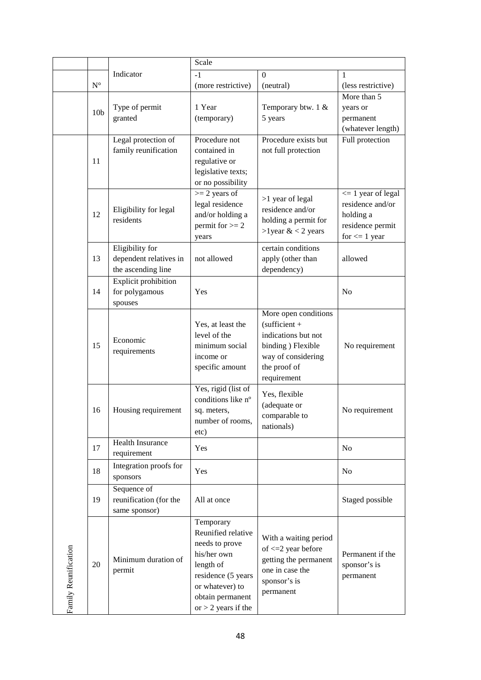|                      |                    |                                                                 | Scale                                                                                                                                                               |                                                                                                                                           |                                                                                                  |
|----------------------|--------------------|-----------------------------------------------------------------|---------------------------------------------------------------------------------------------------------------------------------------------------------------------|-------------------------------------------------------------------------------------------------------------------------------------------|--------------------------------------------------------------------------------------------------|
|                      |                    | Indicator                                                       | $-1$                                                                                                                                                                | $\Omega$                                                                                                                                  | 1                                                                                                |
|                      | $\mathbf{N}^\circ$ |                                                                 | (more restrictive)                                                                                                                                                  | (neutral)                                                                                                                                 | (less restrictive)                                                                               |
|                      | 10 <sub>b</sub>    | Type of permit<br>granted                                       | 1 Year<br>(temporary)                                                                                                                                               | Temporary btw. $1 \&$<br>5 years                                                                                                          | More than 5<br>years or<br>permanent<br>(whatever length)                                        |
|                      | 11                 | Legal protection of<br>family reunification                     | Procedure not<br>contained in<br>regulative or<br>legislative texts;<br>or no possibility                                                                           | Procedure exists but<br>not full protection                                                                                               | Full protection                                                                                  |
|                      | 12                 | Eligibility for legal<br>residents                              | $>= 2$ years of<br>legal residence<br>and/or holding a<br>permit for $>= 2$<br>years                                                                                | >1 year of legal<br>residence and/or<br>holding a permit for<br>>lyear $< 2$ years                                                        | $\leq$ 1 year of legal<br>residence and/or<br>holding a<br>residence permit<br>for $\leq 1$ year |
|                      | 13                 | Eligibility for<br>dependent relatives in<br>the ascending line | not allowed                                                                                                                                                         | certain conditions<br>apply (other than<br>dependency)                                                                                    | allowed                                                                                          |
|                      | 14                 | <b>Explicit prohibition</b><br>for polygamous<br>spouses        | Yes                                                                                                                                                                 |                                                                                                                                           | N <sub>o</sub>                                                                                   |
|                      | 15                 | Economic<br>requirements                                        | Yes, at least the<br>level of the<br>minimum social<br>income or<br>specific amount                                                                                 | More open conditions<br>$(sufficient +$<br>indications but not<br>binding ) Flexible<br>way of considering<br>the proof of<br>requirement | No requirement                                                                                   |
|                      | 16                 | Housing requirement                                             | Yes, rigid (list of<br>conditions like n°<br>sq. meters,<br>number of rooms,<br>etc)                                                                                | Yes, flexible<br>(adequate or<br>comparable to<br>nationals)                                                                              | No requirement                                                                                   |
|                      | 17                 | Health Insurance<br>requirement                                 | Yes                                                                                                                                                                 |                                                                                                                                           | N <sub>o</sub>                                                                                   |
|                      | 18                 | Integration proofs for<br>sponsors                              | Yes                                                                                                                                                                 |                                                                                                                                           | N <sub>0</sub>                                                                                   |
|                      | 19                 | Sequence of<br>reunification (for the<br>same sponsor)          | All at once                                                                                                                                                         |                                                                                                                                           | Staged possible                                                                                  |
| Family Reunification | 20                 | Minimum duration of<br>permit                                   | Temporary<br>Reunified relative<br>needs to prove<br>his/her own<br>length of<br>residence (5 years<br>or whatever) to<br>obtain permanent<br>or $>$ 2 years if the | With a waiting period<br>of $\leq$ 2 year before<br>getting the permanent<br>one in case the<br>sponsor's is<br>permanent                 | Permanent if the<br>sponsor's is<br>permanent                                                    |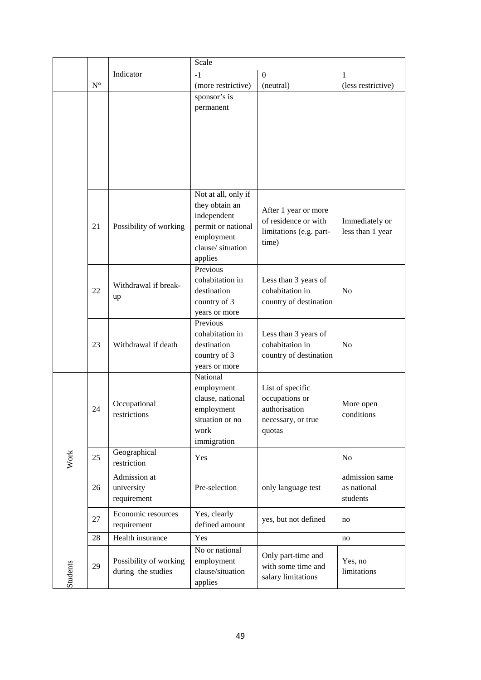|          |                    |                                              | Scale                                                                                                                   |                                                                                     |                                           |
|----------|--------------------|----------------------------------------------|-------------------------------------------------------------------------------------------------------------------------|-------------------------------------------------------------------------------------|-------------------------------------------|
|          |                    | Indicator                                    | $-1$                                                                                                                    | $\mathbf{0}$                                                                        | 1                                         |
|          | $\mathbf{N}^\circ$ |                                              | (more restrictive)                                                                                                      | (neutral)                                                                           | (less restrictive)                        |
|          |                    |                                              | sponsor's is<br>permanent                                                                                               |                                                                                     |                                           |
|          | 21                 | Possibility of working                       | Not at all, only if<br>they obtain an<br>independent<br>permit or national<br>employment<br>clause/situation<br>applies | After 1 year or more<br>of residence or with<br>limitations (e.g. part-<br>time)    | Immediately or<br>less than 1 year        |
|          | 22                 | Withdrawal if break-<br>up                   | Previous<br>cohabitation in<br>destination<br>country of 3<br>years or more                                             | Less than 3 years of<br>cohabitation in<br>country of destination                   | N <sub>0</sub>                            |
|          | 23                 | Withdrawal if death                          | Previous<br>cohabitation in<br>destination<br>country of 3<br>years or more                                             | Less than 3 years of<br>cohabitation in<br>country of destination                   | N <sub>o</sub>                            |
|          | 24                 | Occupational<br>restrictions                 | National<br>employment<br>clause, national<br>employment<br>situation or no<br>work<br>immigration                      | List of specific<br>occupations or<br>authorisation<br>necessary, or true<br>quotas | More open<br>conditions                   |
| Work     | 25                 | Geographical<br>restriction                  | Yes                                                                                                                     |                                                                                     | N <sub>o</sub>                            |
|          | 26                 | Admission at<br>university<br>requirement    | Pre-selection                                                                                                           | only language test                                                                  | admission same<br>as national<br>students |
|          | 27                 | Economic resources<br>requirement            | Yes, clearly<br>defined amount                                                                                          | yes, but not defined                                                                | no                                        |
|          | 28                 | Health insurance                             | Yes                                                                                                                     |                                                                                     | no                                        |
| Students | 29                 | Possibility of working<br>during the studies | No or national<br>employment<br>clause/situation<br>applies                                                             | Only part-time and<br>with some time and<br>salary limitations                      | Yes, no<br>limitations                    |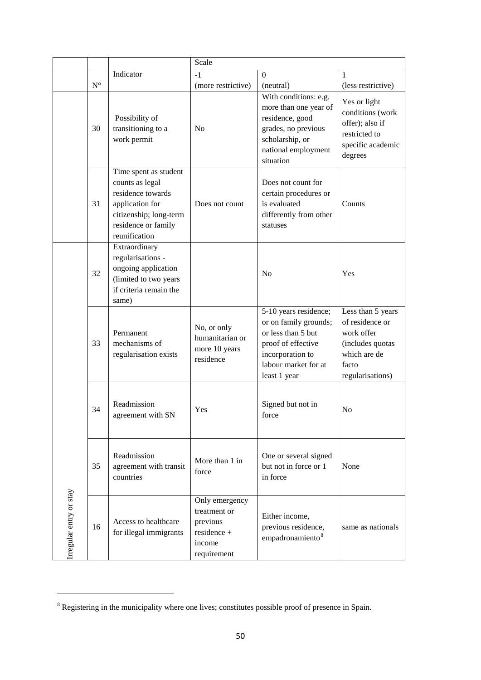|                        |             |                                                                                                                                                    | Scale                                                                              |                                                                                                                                                        |                                                                                                                     |
|------------------------|-------------|----------------------------------------------------------------------------------------------------------------------------------------------------|------------------------------------------------------------------------------------|--------------------------------------------------------------------------------------------------------------------------------------------------------|---------------------------------------------------------------------------------------------------------------------|
|                        |             | Indicator                                                                                                                                          | $-1$                                                                               | $\overline{0}$                                                                                                                                         | 1                                                                                                                   |
|                        | $N^{\circ}$ |                                                                                                                                                    | (more restrictive)                                                                 | (neutral)                                                                                                                                              | (less restrictive)                                                                                                  |
|                        | 30          | Possibility of<br>transitioning to a<br>work permit                                                                                                | No                                                                                 | With conditions: e.g.<br>more than one year of<br>residence, good<br>grades, no previous<br>scholarship, or<br>national employment<br>situation        | Yes or light<br>conditions (work<br>offer); also if<br>restricted to<br>specific academic<br>degrees                |
|                        | 31          | Time spent as student<br>counts as legal<br>residence towards<br>application for<br>citizenship; long-term<br>residence or family<br>reunification | Does not count                                                                     | Does not count for<br>certain procedures or<br>is evaluated<br>differently from other<br>statuses                                                      | Counts                                                                                                              |
|                        | 32          | Extraordinary<br>regularisations -<br>ongoing application<br>(limited to two years<br>if criteria remain the<br>same)                              |                                                                                    | N <sub>o</sub>                                                                                                                                         | Yes                                                                                                                 |
|                        | 33          | Permanent<br>mechanisms of<br>regularisation exists                                                                                                | No, or only<br>humanitarian or<br>more 10 years<br>residence                       | 5-10 years residence;<br>or on family grounds;<br>or less than 5 but<br>proof of effective<br>incorporation to<br>labour market for at<br>least 1 year | Less than 5 years<br>of residence or<br>work offer<br>(includes quotas<br>which are de<br>facto<br>regularisations) |
|                        | 34          | Readmission<br>agreement with SN                                                                                                                   | <b>Yes</b>                                                                         | Signed but not in<br>force                                                                                                                             | N <sub>0</sub>                                                                                                      |
|                        | 35          | Readmission<br>agreement with transit<br>countries                                                                                                 | More than 1 in<br>force                                                            | One or several signed<br>but not in force or 1<br>in force                                                                                             | None                                                                                                                |
| rregular entry or stay | 16          | Access to healthcare<br>for illegal immigrants                                                                                                     | Only emergency<br>treatment or<br>previous<br>residence +<br>income<br>requirement | Either income,<br>previous residence,<br>empadronamiento <sup>8</sup>                                                                                  | same as nationals                                                                                                   |

1

<sup>&</sup>lt;sup>8</sup> Registering in the municipality where one lives; constitutes possible proof of presence in Spain.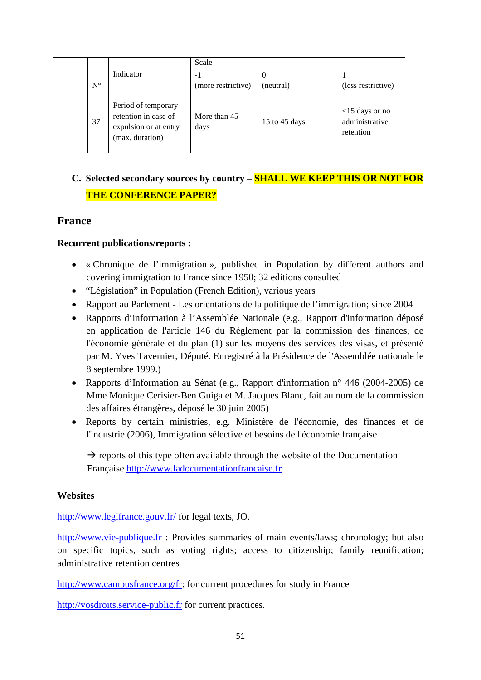|             |                                                                                         | Scale                |               |                                                  |
|-------------|-----------------------------------------------------------------------------------------|----------------------|---------------|--------------------------------------------------|
|             | Indicator                                                                               | $-1$                 |               |                                                  |
| $N^{\circ}$ |                                                                                         | (more restrictive)   | (neutral)     | (less restrictive)                               |
| 37          | Period of temporary<br>retention in case of<br>expulsion or at entry<br>(max. duration) | More than 45<br>days | 15 to 45 days | $<$ 15 days or no<br>administrative<br>retention |

# **C. Selected secondary sources by country – SHALL WE KEEP THIS OR NOT FOR THE CONFERENCE PAPER?**

# **France**

#### **Recurrent publications/reports :**

- « Chronique de l'immigration », published in Population by different authors and covering immigration to France since 1950; 32 editions consulted
- "Législation" in Population (French Edition), various years
- Rapport au Parlement Les orientations de la politique de l'immigration; since 2004
- Rapports d'information à l'Assemblée Nationale (e.g., Rapport d'information déposé en application de l'article 146 du Règlement par la commission des finances, de l'économie générale et du plan (1) sur les moyens des services des visas, et présenté par M. Yves Tavernier, Député. Enregistré à la Présidence de l'Assemblée nationale le 8 septembre 1999.)
- Rapports d'Information au Sénat (e.g., Rapport d'information n° 446 (2004-2005) de Mme Monique Cerisier-Ben Guiga et M. Jacques Blanc, fait au nom de la commission des affaires étrangères, déposé le 30 juin 2005)
- Reports by certain ministries, e.g. Ministère de l'économie, des finances et de l'industrie (2006), Immigration sélective et besoins de l'économie française

 $\rightarrow$  reports of this type often available through the website of the Documentation Française [http://www.ladocumentationfrancaise.fr](http://www.ladocumentationfrancaise.fr/)

#### **Websites**

<http://www.legifrance.gouv.fr/> for legal texts, JO.

[http://www.vie-publique.fr](http://www.vie-publique.fr/) : Provides summaries of main events/laws; chronology; but also on specific topics, such as voting rights; access to citizenship; family reunification; administrative retention centres

[http://www.campusfrance.org/fr:](http://www.campusfrance.org/fr) for current procedures for study in France

[http://vosdroits.service-public.fr](http://vosdroits.service-public.fr/particuliers/N20306.xhtml) for current practices.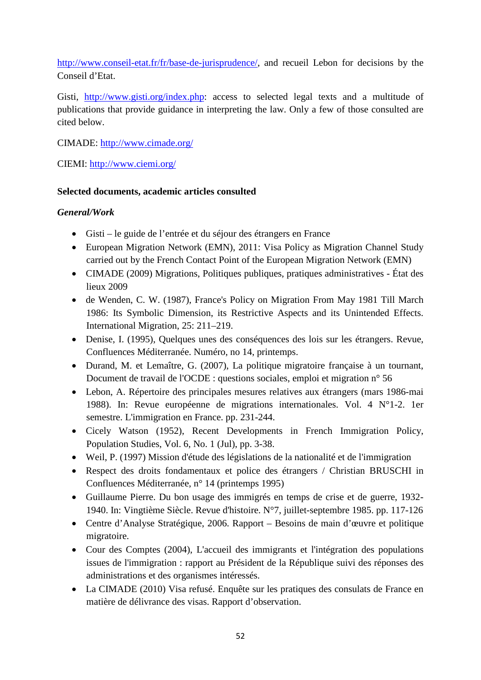[http://www.conseil-etat.fr/fr/base-de-jurisprudence/,](http://www.conseil-etat.fr/fr/base-de-jurisprudence/) and recueil Lebon for decisions by the Conseil d'Etat.

Gisti, [http://www.gisti.org/index.php:](http://www.gisti.org/index.php) access to selected legal texts and a multitude of publications that provide guidance in interpreting the law. Only a few of those consulted are cited below.

CIMADE:<http://www.cimade.org/>

CIEMI:<http://www.ciemi.org/>

### **Selected documents, academic articles consulted**

### *General/Work*

- Gisti le guide de l'entrée et du séjour des étrangers en France
- European Migration Network (EMN), 2011: Visa Policy as Migration Channel Study carried out by the French Contact Point of the European Migration Network (EMN)
- CIMADE (2009) Migrations, Politiques publiques, pratiques administratives État des lieux 2009
- de Wenden, C. W. (1987), France's Policy on Migration From May 1981 Till March 1986: Its Symbolic Dimension, its Restrictive Aspects and its Unintended Effects. International Migration, 25: 211–219.
- Denise, I. (1995), Quelques unes des conséquences des lois sur les étrangers. Revue, Confluences Méditerranée. Numéro, no 14, printemps.
- Durand, M. et Lemaître, G. (2007), La politique migratoire française à un tournant, Document de travail de l'OCDE : questions sociales, emploi et migration n° 56
- Lebon, A. Répertoire des principales mesures relatives aux étrangers (mars 1986-mai 1988). In: Revue européenne de migrations internationales. Vol. 4 N°1-2. 1er semestre. L'immigration en France. pp. 231-244.
- Cicely Watson (1952), Recent Developments in French Immigration Policy, Population Studies, Vol. 6, No. 1 (Jul), pp. 3-38.
- Weil, P. (1997) Mission d'étude des législations de la nationalité et de l'immigration
- Respect des droits fondamentaux et police des étrangers / Christian BRUSCHI in Confluences Méditerranée, n° 14 (printemps 1995)
- Guillaume Pierre. Du bon usage des immigrés en temps de crise et de guerre, 1932- 1940. In: Vingtième Siècle. Revue d'histoire. N°7, juillet-septembre 1985. pp. 117-126
- Centre d'Analyse Stratégique, 2006. Rapport Besoins de main d'œuvre et politique migratoire.
- Cour des Comptes (2004), L'accueil des immigrants et l'intégration des populations issues de l'immigration : rapport au Président de la République suivi des réponses des administrations et des organismes intéressés.
- La CIMADE (2010) Visa refusé. Enquête sur les pratiques des consulats de France en matière de délivrance des visas. Rapport d'observation.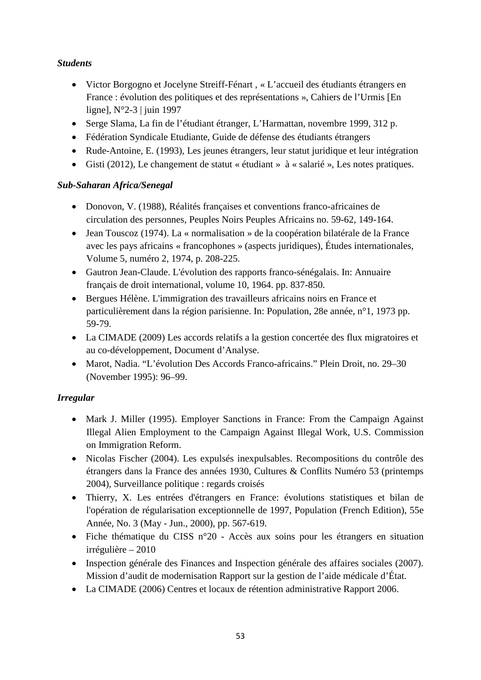## *Students*

- Victor Borgogno et Jocelyne Streiff-Fénart , « L'accueil des étudiants étrangers en France : évolution des politiques et des représentations », Cahiers de l'Urmis [En ligne], N°2-3 | juin 1997
- Serge Slama, La fin de l'étudiant étranger, L'Harmattan, novembre 1999, 312 p.
- Fédération Syndicale Etudiante, Guide de défense des étudiants étrangers
- Rude-Antoine, E. (1993), Les jeunes étrangers, leur statut juridique et leur intégration
- Gisti (2012), Le changement de statut « étudiant » à « salarié », Les notes pratiques.

## *Sub-Saharan Africa/Senegal*

- Donovon, V. (1988), Réalités françaises et conventions franco-africaines de circulation des personnes, Peuples Noirs Peuples Africains no. 59-62, 149-164.
- Jean Touscoz (1974). La « normalisation » de la coopération bilatérale de la France avec les pays africains « francophones » (aspects juridiques), Études internationales, Volume 5, numéro 2, 1974, p. 208-225.
- Gautron Jean-Claude. L'évolution des rapports franco-sénégalais. In: Annuaire français de droit international, volume 10, 1964. pp. 837-850.
- Bergues Hélène. L'immigration des travailleurs africains noirs en France et particulièrement dans la région parisienne. In: Population, 28e année, n°1, 1973 pp. 59-79.
- La CIMADE (2009) Les accords relatifs a la gestion concertée des flux migratoires et au co-développement, Document d'Analyse.
- Marot, Nadia. "L'évolution Des Accords Franco-africains." Plein Droit, no. 29–30 (November 1995): 96–99.

# *Irregular*

- Mark J. Miller (1995). Employer Sanctions in France: From the Campaign Against Illegal Alien Employment to the Campaign Against Illegal Work, U.S. Commission on Immigration Reform.
- Nicolas Fischer (2004). Les expulsés inexpulsables. Recompositions du contrôle des étrangers dans la France des années 1930, Cultures & Conflits Numéro 53 (printemps 2004), Surveillance politique : regards croisés
- Thierry, X. Les entrées d'étrangers en France: évolutions statistiques et bilan de l'opération de régularisation exceptionnelle de 1997, Population (French Edition), 55e Année, No. 3 (May - Jun., 2000), pp. 567-619.
- Fiche thématique du CISS n°20 Accès aux soins pour les étrangers en situation irrégulière – 2010
- Inspection générale des Finances and Inspection générale des affaires sociales (2007). Mission d'audit de modernisation Rapport sur la gestion de l'aide médicale d'État.
- La CIMADE (2006) Centres et locaux de rétention administrative Rapport 2006.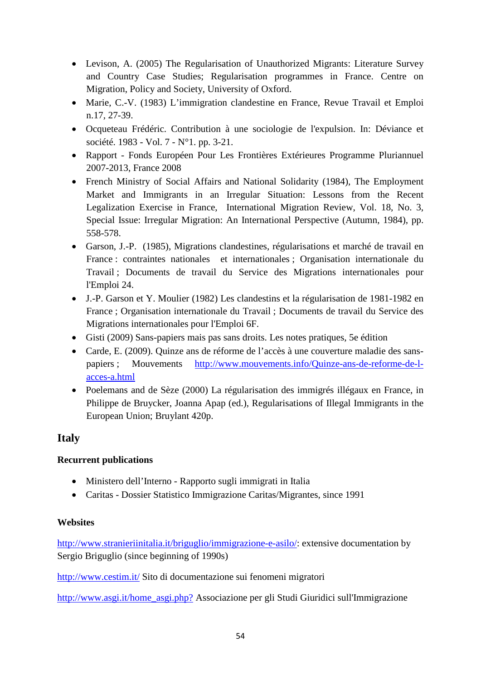- Levison, A. (2005) The Regularisation of Unauthorized Migrants: Literature Survey and Country Case Studies; Regularisation programmes in France. Centre on Migration, Policy and Society, University of Oxford.
- Marie, C.-V. (1983) L'immigration clandestine en France, Revue Travail et Emploi n.17, 27-39.
- Ocqueteau Frédéric. Contribution à une sociologie de l'expulsion. In: Déviance et société. 1983 - Vol. 7 - N°1. pp. 3-21.
- Rapport Fonds Européen Pour Les Frontières Extérieures Programme Pluriannuel 2007-2013, France 2008
- French Ministry of Social Affairs and National Solidarity (1984), The Employment Market and Immigrants in an Irregular Situation: Lessons from the Recent Legalization Exercise in France, International Migration Review, Vol. 18, No. 3, Special Issue: Irregular Migration: An International Perspective (Autumn, 1984), pp. 558-578.
- Garson, J.-P. (1985), Migrations clandestines, régularisations et marché de travail en France : contraintes nationales et internationales ; Organisation internationale du Travail ; Documents de travail du Service des Migrations internationales pour l'Emploi 24.
- J.-P. Garson et Y. Moulier (1982) Les clandestins et la régularisation de 1981-1982 en France ; Organisation internationale du Travail ; Documents de travail du Service des Migrations internationales pour l'Emploi 6F.
- Gisti (2009) Sans-papiers mais pas sans droits. Les notes pratiques, 5e édition
- Carde, E. (2009). Quinze ans de réforme de l'accès à une couverture maladie des sanspapiers ; Mouvements [http://www.mouvements.info/Quinze-ans-de-reforme-de-l](http://www.mouvements.info/Quinze-ans-de-reforme-de-l-acces-a.html)[acces-a.html](http://www.mouvements.info/Quinze-ans-de-reforme-de-l-acces-a.html)
- Poelemans and de Sèze (2000) La régularisation des immigrés illégaux en France, in Philippe de Bruycker, Joanna Apap (ed.), Regularisations of Illegal Immigrants in the European Union; Bruylant 420p.

# **Italy**

## **Recurrent publications**

- Ministero dell'Interno Rapporto sugli immigrati in Italia
- Caritas Dossier Statistico Immigrazione Caritas/Migrantes, since 1991

## **Websites**

[http://www.stranieriinitalia.it/briguglio/immigrazione-e-asilo/:](http://www.stranieriinitalia.it/briguglio/immigrazione-e-asilo/) extensive documentation by Sergio Briguglio (since beginning of 1990s)

<http://www.cestim.it/> Sito di documentazione sui fenomeni migratori

[http://www.asgi.it/home\\_asgi.php?](http://www.asgi.it/home_asgi.php?) Associazione per gli Studi Giuridici sull'Immigrazione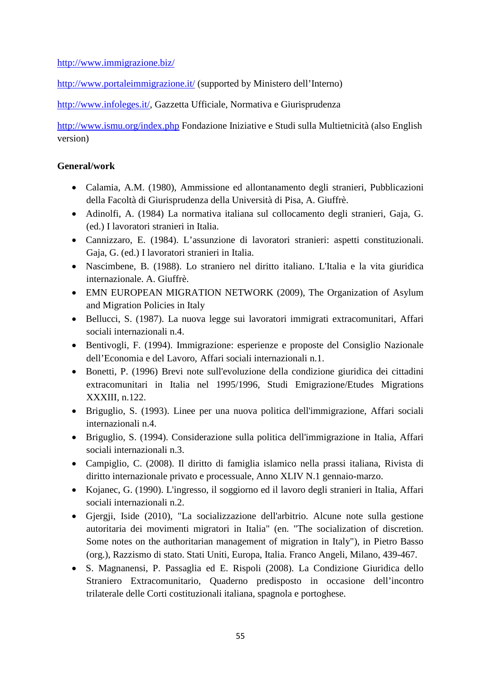#### <http://www.immigrazione.biz/>

<http://www.portaleimmigrazione.it/> (supported by Ministero dell'Interno)

[http://www.infoleges.it/,](http://www.infoleges.it/) Gazzetta Ufficiale, Normativa e Giurisprudenza

<http://www.ismu.org/index.php> Fondazione Iniziative e Studi sulla Multietnicità (also English version)

### **General/work**

- Calamia, A.M. (1980), Ammissione ed allontanamento degli stranieri, Pubblicazioni della Facoltà di Giurisprudenza della Università di Pisa, A. Giuffrè.
- Adinolfi, A. (1984) La normativa italiana sul collocamento degli stranieri, Gaja, G. (ed.) I lavoratori stranieri in Italia.
- Cannizzaro, E. (1984). L'assunzione di lavoratori stranieri: aspetti constituzionali. Gaja, G. (ed.) I lavoratori stranieri in Italia.
- Nascimbene, B. (1988). Lo straniero nel diritto italiano. L'Italia e la vita giuridica internazionale. A. Giuffrè.
- EMN EUROPEAN MIGRATION NETWORK (2009), The Organization of Asylum and Migration Policies in Italy
- Bellucci, S. (1987). La nuova legge sui lavoratori immigrati extracomunitari, Affari sociali internazionali n.4.
- Bentivogli, F. (1994). Immigrazione: esperienze e proposte del Consiglio Nazionale dell'Economia e del Lavoro, Affari sociali internazionali n.1.
- Bonetti, P. (1996) Brevi note sull'evoluzione della condizione giuridica dei cittadini extracomunitari in Italia nel 1995/1996, Studi Emigrazione/Etudes Migrations XXXIII, n.122.
- Briguglio, S. (1993). Linee per una nuova politica dell'immigrazione, Affari sociali internazionali n.4.
- Briguglio, S. (1994). Considerazione sulla politica dell'immigrazione in Italia, Affari sociali internazionali n.3.
- Campiglio, C. (2008). Il diritto di famiglia islamico nella prassi italiana, Rivista di diritto internazionale privato e processuale, Anno XLIV N.1 gennaio-marzo.
- Kojanec, G. (1990). L'ingresso, il soggiorno ed il lavoro degli stranieri in Italia, Affari sociali internazionali n.2.
- Gjergji, Iside (2010), "La socializzazione dell'arbitrio. Alcune note sulla gestione autoritaria dei movimenti migratori in Italia" (en. "The socialization of discretion. Some notes on the authoritarian management of migration in Italy"), in Pietro Basso (org.), Razzismo di stato. Stati Uniti, Europa, Italia. Franco Angeli, Milano, 439-467.
- S. Magnanensi, P. Passaglia ed E. Rispoli (2008). La Condizione Giuridica dello Straniero Extracomunitario, Quaderno predisposto in occasione dell'incontro trilaterale delle Corti costituzionali italiana, spagnola e portoghese.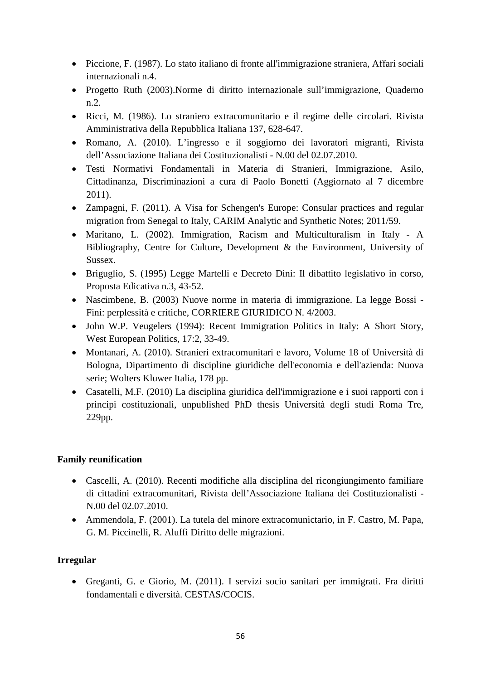- Piccione, F. (1987). Lo stato italiano di fronte all'immigrazione straniera, Affari sociali internazionali n.4.
- Progetto Ruth (2003).Norme di diritto internazionale sull'immigrazione, Quaderno n.2.
- Ricci, M. (1986). Lo straniero extracomunitario e il regime delle circolari. Rivista Amministrativa della Repubblica Italiana 137, 628-647.
- Romano, A. (2010). L'ingresso e il soggiorno dei lavoratori migranti, Rivista dell'Associazione Italiana dei Costituzionalisti - N.00 del 02.07.2010.
- Testi Normativi Fondamentali in Materia di Stranieri, Immigrazione, Asilo, Cittadinanza, Discriminazioni a cura di Paolo Bonetti (Aggiornato al 7 dicembre 2011).
- Zampagni, F. (2011). A Visa for Schengen's Europe: Consular practices and regular migration from Senegal to Italy, CARIM Analytic and Synthetic Notes; 2011/59.
- Maritano, L. (2002). Immigration, Racism and Multiculturalism in Italy A Bibliography, Centre for Culture, Development & the Environment, University of Sussex.
- Briguglio, S. (1995) Legge Martelli e Decreto Dini: Il dibattito legislativo in corso, Proposta Edicativa n.3, 43-52.
- Nascimbene, B. (2003) Nuove norme in materia di immigrazione. La legge Bossi Fini: perplessità e critiche, CORRIERE GIURIDICO N. 4/2003.
- John W.P. Veugelers (1994): Recent Immigration Politics in Italy: A Short Story, West European Politics, 17:2, 33-49.
- Montanari, A. (2010). Stranieri extracomunitari e lavoro, Volume 18 of Università di Bologna, Dipartimento di discipline giuridiche dell'economia e dell'azienda: Nuova serie; Wolters Kluwer Italia, 178 pp.
- Casatelli, M.F. (2010) La disciplina giuridica dell'immigrazione e i suoi rapporti con i principi costituzionali, unpublished PhD thesis Università degli studi Roma Tre, 229pp.

## **Family reunification**

- Cascelli, A. (2010). Recenti modifiche alla disciplina del ricongiungimento familiare di cittadini extracomunitari, Rivista dell'Associazione Italiana dei Costituzionalisti - N.00 del 02.07.2010.
- Ammendola, F. (2001). La tutela del minore extracomunictario, in F. Castro, M. Papa, G. M. Piccinelli, R. Aluffi Diritto delle migrazioni.

## **Irregular**

• Greganti, G. e Giorio, M. (2011). I servizi socio sanitari per immigrati. Fra diritti fondamentali e diversità. CESTAS/COCIS.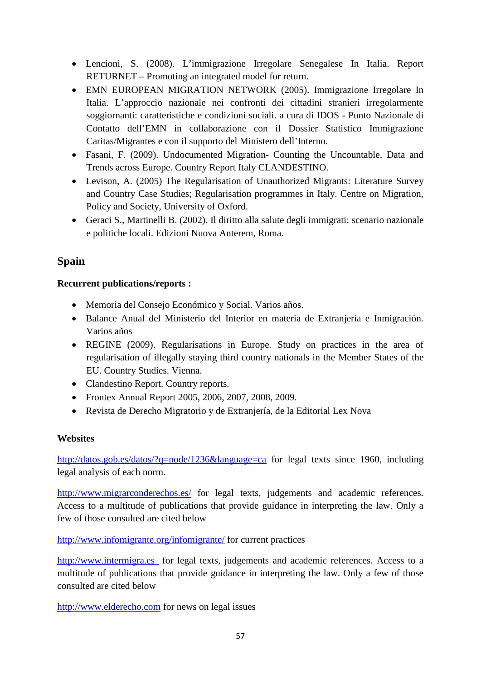- Lencioni, S. (2008). L'immigrazione Irregolare Senegalese In Italia. Report RETURNET – Promoting an integrated model for return.
- EMN EUROPEAN MIGRATION NETWORK (2005). Immigrazione Irregolare In Italia. L'approccio nazionale nei confronti dei cittadini stranieri irregolarmente soggiornanti: caratteristiche e condizioni sociali. a cura di IDOS - Punto Nazionale di Contatto dell'EMN in collaborazione con il Dossier Statistico Immigrazione Caritas/Migrantes e con il supporto del Ministero dell'Interno.
- Fasani, F. (2009). Undocumented Migration- Counting the Uncountable. Data and Trends across Europe. Country Report Italy CLANDESTINO.
- Levison, A. (2005) The Regularisation of Unauthorized Migrants: Literature Survey and Country Case Studies; Regularisation programmes in Italy. Centre on Migration, Policy and Society, University of Oxford.
- Geraci S., Martinelli B. (2002). Il diritto alla salute degli immigrati: scenario nazionale e politiche locali. Edizioni Nuova Anterem, Roma.

# **Spain**

## **Recurrent publications/reports :**

- Memoria del Consejo Económico y Social. Varios años.
- Balance Anual del Ministerio del Interior en materia de Extranjería e Inmigración. Varios años
- REGINE (2009). Regularisations in Europe. Study on practices in the area of regularisation of illegally staying third country nationals in the Member States of the EU. Country Studies. Vienna.
- Clandestino Report. Country reports.
- Frontex Annual Report 2005, 2006, 2007, 2008, 2009.
- Revista de Derecho Migratorio y de Extranjería, de la Editorial Lex Nova

## **Websites**

<http://datos.gob.es/datos/?q=node/1236&language=ca> for legal texts since 1960, including legal analysis of each norm.

<http://www.migrarconderechos.es/> for legal texts, judgements and academic references. Access to a multitude of publications that provide guidance in interpreting the law. Only a few of those consulted are cited below

<http://www.infomigrante.org/infomigrante/> for current practices

[http://www.intermigra.es](http://www.intermigra.es/) for legal texts, judgements and academic references. Access to a multitude of publications that provide guidance in interpreting the law. Only a few of those consulted are cited below

[http://www.elderecho.com](http://www.elderecho.com/) for news on legal issues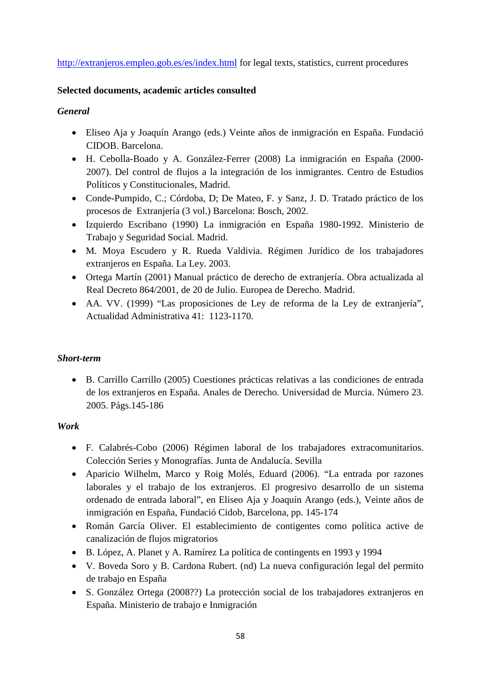#### <http://extranjeros.empleo.gob.es/es/index.html> for legal texts, statistics, current procedures

#### **Selected documents, academic articles consulted**

#### *General*

- Eliseo Aja y Joaquín Arango (eds.) Veinte años de inmigración en España. Fundació CIDOB. Barcelona.
- H. Cebolla-Boado y A. González-Ferrer (2008) La inmigración en España (2000- 2007). Del control de flujos a la integración de los inmigrantes. Centro de Estudios Políticos y Constitucionales, Madrid.
- Conde-Pumpido, C.; Córdoba, D; De Mateo, F. y Sanz, J. D. Tratado práctico de los procesos de Extranjería (3 vol.) Barcelona: Bosch, 2002.
- Izquierdo Escribano (1990) La inmigración en España 1980-1992. Ministerio de Trabajo y Seguridad Social. Madrid.
- M. Moya Escudero y R. Rueda Valdivia. Régimen Jurídico de los trabajadores extranjeros en España. La Ley. 2003.
- Ortega Martín (2001) Manual práctico de derecho de extranjería. Obra actualizada al Real Decreto 864/2001, de 20 de Julio. Europea de Derecho. Madrid.
- AA. VV. (1999) "Las proposiciones de Ley de reforma de la Ley de extranjería", Actualidad Administrativa 41: 1123-1170.

#### *Short-term*

• B. Carrillo Carrillo (2005) Cuestiones prácticas relativas a las condiciones de entrada de los extranjeros en España. Anales de Derecho. Universidad de Murcia. Número 23. 2005. Págs.145-186

#### *Work*

- F. Calabrés-Cobo (2006) Régimen laboral de los trabajadores extracomunitarios. Colección Series y Monografías. Junta de Andalucía. Sevilla
- Aparicio Wilhelm, Marco y Roig Molés, Eduard (2006). "La entrada por razones laborales y el trabajo de los extranjeros. El progresivo desarrollo de un sistema ordenado de entrada laboral", en Eliseo Aja y Joaquín Arango (eds.), Veinte años de inmigración en España, Fundació Cidob, Barcelona, pp. 145-174
- Román García Oliver. El establecimiento de contigentes como política active de canalización de flujos migratorios
- B. López, A. Planet y A. Ramírez La política de contingents en 1993 y 1994
- V. Boveda Soro y B. Cardona Rubert. (nd) La nueva configuración legal del permito de trabajo en España
- S. González Ortega (2008??) La protección social de los trabajadores extranjeros en España. Ministerio de trabajo e Inmigración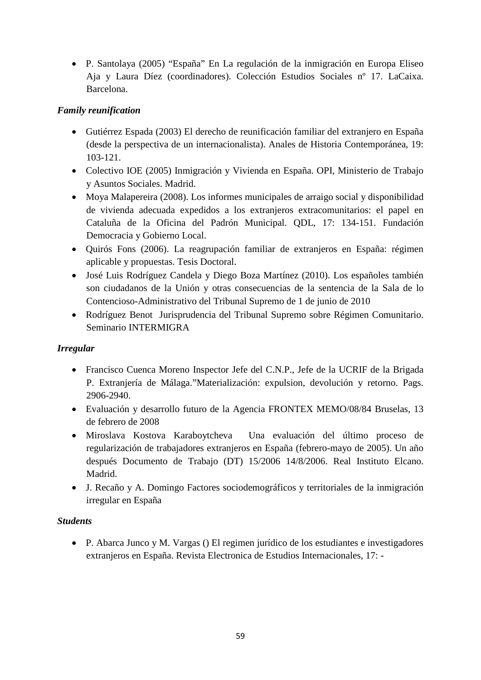• P. Santolaya (2005) "España" En La regulación de la inmigración en Europa Eliseo Aja y Laura Díez (coordinadores). Colección Estudios Sociales nº 17. LaCaixa. Barcelona.

### *Family reunification*

- Gutiérrez Espada (2003) El derecho de reunificación familiar del extranjero en España (desde la perspectiva de un internacionalista). Anales de Historia Contemporánea, 19: 103-121.
- Colectivo IOE (2005) Inmigración y Vivienda en España. OPI, Ministerio de Trabajo y Asuntos Sociales. Madrid.
- Moya Malapereira (2008). Los informes municipales de arraigo social y disponibilidad de vivienda adecuada expedidos a los extranjeros extracomunitarios: el papel en Cataluña de la Oficina del Padrón Municipal. QDL, 17: 134-151. Fundación Democracia y Gobierno Local.
- Quirós Fons (2006). La reagrupación familiar de extranjeros en España: régimen aplicable y propuestas. Tesis Doctoral.
- José Luis Rodríguez Candela y Diego Boza Martínez (2010). Los españoles también son ciudadanos de la Unión y otras consecuencias de la sentencia de la Sala de lo Contencioso-Administrativo del Tribunal Supremo de 1 de junio de 2010
- Rodríguez Benot Jurisprudencia del Tribunal Supremo sobre Régimen Comunitario. Seminario INTERMIGRA

## *Irregular*

- Francisco Cuenca Moreno Inspector Jefe del C.N.P., Jefe de la UCRIF de la Brigada P. Extranjería de Málaga."Materialización: expulsion, devolución y retorno. Pags. 2906-2940.
- Evaluación y desarrollo futuro de la Agencia FRONTEX MEMO/08/84 Bruselas, 13 de febrero de 2008
- Miroslava Kostova Karaboytcheva Una evaluación del último proceso de regularización de trabajadores extranjeros en España (febrero-mayo de 2005). Un año después Documento de Trabajo (DT) 15/2006 14/8/2006. Real Instituto Elcano. Madrid.
- J. Recaño y A. Domingo Factores sociodemográficos y territoriales de la inmigración irregular en España

#### *Students*

• P. Abarca Junco y M. Vargas () El regimen jurídico de los estudiantes e investigadores extranjeros en España. Revista Electronica de Estudios Internacionales, 17: -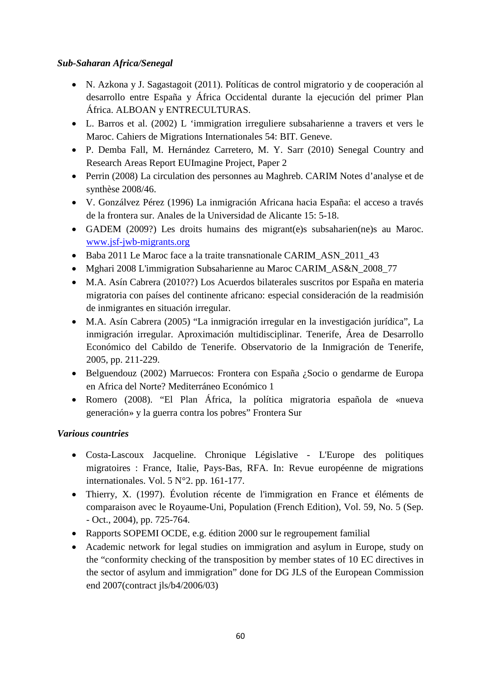### *Sub-Saharan Africa/Senegal*

- N. Azkona y J. Sagastagoit (2011). Políticas de control migratorio y de cooperación al desarrollo entre España y África Occidental durante la ejecución del primer Plan África. ALBOAN y ENTRECULTURAS.
- L. Barros et al. (2002) L 'immigration irreguliere subsaharienne a travers et vers le Maroc. Cahiers de Migrations Internationales 54: BIT. Geneve.
- P. Demba Fall, M. Hernández Carretero, M. Y. Sarr (2010) Senegal Country and Research Areas Report EUImagine Project, Paper 2
- Perrin (2008) La circulation des personnes au Maghreb. CARIM Notes d'analyse et de synthèse 2008/46.
- V. Gonzálvez Pérez (1996) La inmigración Africana hacia España: el acceso a través de la frontera sur. Anales de la Universidad de Alicante 15: 5-18.
- GADEM (2009?) Les droits humains des migrant(e)s subsaharien(ne)s au Maroc. [www.jsf-jwb-migrants.org](http://www.jsf-jwb-migrants.org/)
- Baba 2011 Le Maroc face a la traite transnationale CARIM\_ASN\_2011\_43
- Mghari 2008 L'immigration Subsaharienne au Maroc CARIM\_AS&N\_2008\_77
- M.A. Asín Cabrera (2010??) Los Acuerdos bilaterales suscritos por España en materia migratoria con países del continente africano: especial consideración de la readmisión de inmigrantes en situación irregular.
- M.A. Asín Cabrera (2005) "La inmigración irregular en la investigación jurídica", La inmigración irregular. Aproximación multidisciplinar. Tenerife, Área de Desarrollo Económico del Cabildo de Tenerife. Observatorio de la Inmigración de Tenerife, 2005, pp. 211-229.
- Belguendouz (2002) Marruecos: Frontera con España ¿Socio o gendarme de Europa en Africa del Norte? Mediterráneo Económico 1
- Romero (2008). "El Plan África, la política migratoria española de «nueva generación» y la guerra contra los pobres" Frontera Sur

## *Various countries*

- Costa-Lascoux Jacqueline. Chronique Législative L'Europe des politiques migratoires : France, Italie, Pays-Bas, RFA. In: Revue européenne de migrations internationales. Vol. 5 N°2. pp. 161-177.
- Thierry, X. (1997). Évolution récente de l'immigration en France et éléments de comparaison avec le Royaume-Uni, Population (French Edition), Vol. 59, No. 5 (Sep. - Oct., 2004), pp. 725-764.
- Rapports SOPEMI OCDE, e.g. édition 2000 sur le regroupement familial
- Academic network for legal studies on immigration and asylum in Europe, study on the "conformity checking of the transposition by member states of 10 EC directives in the sector of asylum and immigration" done for DG JLS of the European Commission end 2007(contract jls/b4/2006/03)